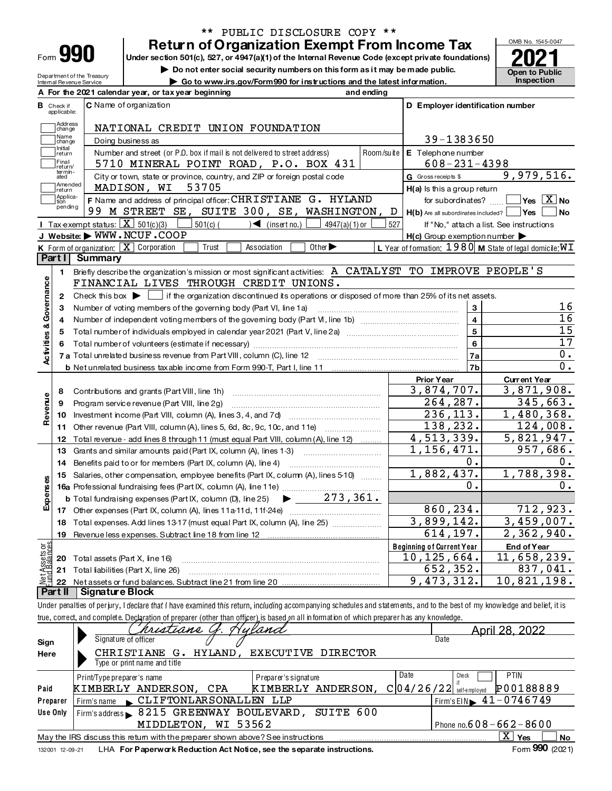| Form | a p | I |
|------|-----|---|
|------|-----|---|

Department of the Treasury<br>Internal Revenue Service

# \*\* PUBLIC DISCLOSURE COPY \*\*

**Return of Organization Exempt From Income Tax** Under section 501(c), 527, or 4947(a)(1) of the Internal Revenue Code (except private foundations)

Do not enter social security numbers on this form as it may be made public.

Go to www.irs.gov/Form990 for instructions and the latest information.

Open to Public<br>Inspection

OMB No. 1545-0047

|                      |                                                                          | A For the 2021 calendar year, or tax year beginning<br>and ending                                                                                                          |                                                             |                                          |  |  |  |  |  |
|----------------------|--------------------------------------------------------------------------|----------------------------------------------------------------------------------------------------------------------------------------------------------------------------|-------------------------------------------------------------|------------------------------------------|--|--|--|--|--|
|                      | <b>B</b> Check if<br>applicable:                                         | C Name of organization                                                                                                                                                     | D Employer identification number                            |                                          |  |  |  |  |  |
|                      | Address<br>change                                                        | NATIONAL CREDIT UNION FOUNDATION                                                                                                                                           |                                                             |                                          |  |  |  |  |  |
|                      | Name<br>change                                                           | Doing business as                                                                                                                                                          | 39-1383650                                                  |                                          |  |  |  |  |  |
|                      | Initial<br>return                                                        | Number and street (or P.O. box if mail is not delivered to street address)                                                                                                 | Room/suite E Telephone number                               |                                          |  |  |  |  |  |
|                      | Final<br>return/                                                         | 5710 MINERAL POINT ROAD, P.O. BOX 431                                                                                                                                      | $608 - 231 - 4398$                                          |                                          |  |  |  |  |  |
|                      | termin-<br>ated                                                          | City or town, state or province, country, and ZIP or foreign postal code                                                                                                   | G Gross receipts \$                                         | 9,979,516.                               |  |  |  |  |  |
|                      | Amended<br>MADISON, WI<br>53705<br>H(a) Is this a group return<br>return |                                                                                                                                                                            |                                                             |                                          |  |  |  |  |  |
|                      | Applica-<br>tion                                                         | F Name and address of principal officer: CHRISTIANE G. HYLAND                                                                                                              | for subordinates?                                           | $\sqrt{}$ Yes $\boxed{\text{X}}$ No      |  |  |  |  |  |
|                      | pending                                                                  | 99 M STREET SE, SUITE 300, SE, WASHINGTON,                                                                                                                                 | D<br>$H(b)$ Are all subordinates included?                  | Yes<br>∣No                               |  |  |  |  |  |
|                      |                                                                          | Tax exempt status: $\boxed{\mathbf{X}}$ 501(c)(3)<br>$501(c)$ (<br>$\sum$ (insert no.)<br>$4947(a)(1)$ or                                                                  | 527                                                         | If "No," attach a list. See instructions |  |  |  |  |  |
|                      |                                                                          | J Website: WWW.NCUF.COOP                                                                                                                                                   | $H(c)$ Group exemption number $\blacktriangleright$         |                                          |  |  |  |  |  |
|                      |                                                                          | K Form of organization: $\boxed{\mathbf{X}}$ Corporation<br>Association<br>Other $\blacktriangleright$<br>Trust                                                            | L Year of formation: $1980$ M State of legal domicile: $WT$ |                                          |  |  |  |  |  |
|                      | <b>Part I</b>                                                            | <b>Summary</b>                                                                                                                                                             |                                                             |                                          |  |  |  |  |  |
|                      | 1                                                                        | Briefly describe the organization's mission or most significant activities: A CATALYST TO IMPROVE PEOPLE'S                                                                 |                                                             |                                          |  |  |  |  |  |
|                      |                                                                          | FINANCIAL LIVES THROUGH CREDIT UNIONS.                                                                                                                                     |                                                             |                                          |  |  |  |  |  |
| Governance           | $\mathbf{2}$                                                             | Check this box $\blacktriangleright$ $\Box$ if the organization discontinued its operations or disposed of more than 25% of its net assets.                                |                                                             |                                          |  |  |  |  |  |
|                      | З                                                                        | Number of voting members of the governing body (Part VI, line 1a)                                                                                                          | 3                                                           | 16                                       |  |  |  |  |  |
| ಳ                    | 4                                                                        |                                                                                                                                                                            | 4                                                           | 16<br>15                                 |  |  |  |  |  |
|                      | 5                                                                        |                                                                                                                                                                            | 5                                                           | 17                                       |  |  |  |  |  |
| Activities           | 6                                                                        |                                                                                                                                                                            | 6                                                           | $0$ .                                    |  |  |  |  |  |
|                      |                                                                          |                                                                                                                                                                            | 7a<br>7b                                                    | $0$ .                                    |  |  |  |  |  |
|                      |                                                                          |                                                                                                                                                                            | <b>Prior Year</b>                                           | <b>Current Year</b>                      |  |  |  |  |  |
|                      | 8                                                                        | Contributions and grants (Part VIII, line 1h)                                                                                                                              | 3,874,707.                                                  | 3,871,908.                               |  |  |  |  |  |
|                      | 9                                                                        | Program service revenue (Part VIII, line 2g)                                                                                                                               | 264,287.                                                    | 345,663.                                 |  |  |  |  |  |
| Revenue              | 10                                                                       |                                                                                                                                                                            | 236, 113.                                                   | 1,480,368.                               |  |  |  |  |  |
|                      | 11                                                                       | Other revenue (Part VIII, column (A), lines 5, 6d, 8c, 9c, 10c, and 11e)                                                                                                   | 138,232.                                                    | 124,008.                                 |  |  |  |  |  |
|                      | 12                                                                       | Total revenue - add lines 8 through 11 (must equal Part VIII, column (A), line 12)                                                                                         | 4,513,339.                                                  | 5,821,947.                               |  |  |  |  |  |
|                      | 13                                                                       | Grants and similar amounts paid (Part IX, column (A), lines 1-3)                                                                                                           | 1,156,471.                                                  | 957,686.                                 |  |  |  |  |  |
|                      | 14                                                                       | Benefits paid to or for members (Part IX, column (A), line 4)                                                                                                              | $0$ .                                                       | 0.                                       |  |  |  |  |  |
|                      | 15                                                                       | Salaries, other compensation, employee benefits (Part IX, column (A), lines 5-10                                                                                           | 1,882,437.                                                  | 1,788,398.                               |  |  |  |  |  |
| Expenses             |                                                                          |                                                                                                                                                                            | ο.                                                          | $0$ .                                    |  |  |  |  |  |
|                      |                                                                          | <b>b</b> Total fundraising expenses (Part IX, column (D), line 25) $\bullet$ _ 273, 361.                                                                                   |                                                             |                                          |  |  |  |  |  |
|                      |                                                                          |                                                                                                                                                                            | 860,234.                                                    | 712,923.                                 |  |  |  |  |  |
|                      |                                                                          | 18 Total expenses. Add lines 13-17 (must equal Part IX, column (A), line 25)                                                                                               | 3,899,142.                                                  | 3,459,007.                               |  |  |  |  |  |
|                      |                                                                          | 19 Revenue less expenses. Subtract line 18 from line 12                                                                                                                    | 614,197.                                                    | 2,362,940.                               |  |  |  |  |  |
| ចន្ទ                 |                                                                          |                                                                                                                                                                            | <b>Beginning of Current Year</b>                            | End of Year                              |  |  |  |  |  |
| t Assets<br>d Balanc | 20                                                                       | Total assets (Part X, line 16)                                                                                                                                             | 10, 125, 664.                                               | 11,658,239.                              |  |  |  |  |  |
| 혏                    | 21                                                                       | Total liabilities (Part X, line 26)                                                                                                                                        | 652,352.                                                    | 837,041.                                 |  |  |  |  |  |
|                      | 22<br>Part II                                                            | Net assets or fund balances. Subtract line 21 from line 20<br>Signature Block                                                                                              | 9,473,312.                                                  | 10,821,198.                              |  |  |  |  |  |
|                      |                                                                          | Under penalties of perjury, I declare that I have examined this return, including accompanying schedules and statements, and to the best of my knowledge and belief, it is |                                                             |                                          |  |  |  |  |  |
|                      |                                                                          | true, correct, and complete. Declaration of preparer (other than officer) is based on all information of which preparer has any knowledge.                                 |                                                             |                                          |  |  |  |  |  |
|                      |                                                                          | Hyland<br>tiane                                                                                                                                                            |                                                             | April 28, 2022                           |  |  |  |  |  |
| Sign                 |                                                                          | Signature of officer                                                                                                                                                       | Date                                                        |                                          |  |  |  |  |  |
| Here                 |                                                                          | CHRISTIANE<br>G. HYLAND, EXECUTIVE<br><b>DIRECTOR</b>                                                                                                                      |                                                             |                                          |  |  |  |  |  |
|                      |                                                                          | Type or print name and title                                                                                                                                               |                                                             |                                          |  |  |  |  |  |
|                      |                                                                          | Print/Type preparer's name<br>Preparer's signature                                                                                                                         | Date<br>Che ck                                              | <b>PTIN</b>                              |  |  |  |  |  |
| Paid                 |                                                                          | KIMBERLY ANDERSON, CPA<br>KIMBERLY ANDERSON,                                                                                                                               | if<br>$C 04/26/22 $ self-employed                           | P00188889                                |  |  |  |  |  |
|                      | Preparer                                                                 | CLIFTONLARSONALLEN LLP<br>Firm's name                                                                                                                                      | Firm's EIN                                                  | $41 - 0746749$                           |  |  |  |  |  |
|                      | Use Only                                                                 | 8215 GREENWAY BOULEVARD,<br>SUITE 600<br>Firm's address                                                                                                                    |                                                             |                                          |  |  |  |  |  |
|                      |                                                                          | MIDDLETON, WI 53562                                                                                                                                                        |                                                             | Phone no. $608 - 662 - 8600$             |  |  |  |  |  |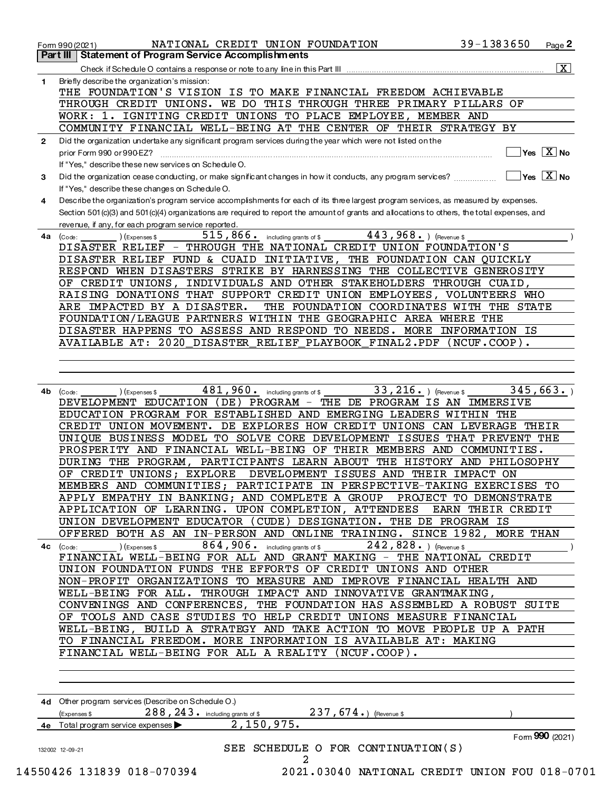|              | $39 - 1383650$<br>NATIONAL CREDIT UNION FOUNDATION<br>Page 2<br>Form 990 (2021)                                                                                                                                                                                                                                                                                                                                                                                                                                                                                                                                                                                                                                                                                                                            |
|--------------|------------------------------------------------------------------------------------------------------------------------------------------------------------------------------------------------------------------------------------------------------------------------------------------------------------------------------------------------------------------------------------------------------------------------------------------------------------------------------------------------------------------------------------------------------------------------------------------------------------------------------------------------------------------------------------------------------------------------------------------------------------------------------------------------------------|
|              | Part III Statement of Program Service Accomplishments                                                                                                                                                                                                                                                                                                                                                                                                                                                                                                                                                                                                                                                                                                                                                      |
|              | $\boxed{\textbf{X}}$                                                                                                                                                                                                                                                                                                                                                                                                                                                                                                                                                                                                                                                                                                                                                                                       |
| 1            | Briefly describe the organization's mission:                                                                                                                                                                                                                                                                                                                                                                                                                                                                                                                                                                                                                                                                                                                                                               |
|              | THE FOUNDATION'S VISION IS TO MAKE FINANCIAL FREEDOM ACHIEVABLE                                                                                                                                                                                                                                                                                                                                                                                                                                                                                                                                                                                                                                                                                                                                            |
|              | THROUGH CREDIT UNIONS. WE DO THIS THROUGH THREE PRIMARY PILLARS OF                                                                                                                                                                                                                                                                                                                                                                                                                                                                                                                                                                                                                                                                                                                                         |
|              | WORK: 1. IGNITING CREDIT UNIONS TO PLACE EMPLOYEE, MEMBER AND                                                                                                                                                                                                                                                                                                                                                                                                                                                                                                                                                                                                                                                                                                                                              |
|              | COMMUNITY FINANCIAL WELL-BEING AT THE CENTER OF THEIR STRATEGY BY                                                                                                                                                                                                                                                                                                                                                                                                                                                                                                                                                                                                                                                                                                                                          |
| $\mathbf{2}$ | Did the organization undertake any significant program services during the year which were not listed on the                                                                                                                                                                                                                                                                                                                                                                                                                                                                                                                                                                                                                                                                                               |
|              | $\sqrt{\mathsf{Yes}}$ $\boxed{\mathrm{X}}$ No                                                                                                                                                                                                                                                                                                                                                                                                                                                                                                                                                                                                                                                                                                                                                              |
|              | If "Yes," describe these new services on Schedule O.                                                                                                                                                                                                                                                                                                                                                                                                                                                                                                                                                                                                                                                                                                                                                       |
| 3            | $\overline{X}$ Yes $\overline{X}$ No<br>Did the organization cease conducting, or make significant changes in how it conducts, any program services?                                                                                                                                                                                                                                                                                                                                                                                                                                                                                                                                                                                                                                                       |
|              | If "Yes," describe these changes on Schedule O.                                                                                                                                                                                                                                                                                                                                                                                                                                                                                                                                                                                                                                                                                                                                                            |
| 4            | Describe the organization's program service accomplishments for each of its three largest program services, as measured by expenses.                                                                                                                                                                                                                                                                                                                                                                                                                                                                                                                                                                                                                                                                       |
|              | Section 501 (c)(3) and 501 (c)(4) organizations are required to report the amount of grants and allocations to others, the total expenses, and                                                                                                                                                                                                                                                                                                                                                                                                                                                                                                                                                                                                                                                             |
|              | revenue, if any, for each program service reported.                                                                                                                                                                                                                                                                                                                                                                                                                                                                                                                                                                                                                                                                                                                                                        |
|              | 515, 866. including grants of \$<br>$443,968.$ (Revenue \$<br>$4a$ (Code:<br>(Expenses \$                                                                                                                                                                                                                                                                                                                                                                                                                                                                                                                                                                                                                                                                                                                  |
|              | DISASTER RELIEF - THROUGH THE NATIONAL CREDIT UNION FOUNDATION'S                                                                                                                                                                                                                                                                                                                                                                                                                                                                                                                                                                                                                                                                                                                                           |
|              | DISASTER RELIEF FUND & CUAID INITIATIVE, THE FOUNDATION CAN QUICKLY                                                                                                                                                                                                                                                                                                                                                                                                                                                                                                                                                                                                                                                                                                                                        |
|              | RESPOND WHEN DISASTERS STRIKE BY HARNESSING THE COLLECTIVE GENEROSITY                                                                                                                                                                                                                                                                                                                                                                                                                                                                                                                                                                                                                                                                                                                                      |
|              | OF CREDIT UNIONS, INDIVIDUALS AND OTHER STAKEHOLDERS THROUGH CUAID,                                                                                                                                                                                                                                                                                                                                                                                                                                                                                                                                                                                                                                                                                                                                        |
|              | RAISING DONATIONS THAT SUPPORT CREDIT UNION EMPLOYEES, VOLUNTEERS WHO                                                                                                                                                                                                                                                                                                                                                                                                                                                                                                                                                                                                                                                                                                                                      |
|              | ARE IMPACTED BY A DISASTER.<br>THE FOUNDATION COORDINATES WITH THE STATE                                                                                                                                                                                                                                                                                                                                                                                                                                                                                                                                                                                                                                                                                                                                   |
|              | FOUNDATION/LEAGUE PARTNERS WITHIN THE GEOGRAPHIC AREA WHERE THE                                                                                                                                                                                                                                                                                                                                                                                                                                                                                                                                                                                                                                                                                                                                            |
|              |                                                                                                                                                                                                                                                                                                                                                                                                                                                                                                                                                                                                                                                                                                                                                                                                            |
|              | DISASTER HAPPENS TO ASSESS AND RESPOND TO NEEDS. MORE INFORMATION IS                                                                                                                                                                                                                                                                                                                                                                                                                                                                                                                                                                                                                                                                                                                                       |
|              | AVAILABLE AT: 2020 DISASTER RELIEF PLAYBOOK FINAL2.PDF (NCUF.COOP).                                                                                                                                                                                                                                                                                                                                                                                                                                                                                                                                                                                                                                                                                                                                        |
|              | PROSPERITY AND FINANCIAL WELL-BEING OF THEIR MEMBERS AND COMMUNITIES.<br>DURING THE PROGRAM, PARTICIPANTS LEARN ABOUT THE HISTORY AND PHILOSOPHY<br>OF CREDIT UNIONS; EXPLORE DEVELOPMENT ISSUES AND THEIR IMPACT ON<br>MEMBERS AND COMMUNITIES; PARTICIPATE IN PERSPECTIVE-TAKING EXERCISES TO<br>APPLY EMPATHY IN BANKING; AND COMPLETE A GROUP PROJECT TO DEMONSTRATE<br>APPLICATION OF LEARNING. UPON COMPLETION, ATTENDEES EARN THEIR CREDIT<br>UNION DEVELOPMENT EDUCATOR (CUDE) DESIGNATION. THE DE PROGRAM IS<br>OFFERED BOTH AS AN IN-PERSON AND ONLINE TRAINING. SINCE 1982, MORE THAN<br>4c $(\text{Code:})$ $(\text{Expenses$})$ $(\text{Expenses$})$ $864,906$ including grants of \$ $242,828$ . $(\text{Revenue $})$<br>FINANCIAL WELL-BEING FOR ALL AND GRANT MAKING - THE NATIONAL CREDIT |
|              | UNION FOUNDATION FUNDS THE EFFORTS OF CREDIT UNIONS AND OTHER                                                                                                                                                                                                                                                                                                                                                                                                                                                                                                                                                                                                                                                                                                                                              |
|              | NON-PROFIT ORGANIZATIONS TO MEASURE AND IMPROVE FINANCIAL HEALTH AND                                                                                                                                                                                                                                                                                                                                                                                                                                                                                                                                                                                                                                                                                                                                       |
|              | WELL-BEING FOR ALL. THROUGH IMPACT AND INNOVATIVE GRANTMAKING,                                                                                                                                                                                                                                                                                                                                                                                                                                                                                                                                                                                                                                                                                                                                             |
|              | CONVENINGS AND CONFERENCES, THE FOUNDATION HAS ASSEMBLED A ROBUST SUITE                                                                                                                                                                                                                                                                                                                                                                                                                                                                                                                                                                                                                                                                                                                                    |
|              | OF TOOLS AND CASE STUDIES TO HELP CREDIT UNIONS MEASURE FINANCIAL                                                                                                                                                                                                                                                                                                                                                                                                                                                                                                                                                                                                                                                                                                                                          |
|              | WELL-BEING, BUILD A STRATEGY AND TAKE ACTION TO MOVE PEOPLE UP A PATH                                                                                                                                                                                                                                                                                                                                                                                                                                                                                                                                                                                                                                                                                                                                      |
|              | TO FINANCIAL FREEDOM. MORE INFORMATION IS AVAILABLE AT: MAKING                                                                                                                                                                                                                                                                                                                                                                                                                                                                                                                                                                                                                                                                                                                                             |
|              | FINANCIAL WELL-BEING FOR ALL A REALITY (NCUF.COOP).                                                                                                                                                                                                                                                                                                                                                                                                                                                                                                                                                                                                                                                                                                                                                        |
|              |                                                                                                                                                                                                                                                                                                                                                                                                                                                                                                                                                                                                                                                                                                                                                                                                            |
|              | 4d Other program services (Describe on Schedule O.)                                                                                                                                                                                                                                                                                                                                                                                                                                                                                                                                                                                                                                                                                                                                                        |
|              | $(Express $ 288, 243 \cdot$ including grants of \$ 237, 674.) (Revenue \$                                                                                                                                                                                                                                                                                                                                                                                                                                                                                                                                                                                                                                                                                                                                  |
|              |                                                                                                                                                                                                                                                                                                                                                                                                                                                                                                                                                                                                                                                                                                                                                                                                            |
|              |                                                                                                                                                                                                                                                                                                                                                                                                                                                                                                                                                                                                                                                                                                                                                                                                            |
|              | 2,150,975.<br>4e Total program service expenses                                                                                                                                                                                                                                                                                                                                                                                                                                                                                                                                                                                                                                                                                                                                                            |
|              | Form 990 (2021)<br>SEE SCHEDULE O FOR CONTINUATION(S)<br>132002 12-09-21                                                                                                                                                                                                                                                                                                                                                                                                                                                                                                                                                                                                                                                                                                                                   |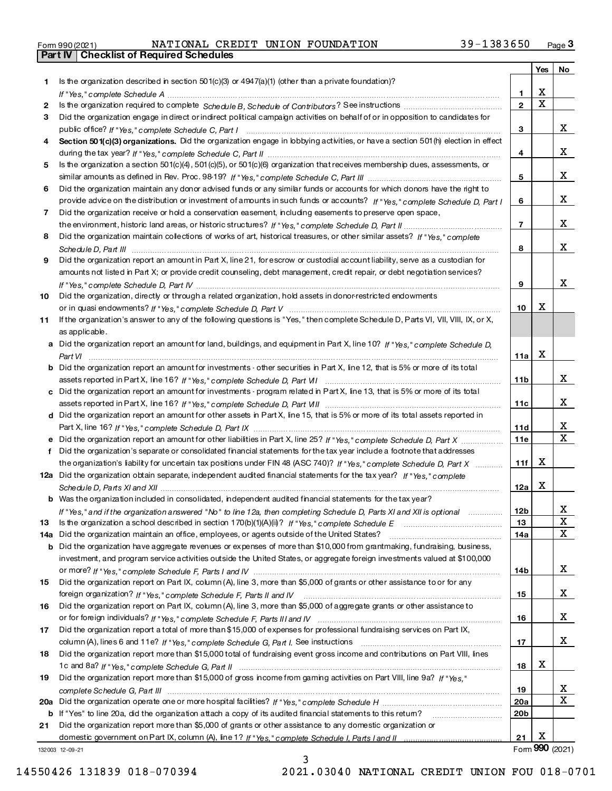| Form 990 (2021) |                                                  |  | NATIONAL CREDIT UNION FOUNDATION | $39 - 1383650$ | Page |
|-----------------|--------------------------------------------------|--|----------------------------------|----------------|------|
|                 | <b>Part IV   Checklist of Required Schedules</b> |  |                                  |                |      |

|     |                                                                                                                                       |                 | Yes         | No |
|-----|---------------------------------------------------------------------------------------------------------------------------------------|-----------------|-------------|----|
| 1.  | Is the organization described in section $501(c)(3)$ or $4947(a)(1)$ (other than a private foundation)?                               |                 |             |    |
|     |                                                                                                                                       | 1               | х           |    |
| 2   |                                                                                                                                       | $\mathbf{2}$    | $\mathbf X$ |    |
| З.  | Did the organization engage in direct or indirect political campaign activities on behalf of or in opposition to candidates for       |                 |             |    |
|     |                                                                                                                                       | 3               |             | x  |
| 4   | Section 501(c)(3) organizations. Did the organization engage in lobbying activities, or have a section 501(h) election in effect      |                 |             |    |
|     |                                                                                                                                       | 4               |             | x  |
| 5   | Is the organization a section 501(c)(4), 501(c)(5), or 501(c)(6) organization that receives membership dues, assessments, or          |                 |             |    |
|     |                                                                                                                                       | 5               |             | x  |
| 6   | Did the organization maintain any donor advised funds or any similar funds or accounts for which donors have the right to             |                 |             |    |
|     | provide advice on the distribution or investment of amounts in such funds or accounts? If "Yes," complete Schedule D, Part I          | 6               |             | x  |
| 7   | Did the organization receive or hold a conservation easement, including easements to preserve open space,                             |                 |             |    |
|     |                                                                                                                                       | $\overline{7}$  |             | x  |
| 8   | Did the organization maintain collections of works of art, historical treasures, or other similar assets? If "Yes," complete          |                 |             |    |
|     |                                                                                                                                       | 8               |             | x  |
| 9   | Did the organization report an amount in Part X, line 21, for escrow or custodial account liability, serve as a custodian for         |                 |             |    |
|     | amounts not listed in Part X; or provide credit counseling, debt management, credit repair, or debt negotiation services?             |                 |             |    |
|     |                                                                                                                                       | 9               |             | x  |
| 10  | Did the organization, directly or through a related organization, hold assets in donor-restricted endowments                          |                 |             |    |
|     |                                                                                                                                       | 10              | х           |    |
| 11  | If the organization's answer to any of the following questions is "Yes," then complete Schedule D, Parts VI, VII, VIII, IX, or X,     |                 |             |    |
|     | as applicable.                                                                                                                        |                 |             |    |
|     | a Did the organization report an amount for land, buildings, and equipment in Part X, line 10? If "Yes." complete Schedule D.         |                 |             |    |
|     |                                                                                                                                       | 11a             | х           |    |
|     | <b>b</b> Did the organization report an amount for investments - other securities in Part X, line 12, that is 5% or more of its total |                 |             |    |
|     |                                                                                                                                       | 11 <sub>b</sub> |             | x  |
|     | c Did the organization report an amount for investments - program related in Part X, line 13, that is 5% or more of its total         |                 |             |    |
|     |                                                                                                                                       | 11c             |             | х  |
|     | d Did the organization report an amount for other assets in Part X, line 15, that is 5% or more of its total assets reported in       |                 |             |    |
|     |                                                                                                                                       | 11d             |             | x  |
|     | e Did the organization report an amount for other liabilities in Part X, line 25? If "Yes," complete Schedule D, Part X               | 11e             |             | X  |
| f   | Did the organization's separate or consolidated financial statements for the tax year include a footnote that addresses               |                 |             |    |
|     | the organization's liability for uncertain tax positions under FIN 48 (ASC 740)? If "Yes," complete Schedule D, Part X                | 11f             | X           |    |
|     | 12a Did the organization obtain separate, independent audited financial statements for the tax year? If "Yes," complete               |                 |             |    |
|     |                                                                                                                                       | 12a             | х           |    |
|     | <b>b</b> Was the organization included in consolidated, independent audited financial statements for the tax year?                    |                 |             |    |
|     | If "Yes," and if the organization answered "No" to line 12a, then completing Schedule D, Parts XI and XII is optional                 | 12 <sub>b</sub> |             | х  |
| 13. |                                                                                                                                       | 13              |             | X  |
|     | 14a Did the organization maintain an office, employees, or agents outside of the United States?                                       | 14a             |             | x  |
|     | <b>b</b> Did the organization have aggregate revenues or expenses of more than \$10,000 from grantmaking, fundraising, business,      |                 |             |    |
|     | investment, and program service activities outside the United States, or aggregate foreign investments valued at \$100,000            |                 |             | x  |
|     |                                                                                                                                       | 14b             |             |    |
| 15  | Did the organization report on Part IX, column (A), line 3, more than \$5,000 of grants or other assistance to or for any             |                 |             | x  |
|     | Did the organization report on Part IX, column (A), line 3, more than \$5,000 of aggregate grants or other assistance to              | 15              |             |    |
| 16  |                                                                                                                                       |                 |             | x  |
|     |                                                                                                                                       | 16              |             |    |
| 17  | Did the organization report a total of more than \$15,000 of expenses for professional fundraising services on Part IX,               | 17              |             | x  |
|     | Did the organization report more than \$15,000 total of fundraising event gross income and contributions on Part VIII, lines          |                 |             |    |
| 18  |                                                                                                                                       | 18              | х           |    |
| 19  | Did the organization report more than \$15,000 of gross income from gaming activities on Part VIII, line 9a? If "Yes."                |                 |             |    |
|     |                                                                                                                                       | 19              |             | X  |
|     | complete Schedule G, Part III machines and contained a complete Schedule G, Part III machines and complete Schedule G, Part III       | 20a             |             | X  |
|     | b If "Yes" to line 20a, did the organization attach a copy of its audited financial statements to this retum?                         | 20b             |             |    |
| 21  | Did the organization report more than \$5,000 of grants or other assistance to any domestic organization or                           |                 |             |    |
|     |                                                                                                                                       | 21              | х           |    |
|     |                                                                                                                                       |                 |             |    |

3

13200312-09-21

14550426131839018-0703942021.03040NATIONALCREDITUNIONFOU018-0701

Form **990** (2021)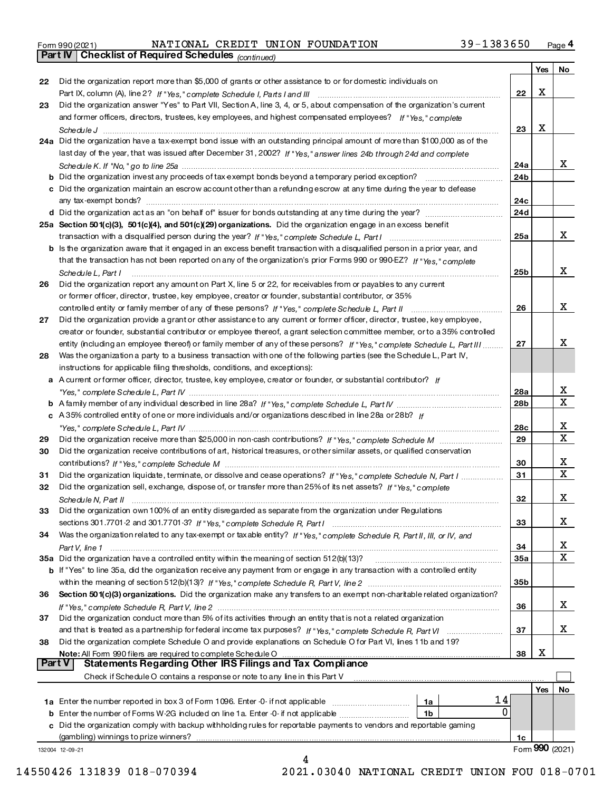| Form 990 (2021) |  |
|-----------------|--|
|-----------------|--|

Part IV | Checklist of Required Schedules

(continued) Form 990(2021) NATIONAL CREDIT UNION FOUNDATION 39-1383650 <sub>Page</sub> 4 NATIONALCREDITUNIONFOUNDATION 39-1383650

|               |                                                                                                                                                                 |     | Yes | No               |
|---------------|-----------------------------------------------------------------------------------------------------------------------------------------------------------------|-----|-----|------------------|
| 22            | Did the organization report more than \$5,000 of grants or other assistance to or for domestic individuals on                                                   |     |     |                  |
|               |                                                                                                                                                                 | 22  | Х   |                  |
| 23            | Did the organization answer "Yes" to Part VII, Section A, line 3, 4, or 5, about compensation of the organization's current                                     |     |     |                  |
|               | and former officers, directors, trustees, key employees, and highest compensated employees? If "Yes," complete                                                  |     |     |                  |
|               |                                                                                                                                                                 | 23  | X   |                  |
|               | 24a Did the organization have a tax-exempt bond issue with an outstanding principal amount of more than \$100,000 as of the                                     |     |     |                  |
|               | last day of the year, that was issued after December 31, 2002? If "Yes," answer lines 24b through 24d and complete                                              |     |     |                  |
|               |                                                                                                                                                                 | 24a |     | x                |
|               | <b>b</b> Did the organization invest any proceeds of tax exempt bonds beyond a temporary period exception?                                                      | 24b |     |                  |
|               | c Did the organization maintain an escrow account other than a refunding escrow at any time during the year to defease                                          |     |     |                  |
|               | any tax-exempt bonds?                                                                                                                                           | 24c |     |                  |
|               |                                                                                                                                                                 | 24d |     |                  |
|               | 25a Section 501(c)(3), 501(c)(4), and 501(c)(29) organizations. Did the organization engage in an excess benefit                                                |     |     |                  |
|               |                                                                                                                                                                 | 25a |     | x                |
|               | b Is the organization aware that it engaged in an excess benefit transaction with a disqualified person in a prior year, and                                    |     |     |                  |
|               | that the transaction has not been reported on any of the organization's prior Forms 990 or 990-EZ? If "Yes," complete                                           |     |     |                  |
|               |                                                                                                                                                                 | 25b |     | х                |
| 26            | Schedule L, Part I<br>Did the organization report any amount on Part X, line 5 or 22, for receivables from or payables to any current                           |     |     |                  |
|               | or former officer, director, trustee, key employee, creator or founder, substantial contributor, or 35%                                                         |     |     |                  |
|               |                                                                                                                                                                 | 26  |     | х                |
| 27            |                                                                                                                                                                 |     |     |                  |
|               | Did the organization provide a grant or other assistance to any current or former officer, director, trustee, key employee,                                     |     |     |                  |
|               | creator or founder, substantial contributor or employee thereof, a grant selection committee member, or to a 35% controlled                                     |     |     | x                |
|               | entity (including an employee thereof) or family member of any of these persons? If "Yes," complete Schedule L, Part III                                        | 27  |     |                  |
| 28            | Was the organization a party to a business transaction with one of the following parties (see the Schedule L, Part IV,                                          |     |     |                  |
|               | instructions for applicable filing thresholds, conditions, and exceptions):                                                                                     |     |     |                  |
|               | a A current or former officer, director, trustee, key employee, creator or founder, or substantial contributor? If                                              |     |     |                  |
|               |                                                                                                                                                                 | 28a |     | x<br>$\mathbf x$ |
|               |                                                                                                                                                                 | 28b |     |                  |
|               | c A35% controlled entity of one or more individuals and/or organizations described in line 28a or 28b? If                                                       |     |     |                  |
|               |                                                                                                                                                                 | 28c |     | x                |
| 29            |                                                                                                                                                                 | 29  |     | $\mathbf x$      |
| 30            | Did the organization receive contributions of art, historical treasures, or other similar assets, or qualified conservation                                     |     |     |                  |
|               |                                                                                                                                                                 | 30  |     | х                |
| 31            | Did the organization liquidate, terminate, or dissolve and cease operations? If "Yes," complete Schedule N, Part I                                              | 31  |     | X                |
| 32            | Did the organization sell, exchange, dispose of, or transfer more than 25% of its net assets? If "Yes," complete                                                |     |     |                  |
|               | Schedule N, Part II                                                                                                                                             | 32  |     | x                |
| 33.           | Did the organization own 100% of an entity disregarded as separate from the organization under Regulations                                                      |     |     |                  |
|               |                                                                                                                                                                 | 33  |     | x                |
| 34            | Was the organization related to any tax-exempt or taxable entity? If "Yes," complete Schedule R, Part II, III, or IV, and                                       |     |     |                  |
|               |                                                                                                                                                                 | 34  |     | х                |
|               |                                                                                                                                                                 | 35a |     | x                |
|               | <b>b</b> If "Yes" to line 35a, did the organization receive any payment from or engage in any transaction with a controlled entity                              |     |     |                  |
|               |                                                                                                                                                                 | 35b |     |                  |
| 36            | Section 501(c)(3) organizations. Did the organization make any transfers to an exempt non-charitable related organization?                                      |     |     |                  |
|               |                                                                                                                                                                 | 36  |     | x                |
| 37            | Did the organization conduct more than 5% of its activities through an entity that is not a related organization                                                |     |     |                  |
|               |                                                                                                                                                                 | 37  |     | х                |
| 38            | Did the organization complete Schedule O and provide explanations on Schedule O for Part VI, lines 11b and 19?                                                  |     |     |                  |
|               |                                                                                                                                                                 | 38  | х   |                  |
| <b>Part V</b> | Statements Regarding Other IRS Filings and Tax Compliance                                                                                                       |     |     |                  |
|               | Check if Schedule O contains a response or note to any line in this Part V [11] [12] Check if Schedule O contains a response or note to any line in this Part V |     |     |                  |
|               |                                                                                                                                                                 |     | Yes | No               |
|               | 14                                                                                                                                                              |     |     |                  |
|               | 1a Enter the number reported in box 3 of Form 1096. Enter -0- if not applicable<br>1a<br>0                                                                      |     |     |                  |
|               | <b>b</b> Enter the number of Forms W-2G included on line 1a. Enter -0- if not applicable <i>manumerane</i> on<br>1b                                             |     |     |                  |
|               | c Did the organization comply with backup withholding rules for reportable payments to vendors and reportable gaming                                            |     |     |                  |
|               |                                                                                                                                                                 | 1c  |     | Form 990 (2021)  |
|               | 132004 12-09-21<br>4                                                                                                                                            |     |     |                  |

14550426131839018-0703942021.03040NATIONALCREDITUNIONFOU018-0701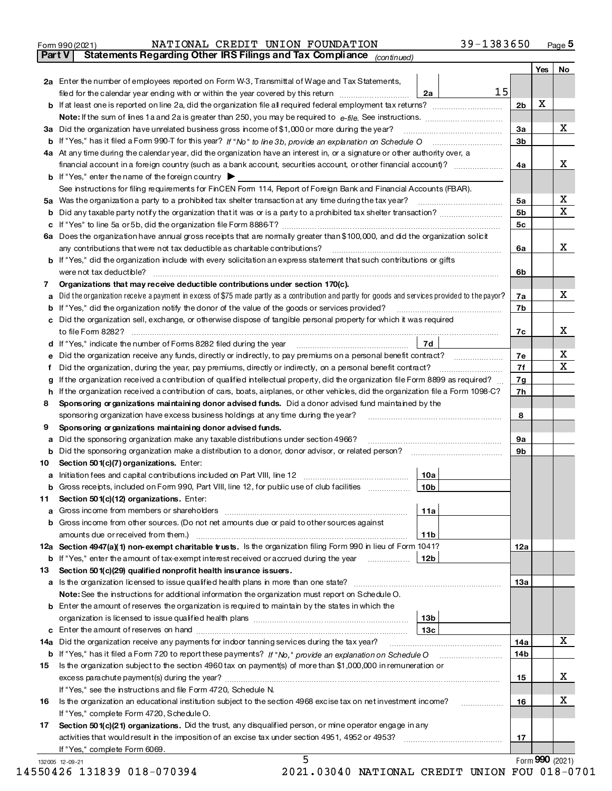| Form 990 (2021) |  | NATIONAL CREDIT UNION FOUNDATION | $39 - 1383650$ | Page 5 |
|-----------------|--|----------------------------------|----------------|--------|
|                 |  |                                  |                |        |

Part V Statements Regarding Other IRS Filings and Tax Compli ance  $\sigma_{(continued)}$ 

|                                                                                                            |                                                                                                                                                 |                 |    |                | Yes             | No                      |
|------------------------------------------------------------------------------------------------------------|-------------------------------------------------------------------------------------------------------------------------------------------------|-----------------|----|----------------|-----------------|-------------------------|
|                                                                                                            | 2a Enter the number of employees reported on Form W-3, Transmittal of Wage and Tax Statements,                                                  |                 |    |                |                 |                         |
|                                                                                                            | filed for the calendar year ending with or within the year covered by this return                                                               | 2a              | 15 |                |                 |                         |
|                                                                                                            |                                                                                                                                                 |                 |    | 2 <sub>b</sub> | X               |                         |
|                                                                                                            |                                                                                                                                                 |                 |    |                |                 |                         |
| За                                                                                                         |                                                                                                                                                 |                 |    | 3a             |                 | X                       |
| b                                                                                                          |                                                                                                                                                 |                 |    | 3 <sub>b</sub> |                 |                         |
|                                                                                                            | 4a At any time during the calendar year, did the organization have an interest in, or a signature or other authority over, a                    |                 |    |                |                 |                         |
|                                                                                                            |                                                                                                                                                 |                 |    | 4a             |                 | х                       |
|                                                                                                            | <b>b</b> If "Yes," enter the name of the foreign country $\triangleright$                                                                       |                 |    |                |                 |                         |
|                                                                                                            | See instructions for filing requirements for FinCEN Form 114, Report of Foreign Bank and Financial Accounts (FBAR).                             |                 |    |                |                 |                         |
| 5a                                                                                                         | Was the organization a party to a prohibited tax shelter transaction at any time during the tax year?                                           |                 |    | 5a             |                 | Х<br>X                  |
| b                                                                                                          |                                                                                                                                                 |                 |    | 5 <sub>b</sub> |                 |                         |
| c                                                                                                          |                                                                                                                                                 |                 |    | 5с             |                 |                         |
|                                                                                                            | 6a Does the organization have annual gross receipts that are normally greater than \$100,000, and did the organization solicit                  |                 |    |                |                 | x                       |
|                                                                                                            | <b>b</b> If "Yes," did the organization include with every solicitation an express statement that such contributions or gifts                   |                 |    | 6a             |                 |                         |
|                                                                                                            | were not tax deductible?                                                                                                                        |                 |    | 6b             |                 |                         |
| 7                                                                                                          | Organizations that may receive deductible contributions under section 170(c).                                                                   |                 |    |                |                 |                         |
| a                                                                                                          | Did the organization receive a payment in excess of \$75 made partly as a contribution and partly for goods and services provided to the payor? |                 |    | 7a             |                 | X                       |
| b                                                                                                          | If "Yes," did the organization notify the donor of the value of the goods or services provided?                                                 |                 |    | 7b             |                 |                         |
| c                                                                                                          | Did the organization sell, exchange, or otherwise dispose of tangible personal property for which it was required                               |                 |    |                |                 |                         |
|                                                                                                            |                                                                                                                                                 |                 |    | 7с             |                 | х                       |
| d                                                                                                          | If "Yes," indicate the number of Forms 8282 filed during the year                                                                               | <b>7d</b>       |    |                |                 |                         |
| е                                                                                                          | Did the organization receive any funds, directly or indirectly, to pay premiums on a personal benefit contract?                                 |                 |    | 7е             |                 | x                       |
| f                                                                                                          | Did the organization, during the year, pay premiums, directly or indirectly, on a personal benefit contract?                                    |                 |    | 7f             |                 | $\overline{\mathbf{x}}$ |
| $\mathbf{q}$                                                                                               | If the organization received a contribution of qualified intellectual property, did the organization file Form 8899 as required?                |                 |    | 7g             |                 |                         |
| h.                                                                                                         | If the organization received a contribution of cars, boats, airplanes, or other vehicles, did the organization file a Form 1098-C?              |                 |    | 7h             |                 |                         |
| Sponsoring or ganizations maintaining donor advised funds. Did a donor advised fund maintained by the<br>8 |                                                                                                                                                 |                 |    |                |                 |                         |
|                                                                                                            | sponsoring organization have excess business holdings at any time during the year?                                                              |                 |    | 8              |                 |                         |
| 9                                                                                                          | Sponsoring or ganizations maintaining donor advised funds.                                                                                      |                 |    |                |                 |                         |
| a                                                                                                          | Did the sponsoring organization make any taxable distributions under section 4966?                                                              |                 |    | 9а             |                 |                         |
| b                                                                                                          | Did the sponsoring organization make a distribution to a donor, donor advisor, or related person?                                               |                 |    | 9b             |                 |                         |
| 10                                                                                                         | Section 501(c)(7) organizations. Enter:                                                                                                         |                 |    |                |                 |                         |
| a                                                                                                          | Initiation fees and capital contributions included on Part VIII, line 12                                                                        | 10a             |    |                |                 |                         |
| b                                                                                                          | Gross receipts, included on Form 990, Part VIII, line 12, for public use of club facilities                                                     | 10 <sub>b</sub> |    |                |                 |                         |
| 11.                                                                                                        | Section 501(c)(12) organizations. Enter:<br>a Gross income from members or shareholders                                                         | 11a             |    |                |                 |                         |
|                                                                                                            | b Gross income from other sources. (Do not net amounts due or paid to other sources against                                                     |                 |    |                |                 |                         |
|                                                                                                            | amounts due or received from them.)                                                                                                             | 11b             |    |                |                 |                         |
|                                                                                                            | 12a Section 4947(a)(1) non-exempt charitable trusts. Is the organization filing Form 990 in lieu of Form 1041?                                  |                 |    | 12a            |                 |                         |
|                                                                                                            | <b>b</b> If "Yes," enter the amount of tax-exempt interest received or accrued during the year                                                  | 12 <sub>b</sub> |    |                |                 |                         |
| 13                                                                                                         | Section 501(c)(29) qualified nonprofit health insurance issuers.                                                                                |                 |    |                |                 |                         |
|                                                                                                            | a Is the organization licensed to issue qualified health plans in more than one state?                                                          |                 |    | 13a            |                 |                         |
|                                                                                                            | Note: See the instructions for additional information the organization must report on Schedule O.                                               |                 |    |                |                 |                         |
|                                                                                                            | <b>b</b> Enter the amount of reserves the organization is required to maintain by the states in which the                                       |                 |    |                |                 |                         |
|                                                                                                            |                                                                                                                                                 | 13b             |    |                |                 |                         |
|                                                                                                            |                                                                                                                                                 | 13с             |    |                |                 |                         |
|                                                                                                            | 14a Did the organization receive any payments for indoor tanning services during the tax year?                                                  |                 |    | 14a            |                 | X                       |
|                                                                                                            | <b>b</b> If "Yes," has it filed a Form 720 to report these payments? If "No," provide an explanation on Schedule O                              |                 |    | 14b            |                 |                         |
| 15                                                                                                         | Is the organization subject to the section 4960 tax on payment(s) of more than \$1,000,000 in remuneration or                                   |                 |    |                |                 |                         |
|                                                                                                            |                                                                                                                                                 |                 |    | 15             |                 | х                       |
|                                                                                                            | If "Yes," see the instructions and file Form 4720, Schedule N.                                                                                  |                 |    |                |                 |                         |
| 16                                                                                                         | Is the organization an educational institution subject to the section 4968 excise tax on net investment income?                                 |                 |    | 16             |                 | х                       |
|                                                                                                            | If "Yes," complete Form 4720, Schedule O.                                                                                                       |                 |    |                |                 |                         |
| 17                                                                                                         | Section 501(c)(21) organizations. Did the trust, any disqualified person, or mine operator engage in any                                        |                 |    |                |                 |                         |
|                                                                                                            | activities that would result in the imposition of an excise tax under section 4951, 4952 or 4953?<br>If "Yes," complete Form 6069.              |                 |    | 17             |                 |                         |
|                                                                                                            | 5<br>132005 12-09-21                                                                                                                            |                 |    |                | Form 990 (2021) |                         |

14550426131839018-0703942021.03040NATIONALCREDITUNIONFOU018-0701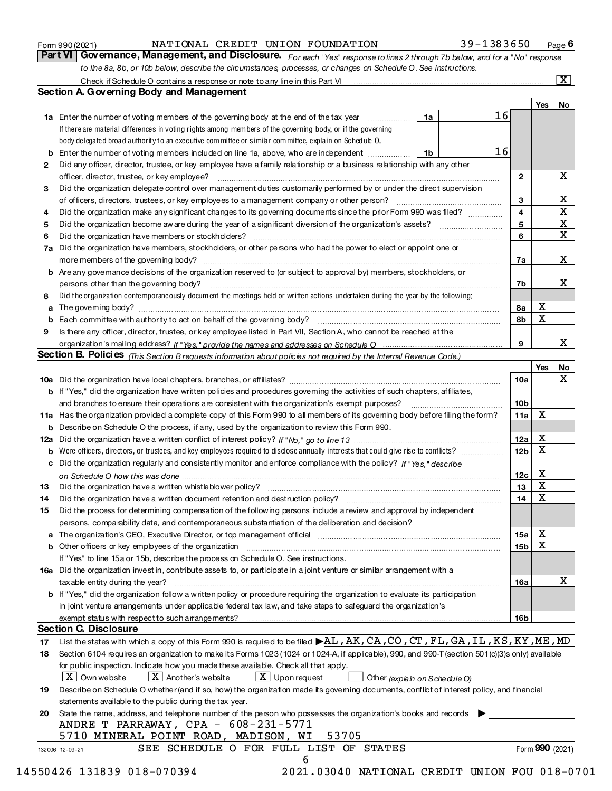| Form 990 (2021) |  |
|-----------------|--|
|-----------------|--|

# Form 990 (2021) NATIONAL(CREDIT UNION FOUNDATION 39-I38 36 50 Page NATIONAL CREDIT UNION FOUNDATION 39-1383650

Page 6

For each "Yes" response to lines 2 through 7b below, and for a "No" response to line 8a, 8b, or 10b below, describe the circumstances, processes, or changes on Schedule O. See instructions. Check if Schedule O contains a response or note to any line in this Part VI Part VI | Governance, Management, and Disclosure.  $\boxed{\text{X}}$ 

|    |                                                                                                                                                  |    |    |                 | Yes             | No          |
|----|--------------------------------------------------------------------------------------------------------------------------------------------------|----|----|-----------------|-----------------|-------------|
|    | 1a Enter the number of voting members of the governing body at the end of the tax year                                                           | 1a | 16 |                 |                 |             |
|    | If there are material differences in voting rights among members of the governing body, or if the governing                                      |    |    |                 |                 |             |
|    | body delegated broad authority to an executive committee or similar committee, explain on Schedule O.                                            |    |    |                 |                 |             |
|    | <b>b</b> Enter the number of voting members included on line 1a, above, who are independent                                                      | 1b | 16 |                 |                 |             |
| 2  | Did any officer, director, trustee, or key employee have a family relationship or a business relationship with any other                         |    |    |                 |                 |             |
|    | officer, director, trustee, or key employee?                                                                                                     |    |    | $\mathbf{2}$    |                 | х           |
| 3  | Did the organization delegate control over management duties customarily performed by or under the direct supervision                            |    |    |                 |                 |             |
|    |                                                                                                                                                  |    |    | 3               |                 | X           |
| 4  | Did the organization make any significant changes to its governing documents since the prior Form 990 was filed?                                 |    |    | $\overline{4}$  |                 | $\mathbf X$ |
| 5  |                                                                                                                                                  |    |    | 5               |                 | $\mathbf X$ |
| 6  | Did the organization have members or stockholders?                                                                                               |    |    | 6               |                 | X           |
|    | 7a Did the organization have members, stockholders, or other persons who had the power to elect or appoint one or                                |    |    | 7a              |                 | x           |
|    | b Are any governance decisions of the organization reserved to (or subject to approval by) members, stockholders, or                             |    |    |                 |                 |             |
|    | persons other than the governing body?                                                                                                           |    |    | 7b              |                 | х           |
|    | Did the organization contemporaneously document the meetings held or written actions undertaken during the vear by the following:                |    |    |                 |                 |             |
| 8  |                                                                                                                                                  |    |    | 8а              | х               |             |
| a  |                                                                                                                                                  |    |    | 8b              | X               |             |
|    |                                                                                                                                                  |    |    |                 |                 |             |
| 9  | Is there any officer, director, trustee, or key employee listed in Part VII, Section A, who cannot be reached at the                             |    |    | 9               |                 | x           |
|    |                                                                                                                                                  |    |    |                 |                 |             |
|    | Section B. Policies (This Section B requests information about policies not required by the Internal Revenue Code.)                              |    |    |                 |                 |             |
|    |                                                                                                                                                  |    |    |                 | Yes             | No<br>X     |
|    |                                                                                                                                                  |    |    | 10a             |                 |             |
|    | <b>b</b> If "Yes," did the organization have written policies and procedures governing the activities of such chapters, affiliates,              |    |    |                 |                 |             |
|    | and branches to ensure their operations are consistent with the organization's exempt purposes?                                                  |    |    | 10 <sub>b</sub> |                 |             |
|    | 11a Has the organization provided a complete copy of this Form 990 to all members of its governing body before filing the form?                  |    |    | 11a             | X               |             |
|    | <b>b</b> Describe on Schedule O the process, if any, used by the organization to review this Form 990.                                           |    |    |                 |                 |             |
|    |                                                                                                                                                  |    |    | 12a             | x               |             |
| b  |                                                                                                                                                  |    |    | 12 <sub>b</sub> | x               |             |
| c  | Did the organization regularly and consistently monitor and enforce compliance with the policy? If "Yes." describe                               |    |    |                 |                 |             |
|    |                                                                                                                                                  |    |    | 12c             | x               |             |
| 13 |                                                                                                                                                  |    |    | 13              | х               |             |
| 14 |                                                                                                                                                  |    |    | 14              | x               |             |
| 15 | Did the process for determining compensation of the following persons include a review and approval by independent                               |    |    |                 |                 |             |
|    | persons, comparability data, and contemporaneous substantiation of the deliberation and decision?                                                |    |    |                 |                 |             |
|    | a The organization's CEO, Executive Director, or top management official                                                                         |    |    | 15a             | x               |             |
|    |                                                                                                                                                  |    |    | 15 <sub>b</sub> | х               |             |
|    | If "Yes" to line 15a or 15b, describe the process on Schedule O. See instructions.                                                               |    |    |                 |                 |             |
|    | 16a Did the organization investin, contribute assets to, or participate in a joint venture or similar arrangement with a                         |    |    |                 |                 |             |
|    | tax able entity during the year?                                                                                                                 |    |    | 16a             |                 | х           |
|    | b If "Yes," did the organization follow a written policy or procedure requiring the organization to evaluate its participation                   |    |    |                 |                 |             |
|    | in joint venture arrangements under applicable federal tax law, and take steps to safeguard the organization's                                   |    |    |                 |                 |             |
|    | exempt status with respect to such arrangements?                                                                                                 |    |    | 16b             |                 |             |
|    | <b>Section C. Disclosure</b>                                                                                                                     |    |    |                 |                 |             |
| 17 | List the states with which a copy of this Form 990 is required to be filed ▶AL, AK, CA, CO, CT, FL, GA, IL, KS, KY, ME, MD                       |    |    |                 |                 |             |
| 18 | Section 6104 requires an organization to make its Forms 1023 (1024 or 1024 A, if applicable), 990, and 990 T (section 501(c)(3)s only) available |    |    |                 |                 |             |
|    | for public inspection. Indicate how you made these available. Check all that apply.                                                              |    |    |                 |                 |             |
|    | $\lfloor x \rfloor$ Another's website<br>$X$ Upon request<br>$ X $ Own website<br>Other (explain on Schedule O)                                  |    |    |                 |                 |             |
| 19 | Describe on Schedule O whether (and if so, how) the organization made its governing documents, conflict of interest policy, and financial        |    |    |                 |                 |             |
|    | statements available to the public during the tax year.                                                                                          |    |    |                 |                 |             |
| 20 | State the name, address, and telephone number of the person who possesses the organization's books and records                                   |    |    |                 |                 |             |
|    | ANDRE T PARRAWAY, CPA - 608-231-5771                                                                                                             |    |    |                 |                 |             |
|    | 53705<br>5710 MINERAL POINT ROAD, MADISON, WI                                                                                                    |    |    |                 |                 |             |
|    | SEE SCHEDULE O FOR FULL LIST OF STATES<br>132006 12-09-21                                                                                        |    |    |                 | Form 990 (2021) |             |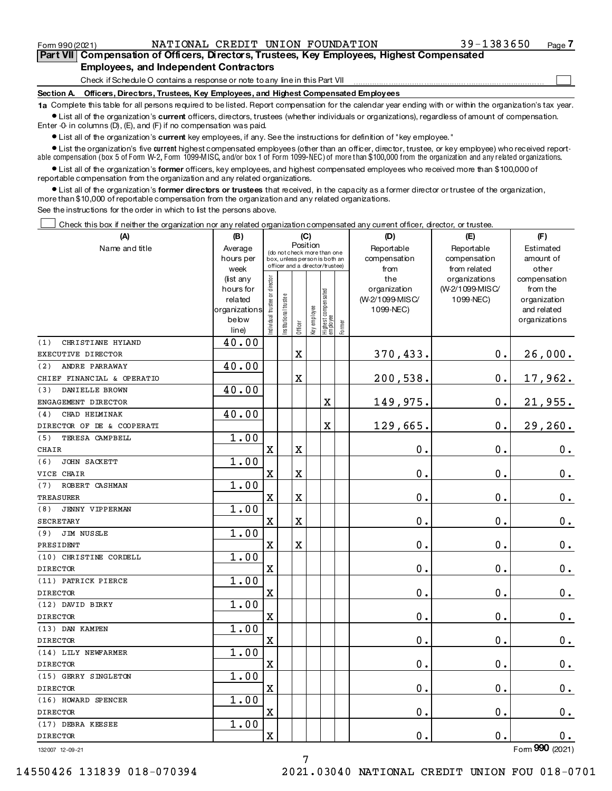|            | Part VII Compensation of Officers, Directors, Trustees, Key Employees, Highest Compensated |  |
|------------|--------------------------------------------------------------------------------------------|--|
|            | <b>Employees, and Independent Contractors</b>                                              |  |
|            | Check if Schedule O contains a response or note to any line in this Part VII               |  |
| Section A. | Officers, Directors, Trustees, Key Employees, and Highest Compensated Employees            |  |

Form 990(2021) NATIONAL CREDIT UNION FOUNDATION 39-1383650 Page

Page 7

1a Complete this table for all persons required to be listed. Report compensation for the calendar year ending with or within the organization's tax year.  $\bullet$  List all of the organization's current officers, directors, trustees (whether individuals or organizations), regardless of amount of compensation.

Enter-0-in columns  $(D)$ ,  $(E)$ , and  $(F)$  if no compensation was paid.

**•** List all of the organization's current key employees, if any. See the instructions for definition of "key employee."

• List the organization's five current highest compensated employees (other than an officer, director, trustee, or key employee) who received reportable compensation (box 5 of Form W-2, Form 1099-MISC, and/or box 1 of Form 1099-NEC) of more than \$100,000 from the organization and any related organizations.

 $\bullet$  List all of the organization's former officers, key employees, and highest compensated employees who received more than \$100,000 of reportable compensation from the organization and any related organizations.

Ist all of the organization's former directors or trustees that received, in the capacity as a former director or trustee of the organization, more than \$10,000 of reportable compensation from the organization and any related organizations.

See the instructions for the order in which to list the persons above.

Check this box if neither the organization nor any related organization compensated any current officer, director, or trustee  $\Box$ 

| (A)                           | (B)                  | (C)                           |                                                                  | (D)                     | (E)          | (F)                             |           |                                 |                              |                          |
|-------------------------------|----------------------|-------------------------------|------------------------------------------------------------------|-------------------------|--------------|---------------------------------|-----------|---------------------------------|------------------------------|--------------------------|
| Name and title                | Average              |                               | Position<br>(do not check more than one                          |                         | Reportable   | Reportable                      | Estimated |                                 |                              |                          |
|                               | hours per            |                               | box, unless person is both an<br>officer and a director/trustee) |                         |              |                                 |           | compensation                    | compensation                 | amount of                |
|                               | week                 |                               |                                                                  |                         |              |                                 |           | from                            | from related                 | other                    |
|                               | (list any            |                               |                                                                  |                         |              |                                 |           | the                             | organizations                | compensation             |
|                               | hours for<br>related |                               |                                                                  |                         |              |                                 |           | organization<br>(W-2/1099-MISC/ | (W-2/1099-MISC/<br>1099-NEC) | from the<br>organization |
|                               | organizations        |                               |                                                                  |                         |              |                                 |           | 1099-NEC)                       |                              | and related              |
|                               | below                | ndividual trustee or director | nstitutional trustee                                             |                         |              |                                 |           |                                 |                              | organizations            |
|                               | line)                |                               |                                                                  | Officer                 | Key employee | Highest compensated<br>employee | Former    |                                 |                              |                          |
| (1)<br>CHRISTIANE HYLAND      | 40.00                |                               |                                                                  |                         |              |                                 |           |                                 |                              |                          |
| EXECUTIVE DIRECTOR            |                      |                               |                                                                  | $\mathbf X$             |              |                                 |           | 370,433.                        | 0.                           | 26,000.                  |
| ANDRE PARRAWAY<br>(2)         | 40.00                |                               |                                                                  |                         |              |                                 |           |                                 |                              |                          |
| CHIEF FINANCIAL & OPERATIO    |                      |                               |                                                                  | $\overline{\textbf{X}}$ |              |                                 |           | 200,538.                        | 0.                           | 17,962.                  |
| (3)<br>DANIELLE BROWN         | 40.00                |                               |                                                                  |                         |              |                                 |           |                                 |                              |                          |
| ENGAGEMENT DIRECTOR           |                      |                               |                                                                  |                         |              | X                               |           | 149,975.                        | 0.                           | 21,955.                  |
| (4)<br>CHAD HELMINAK          | 40.00                |                               |                                                                  |                         |              |                                 |           |                                 |                              |                          |
| DIRECTOR OF DE & COOPERATI    |                      |                               |                                                                  |                         |              | $\mathbf X$                     |           | 129,665.                        | 0.                           | 29,260.                  |
| (5)<br>TERESA CAMPBELL        | 1.00                 |                               |                                                                  |                         |              |                                 |           |                                 |                              |                          |
| CHAIR                         |                      | $\mathbf X$                   |                                                                  | $\overline{\mathbf{X}}$ |              |                                 |           | $\mathbf 0$ .                   | 0.                           | $0_{.}$                  |
| JOHN SACKETT<br>(6)           | 1.00                 |                               |                                                                  |                         |              |                                 |           |                                 |                              |                          |
| VICE CHAIR                    |                      | $\mathbf X$                   |                                                                  | $\overline{\mathbf{X}}$ |              |                                 |           | 0.                              | 0.                           | $\mathbf 0$ .            |
| ROBERT CASHMAN<br>(7)         | 1.00                 |                               |                                                                  |                         |              |                                 |           |                                 |                              |                          |
| TREASURER                     |                      | $\mathbf X$                   |                                                                  | $\overline{\text{X}}$   |              |                                 |           | 0.                              | 0.                           | $\mathbf 0$ .            |
| <b>JENNY VIPPERMAN</b><br>(8) | 1.00                 |                               |                                                                  |                         |              |                                 |           |                                 |                              |                          |
| SECRETARY                     |                      | $\mathbf X$                   |                                                                  | X                       |              |                                 |           | 0.                              | 0.                           | $\mathbf 0$ .            |
| JIM NUSSLE<br>(9)             | 1.00                 |                               |                                                                  |                         |              |                                 |           |                                 |                              |                          |
| PRESIDENT                     |                      | $\mathbf X$                   |                                                                  | $\mathbf X$             |              |                                 |           | $\mathbf 0$ .                   | 0.                           | $\mathbf 0$ .            |
| (10) CHRISTINE CORDELL        | 1.00                 |                               |                                                                  |                         |              |                                 |           |                                 |                              |                          |
| <b>DIRECTOR</b>               |                      | $\mathbf X$                   |                                                                  |                         |              |                                 |           | $\mathbf 0$ .                   | 0.                           | 0.                       |
| (11) PATRICK PIERCE           | 1.00                 |                               |                                                                  |                         |              |                                 |           |                                 |                              |                          |
| <b>DIRECTOR</b>               |                      | $\mathbf X$                   |                                                                  |                         |              |                                 |           | 0.                              | 0.                           | $0$ .                    |
| (12) DAVID BIRKY              | 1.00                 |                               |                                                                  |                         |              |                                 |           |                                 |                              |                          |
| <b>DIRECTOR</b>               |                      | $\mathbf X$                   |                                                                  |                         |              |                                 |           | $\mathbf 0$ .                   | 0.                           | $\mathbf 0$ .            |
| (13) DAN KAMPEN               | 1.00                 |                               |                                                                  |                         |              |                                 |           |                                 |                              |                          |
| <b>DIRECTOR</b>               |                      | $\mathbf X$                   |                                                                  |                         |              |                                 |           | $\mathbf 0$ .                   | 0.                           | $\mathbf 0$ .            |
| (14) LILY NEWFARMER           | 1.00                 |                               |                                                                  |                         |              |                                 |           |                                 |                              |                          |
| <b>DIRECTOR</b>               |                      | $\mathbf X$                   |                                                                  |                         |              |                                 |           | 0.                              | 0.                           | 0.                       |
| (15) GERRY SINGLETON          | 1.00                 |                               |                                                                  |                         |              |                                 |           |                                 |                              |                          |
| <b>DIRECTOR</b>               |                      | $\mathbf X$                   |                                                                  |                         |              |                                 |           | 0.                              | 0.                           | 0.                       |
| (16) HOWARD SPENCER           | 1.00                 |                               |                                                                  |                         |              |                                 |           |                                 |                              |                          |
| <b>DIRECTOR</b>               |                      | $\mathbf X$                   |                                                                  |                         |              |                                 |           | $\mathbf 0$ .                   | $\mathbf 0$ .                | $0$ .                    |
| (17) DEBRA KEESEE             | 1.00                 |                               |                                                                  |                         |              |                                 |           |                                 |                              |                          |
| <b>DIRECTOR</b>               |                      | $\mathbf X$                   |                                                                  |                         |              |                                 |           | 0.                              | $\mathbf 0$ .                | $0$ .                    |
| 132007 12-09-21               |                      |                               |                                                                  |                         |              |                                 |           |                                 |                              | Form 990 (2021)          |

7

132007 12-09-21

14550426131839018-0703942021.03040NATIONALCREDITUNIONFOU018-0701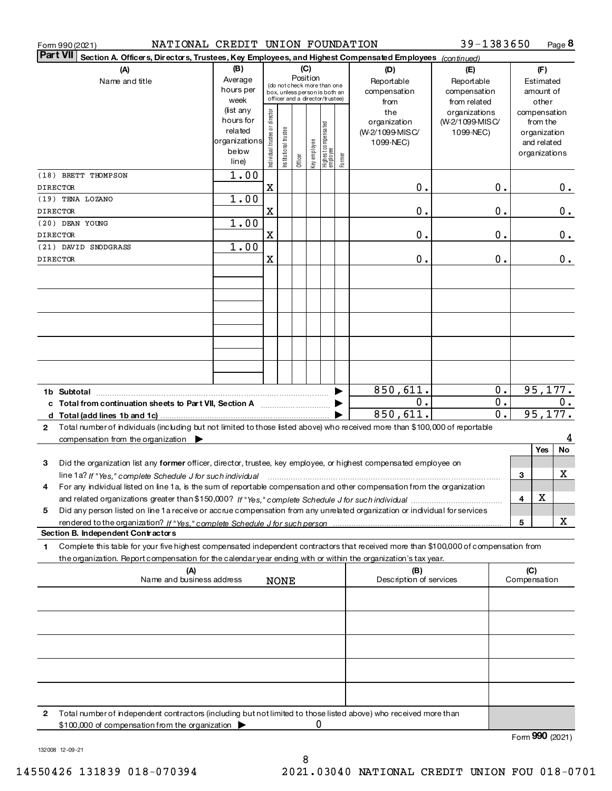| Form 990 (2021) |
|-----------------|
|-----------------|

Form 990(2021) NATIONAL CREDIT UNION FOUNDATION 39-1383650 Page

39-1383650 Page 8

| <b>Part VII</b> | Section A. Officers, Directors, Trustees, Key Employees, and Highest Compensated Employees (continued)                               |                    |                                         |                       |         |               |                                                                  |        |                                |                                  |    |                     |                          |       |
|-----------------|--------------------------------------------------------------------------------------------------------------------------------------|--------------------|-----------------------------------------|-----------------------|---------|---------------|------------------------------------------------------------------|--------|--------------------------------|----------------------------------|----|---------------------|--------------------------|-------|
|                 | (A)                                                                                                                                  | (B)<br>(C)         |                                         |                       |         |               |                                                                  | (D)    | (E)                            |                                  |    | (F)                 |                          |       |
|                 | Name and title                                                                                                                       | Average            | Position<br>(do not check more than one |                       |         |               |                                                                  |        | Reportable                     | Reportable                       |    |                     | Estimated                |       |
|                 |                                                                                                                                      | hours per          |                                         |                       |         |               | box, unless person is both an<br>officer and a director/trustee) |        | compensation                   | compensation                     |    |                     | amount of                |       |
|                 |                                                                                                                                      | week<br>(list any  |                                         |                       |         |               |                                                                  |        | from                           | from related                     |    |                     | other                    |       |
|                 |                                                                                                                                      | hours for          |                                         |                       |         |               |                                                                  |        | the<br>organization            | organizations<br>(W-2/1099-MISC/ |    |                     | compensation<br>from the |       |
|                 |                                                                                                                                      | related            |                                         |                       |         |               |                                                                  |        | (W-2/1099-MISC/                | 1099-NEC)                        |    |                     | organization             |       |
|                 |                                                                                                                                      | organizations      |                                         |                       |         |               |                                                                  |        | 1099-NEC)                      |                                  |    |                     | and related              |       |
|                 |                                                                                                                                      | below              | Individual trustee or director          | Institutional trustee |         | Key employ ee | Highest compensated<br> employee                                 |        |                                |                                  |    |                     | organizations            |       |
|                 |                                                                                                                                      | line)              |                                         |                       | Officer |               |                                                                  | Former |                                |                                  |    |                     |                          |       |
|                 | (18) BRETT THOMPSON                                                                                                                  | $\overline{1}$ .00 |                                         |                       |         |               |                                                                  |        |                                |                                  |    |                     |                          |       |
| <b>DIRECTOR</b> |                                                                                                                                      |                    | $\mathbf X$                             |                       |         |               |                                                                  |        | 0.                             |                                  | 0. |                     |                          | $0$ . |
|                 | (19) TENA LOZANO                                                                                                                     | 1.00               |                                         |                       |         |               |                                                                  |        |                                |                                  |    |                     |                          |       |
| <b>DIRECTOR</b> |                                                                                                                                      |                    | X                                       |                       |         |               |                                                                  |        | $\mathbf 0$ .                  |                                  | 0. |                     |                          | 0.    |
|                 | (20) DEAN YOUNG                                                                                                                      | $\overline{1}$ .00 |                                         |                       |         |               |                                                                  |        |                                |                                  |    |                     |                          |       |
| <b>DIRECTOR</b> |                                                                                                                                      |                    | X                                       |                       |         |               |                                                                  |        | $\mathbf 0$ .                  |                                  | 0. |                     |                          | $0$ . |
|                 | (21) DAVID SNODGRASS                                                                                                                 | $\overline{1}$ .00 |                                         |                       |         |               |                                                                  |        |                                |                                  |    |                     |                          |       |
| <b>DIRECTOR</b> |                                                                                                                                      |                    | X                                       |                       |         |               |                                                                  |        | 0.                             |                                  | 0. |                     |                          | $0$ . |
|                 |                                                                                                                                      |                    |                                         |                       |         |               |                                                                  |        |                                |                                  |    |                     |                          |       |
|                 |                                                                                                                                      |                    |                                         |                       |         |               |                                                                  |        |                                |                                  |    |                     |                          |       |
|                 |                                                                                                                                      |                    |                                         |                       |         |               |                                                                  |        |                                |                                  |    |                     |                          |       |
|                 |                                                                                                                                      |                    |                                         |                       |         |               |                                                                  |        |                                |                                  |    |                     |                          |       |
|                 |                                                                                                                                      |                    |                                         |                       |         |               |                                                                  |        |                                |                                  |    |                     |                          |       |
|                 |                                                                                                                                      |                    |                                         |                       |         |               |                                                                  |        |                                |                                  |    |                     |                          |       |
|                 |                                                                                                                                      |                    |                                         |                       |         |               |                                                                  |        |                                |                                  |    |                     |                          |       |
|                 |                                                                                                                                      |                    |                                         |                       |         |               |                                                                  |        |                                |                                  |    |                     |                          |       |
|                 |                                                                                                                                      |                    |                                         |                       |         |               |                                                                  |        |                                |                                  |    |                     |                          |       |
|                 |                                                                                                                                      |                    |                                         |                       |         |               |                                                                  |        | 850,611.                       |                                  | 0. |                     | 95, 177.                 |       |
|                 |                                                                                                                                      |                    |                                         |                       |         |               |                                                                  |        | 0.                             |                                  | 0. |                     |                          | 0.    |
|                 |                                                                                                                                      |                    |                                         |                       |         |               |                                                                  |        | 850,611.                       |                                  | 0. |                     | 95, 177.                 |       |
| $\mathbf{2}$    | Total number of individuals (including but not limited to those listed above) who received more than \$100,000 of reportable         |                    |                                         |                       |         |               |                                                                  |        |                                |                                  |    |                     |                          |       |
|                 | compensation from the organization $\blacktriangleright$                                                                             |                    |                                         |                       |         |               |                                                                  |        |                                |                                  |    |                     |                          | 4     |
|                 |                                                                                                                                      |                    |                                         |                       |         |               |                                                                  |        |                                |                                  |    |                     | <b>Yes</b>               | No    |
| 3               | Did the organization list any former officer, director, trustee, key employee, or highest compensated employee on                    |                    |                                         |                       |         |               |                                                                  |        |                                |                                  |    |                     |                          |       |
|                 | line 1a? If "Yes," complete Schedule J for such individual                                                                           |                    |                                         |                       |         |               |                                                                  |        |                                |                                  |    | 3                   |                          | x     |
| 4               | For any individual listed on line 1a, is the sum of reportable compensation and other compensation from the organization             |                    |                                         |                       |         |               |                                                                  |        |                                |                                  |    |                     |                          |       |
|                 |                                                                                                                                      |                    |                                         |                       |         |               |                                                                  |        |                                |                                  |    | 4                   | х                        |       |
| 5               | Did any person listed on line 1a receive or accrue compensation from any unrelated organization or individual for services           |                    |                                         |                       |         |               |                                                                  |        |                                |                                  |    |                     |                          |       |
|                 | rendered to the organization? If "Yes." complete Schedule J for such person                                                          |                    |                                         |                       |         |               |                                                                  |        |                                |                                  |    | 5                   |                          | x     |
|                 | Section B. Independent Contractors                                                                                                   |                    |                                         |                       |         |               |                                                                  |        |                                |                                  |    |                     |                          |       |
| 1.              | Complete this table for your five highest compensated independent contractors that received more than \$100,000 of compensation from |                    |                                         |                       |         |               |                                                                  |        |                                |                                  |    |                     |                          |       |
|                 | the organization. Report compensation for the calendar year ending with or within the organization's tax year.                       |                    |                                         |                       |         |               |                                                                  |        |                                |                                  |    |                     |                          |       |
|                 | (A)<br>Name and business address                                                                                                     |                    |                                         |                       |         |               |                                                                  |        | (B)<br>Description of services |                                  |    | (C)<br>Compensation |                          |       |
|                 |                                                                                                                                      |                    |                                         | <b>NONE</b>           |         |               |                                                                  |        |                                |                                  |    |                     |                          |       |
|                 |                                                                                                                                      |                    |                                         |                       |         |               |                                                                  |        |                                |                                  |    |                     |                          |       |
|                 |                                                                                                                                      |                    |                                         |                       |         |               |                                                                  |        |                                |                                  |    |                     |                          |       |
|                 |                                                                                                                                      |                    |                                         |                       |         |               |                                                                  |        |                                |                                  |    |                     |                          |       |
|                 |                                                                                                                                      |                    |                                         |                       |         |               |                                                                  |        |                                |                                  |    |                     |                          |       |
|                 |                                                                                                                                      |                    |                                         |                       |         |               |                                                                  |        |                                |                                  |    |                     |                          |       |
|                 |                                                                                                                                      |                    |                                         |                       |         |               |                                                                  |        |                                |                                  |    |                     |                          |       |
|                 |                                                                                                                                      |                    |                                         |                       |         |               |                                                                  |        |                                |                                  |    |                     |                          |       |
|                 |                                                                                                                                      |                    |                                         |                       |         |               |                                                                  |        |                                |                                  |    |                     |                          |       |
|                 |                                                                                                                                      |                    |                                         |                       |         |               |                                                                  |        |                                |                                  |    |                     |                          |       |
| 2               | Total number of independent contractors (including but not limited to those listed above) who received more than                     |                    |                                         |                       |         |               |                                                                  |        |                                |                                  |    |                     |                          |       |
|                 | \$100,000 of compensation from the organization                                                                                      |                    |                                         |                       |         |               | 0                                                                |        |                                |                                  |    |                     |                          |       |

Form **990** (2021)

13200812-09-21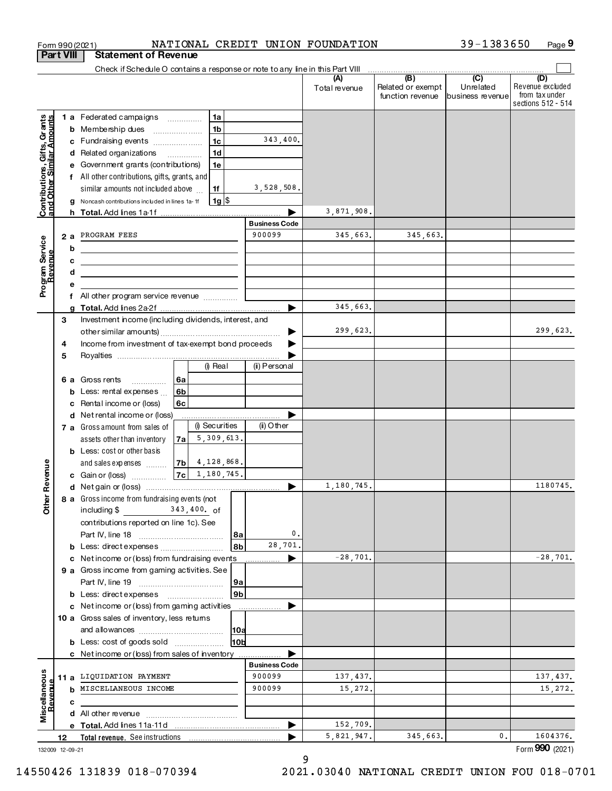|                                                           |    |    | NATIONAL CREDIT UNION FOUNDATION<br>Form 990 (2021)                              |                      |                      |                                              | 39-1383650<br>Page 9                            |                                                                 |  |
|-----------------------------------------------------------|----|----|----------------------------------------------------------------------------------|----------------------|----------------------|----------------------------------------------|-------------------------------------------------|-----------------------------------------------------------------|--|
| <b>Part VIII</b>                                          |    |    | <b>Statement of Revenue</b>                                                      |                      |                      |                                              |                                                 |                                                                 |  |
|                                                           |    |    | Check if Schedule O contains a response or note to any line in this Part VIII    |                      |                      |                                              |                                                 |                                                                 |  |
|                                                           |    |    |                                                                                  |                      | (A)<br>Total revenue | (B)<br>Related or exempt<br>function revenue | $\overline{C}$<br>Unrelated<br>business revenue | (D)<br>Revenue excluded<br>from tax under<br>sections 512 - 514 |  |
|                                                           |    |    | 1a<br>1 a Federated campaigns                                                    |                      |                      |                                              |                                                 |                                                                 |  |
| Contributions, Gifts, Grants<br>and Other Similar Amounts |    |    | b Membership dues<br>1 <sub>b</sub>                                              |                      |                      |                                              |                                                 |                                                                 |  |
|                                                           |    |    | 1 <sub>c</sub><br>c Fundraising events                                           | 343,400.             |                      |                                              |                                                 |                                                                 |  |
|                                                           |    |    | d Related organizations<br>1 <sub>d</sub>                                        |                      |                      |                                              |                                                 |                                                                 |  |
|                                                           |    |    | e Government grants (contributions)<br>1e                                        |                      |                      |                                              |                                                 |                                                                 |  |
|                                                           |    |    | f All other contributions, gifts, grants, and                                    |                      |                      |                                              |                                                 |                                                                 |  |
|                                                           |    |    | similar amounts not included above<br>1f                                         | 3,528,508.           |                      |                                              |                                                 |                                                                 |  |
|                                                           |    |    | $1g$ $\frac{1}{3}$<br>g Noncash contributions included in lines 1a-1f            |                      |                      |                                              |                                                 |                                                                 |  |
|                                                           |    |    |                                                                                  |                      | 3,871,908.           |                                              |                                                 |                                                                 |  |
|                                                           |    |    |                                                                                  | <b>Business Code</b> |                      |                                              |                                                 |                                                                 |  |
|                                                           |    | 2a | PROGRAM FEES                                                                     | 900099               | 345,663.             | 345,663.                                     |                                                 |                                                                 |  |
|                                                           |    | b  | the control of the control of the control of the control of the control of       |                      |                      |                                              |                                                 |                                                                 |  |
|                                                           |    | c  | <u> 1989 - Johann Barbara, martxa alemaniar a</u>                                |                      |                      |                                              |                                                 |                                                                 |  |
|                                                           |    | d  |                                                                                  |                      |                      |                                              |                                                 |                                                                 |  |
| Program Service                                           |    |    | All other program service revenue                                                |                      |                      |                                              |                                                 |                                                                 |  |
|                                                           |    |    |                                                                                  |                      | 345,663.             |                                              |                                                 |                                                                 |  |
|                                                           | 3  |    | Investment income (including dividends, interest, and                            |                      |                      |                                              |                                                 |                                                                 |  |
|                                                           |    |    |                                                                                  | ▶                    | 299,623.             |                                              |                                                 | 299,623.                                                        |  |
|                                                           | 4  |    | Income from investment of tax-exempt bond proceeds                               |                      |                      |                                              |                                                 |                                                                 |  |
|                                                           | 5  |    |                                                                                  |                      |                      |                                              |                                                 |                                                                 |  |
|                                                           |    |    | (i) Real                                                                         | (ii) Personal        |                      |                                              |                                                 |                                                                 |  |
|                                                           |    |    | 6 a Gross rents<br>l 6a<br>.                                                     |                      |                      |                                              |                                                 |                                                                 |  |
|                                                           |    |    | <b>b</b> Less: rental expenses $\ldots$<br>6b                                    |                      |                      |                                              |                                                 |                                                                 |  |
|                                                           |    |    | c Rental income or (loss)<br>6с                                                  |                      |                      |                                              |                                                 |                                                                 |  |
|                                                           |    |    | d Net rental income or (loss)                                                    |                      |                      |                                              |                                                 |                                                                 |  |
|                                                           |    |    | (i) Securities<br>7 a Gross amount from sales of                                 | $(ii)$ Other         |                      |                                              |                                                 |                                                                 |  |
|                                                           |    |    | 5,309,613.<br>assets other than inventory<br>7a                                  |                      |                      |                                              |                                                 |                                                                 |  |
|                                                           |    |    | <b>b</b> Less: cost or other basis                                               |                      |                      |                                              |                                                 |                                                                 |  |
|                                                           |    |    | 4,128,868.<br> 7b<br>and sales expenses                                          |                      |                      |                                              |                                                 |                                                                 |  |
| evenue                                                    |    |    | 1,180,745.<br> 7c <br>c Gain or (loss) $\ldots$                                  |                      | 1,180,745.           |                                              |                                                 | 1180745                                                         |  |
|                                                           |    |    | d Net gain or (loss)                                                             |                      |                      |                                              |                                                 |                                                                 |  |
| Other <sub>R</sub>                                        |    |    | 8 a Gross income from fundraising even ts (not<br>including \$<br>$343,400$ . of |                      |                      |                                              |                                                 |                                                                 |  |
|                                                           |    |    | contributions reported on line 1c). See                                          |                      |                      |                                              |                                                 |                                                                 |  |
|                                                           |    |    | 8a                                                                               | 0.                   |                      |                                              |                                                 |                                                                 |  |
|                                                           |    |    | 8b<br><b>b</b> Less: direct expenses                                             | 28,701.              |                      |                                              |                                                 |                                                                 |  |
|                                                           |    |    | c Net income or (loss) from fundraising events                                   | ▶                    | $-28,701.$           |                                              |                                                 | $-28,701.$                                                      |  |
|                                                           |    |    | 9 a Gross income from gaming activities. See                                     |                      |                      |                                              |                                                 |                                                                 |  |
|                                                           |    |    | 9a                                                                               |                      |                      |                                              |                                                 |                                                                 |  |
|                                                           |    |    | 9b<br>b Less: directexpenses                                                     |                      |                      |                                              |                                                 |                                                                 |  |
|                                                           |    |    | c Net income or (loss) from gaming activities                                    |                      |                      |                                              |                                                 |                                                                 |  |
|                                                           |    |    | 10 a Gross sales of inventory, less returns                                      |                      |                      |                                              |                                                 |                                                                 |  |
|                                                           |    |    | 10a                                                                              |                      |                      |                                              |                                                 |                                                                 |  |
|                                                           |    |    | 10b<br>b Less: cost of goods sold                                                |                      |                      |                                              |                                                 |                                                                 |  |
|                                                           |    |    | <b>c</b> Net income or (loss) from sales of inventory                            | <b>Business Code</b> |                      |                                              |                                                 |                                                                 |  |
|                                                           |    |    | 11 a LIQUIDATION PAYMENT                                                         | 900099               | 137, 437.            |                                              |                                                 | 137, 437.                                                       |  |
|                                                           |    |    | <b>b</b> MISCELLANEOUS INCOME                                                    | 900099               | 15,272.              |                                              |                                                 | 15,272.                                                         |  |
| Miscellaneous<br>Revenue                                  |    | с  |                                                                                  |                      |                      |                                              |                                                 |                                                                 |  |
|                                                           |    |    |                                                                                  |                      |                      |                                              |                                                 |                                                                 |  |
|                                                           |    |    |                                                                                  | ▶                    | 152,709.             |                                              |                                                 |                                                                 |  |
|                                                           | 12 |    |                                                                                  |                      | 5,821,947.           | 345,663.                                     | 0.                                              | 1604376.                                                        |  |
| 132009 12-09-21                                           |    |    |                                                                                  |                      |                      |                                              |                                                 | Form 990 (2021)                                                 |  |

# 14550426 131839 018-070394

 $\overline{9}$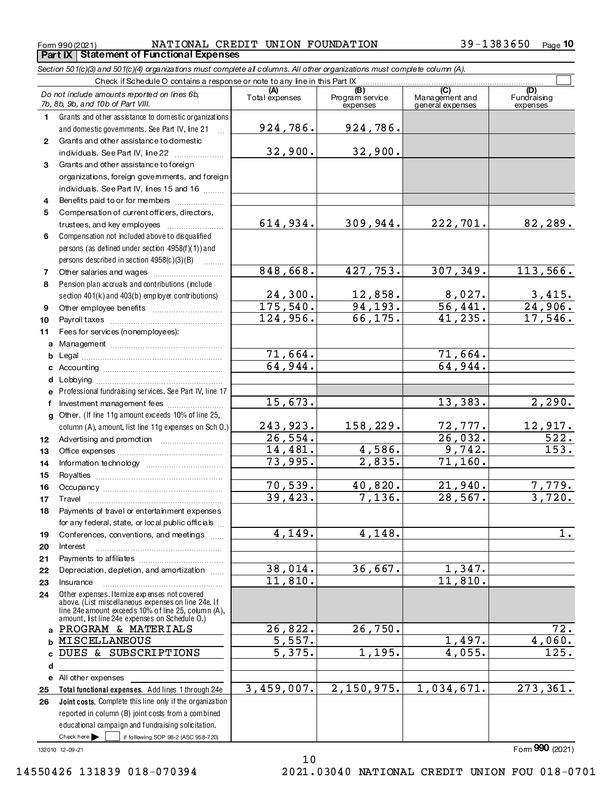NATIONAL CREDIT UNION FOUNDATION **Part IX Statement of Functional Expenses** 

Section 501(c)(3) and 501(c)(4) organizations must complete all columns. All other organizations must complete column (A).

 $\overline{\mathbb{L}}$ 

|                  | Check if Schedule O contains a response or note to any line in this Part IX [11] Check if Schedule O contains a response or note to any line in this Part IX |                       |                                    |                                                      |                                |  |  |  |  |  |  |  |
|------------------|--------------------------------------------------------------------------------------------------------------------------------------------------------------|-----------------------|------------------------------------|------------------------------------------------------|--------------------------------|--|--|--|--|--|--|--|
|                  | Do not include amounts reported on lines 6b,<br>7b, 8b, 9b, and 10b of Part VIII.                                                                            | (A)<br>Total expenses | (B)<br>Program service<br>expenses | $\overline{C}$<br>Management and<br>general expenses | (D)<br>Fundraising<br>expenses |  |  |  |  |  |  |  |
| 1.               | Grants and other assistance to domestic organizations                                                                                                        |                       |                                    |                                                      |                                |  |  |  |  |  |  |  |
|                  | and domestic governments. See Part IV, line 21                                                                                                               | 924,786.              | 924,786.                           |                                                      |                                |  |  |  |  |  |  |  |
| $\mathbf{2}$     | Grants and other assistance to domestic                                                                                                                      |                       |                                    |                                                      |                                |  |  |  |  |  |  |  |
|                  | individuals. See Part IV, line 22                                                                                                                            | 32,900.               | 32,900.                            |                                                      |                                |  |  |  |  |  |  |  |
| 3                | Grants and other assistance to foreign                                                                                                                       |                       |                                    |                                                      |                                |  |  |  |  |  |  |  |
|                  | organizations, foreign govemments, and foreign                                                                                                               |                       |                                    |                                                      |                                |  |  |  |  |  |  |  |
|                  | individuals. See Part IV, lines 15 and 16                                                                                                                    |                       |                                    |                                                      |                                |  |  |  |  |  |  |  |
| 4                | Benefits paid to or for members                                                                                                                              |                       |                                    |                                                      |                                |  |  |  |  |  |  |  |
| 5                | Compensation of current officers, directors,                                                                                                                 |                       |                                    |                                                      |                                |  |  |  |  |  |  |  |
|                  | trustees, and key employees                                                                                                                                  | 614,934.              | 309,944.                           | 222,701.                                             | 82,289.                        |  |  |  |  |  |  |  |
| 6                | Compensation not included above to disqualified                                                                                                              |                       |                                    |                                                      |                                |  |  |  |  |  |  |  |
|                  | persons (as defined under section 4958(f)(1)) and                                                                                                            |                       |                                    |                                                      |                                |  |  |  |  |  |  |  |
|                  | persons described in section 4958(c)(3)(B)                                                                                                                   |                       |                                    |                                                      |                                |  |  |  |  |  |  |  |
| 7                |                                                                                                                                                              | 848,668.              | 427,753.                           | 307, 349.                                            | 113,566.                       |  |  |  |  |  |  |  |
| 8                | Pension plan accruals and contributions (include                                                                                                             |                       |                                    |                                                      |                                |  |  |  |  |  |  |  |
|                  | section 401(k) and 403(b) employer contributions)                                                                                                            | 24,300.               | 12,858.                            | 8,027.                                               | $\frac{3,415}{24,906}$         |  |  |  |  |  |  |  |
| 9                | Other employee benefits                                                                                                                                      | 175,540.              | 94, 193.                           | 56,441.                                              |                                |  |  |  |  |  |  |  |
| 10               |                                                                                                                                                              | 124,956.              | 66, 175.                           | 41, 235.                                             | 17,546.                        |  |  |  |  |  |  |  |
| 11               | Fees for services (nonemployees):                                                                                                                            |                       |                                    |                                                      |                                |  |  |  |  |  |  |  |
|                  |                                                                                                                                                              |                       |                                    |                                                      |                                |  |  |  |  |  |  |  |
| b                |                                                                                                                                                              | 71,664.               |                                    | 71,664.                                              |                                |  |  |  |  |  |  |  |
|                  |                                                                                                                                                              | 64,944.               |                                    | 64,944.                                              |                                |  |  |  |  |  |  |  |
|                  |                                                                                                                                                              |                       |                                    |                                                      |                                |  |  |  |  |  |  |  |
|                  | e Professional fundraising services. See Part IV, line 17                                                                                                    | 15,673.               |                                    | 13,383.                                              |                                |  |  |  |  |  |  |  |
| f                | Investment management fees                                                                                                                                   |                       |                                    |                                                      | 2,290.                         |  |  |  |  |  |  |  |
|                  | g Other. (If line 11g amount exceeds 10% of line 25,                                                                                                         | 243,923.              | 158,229.                           | 72,777.                                              |                                |  |  |  |  |  |  |  |
|                  | column (A), amount, list line 11g expenses on Sch 0.)                                                                                                        | 26, 554.              |                                    | 26,032.                                              | <u> 12,917.</u><br>522.        |  |  |  |  |  |  |  |
| 12 <sup>12</sup> |                                                                                                                                                              | 14,481.               | 4,586.                             | 9,742.                                               | 153.                           |  |  |  |  |  |  |  |
| 13<br>14         |                                                                                                                                                              | 73,995.               | $\overline{2}$ , 835.              | 71, 160.                                             |                                |  |  |  |  |  |  |  |
| 15               |                                                                                                                                                              |                       |                                    |                                                      |                                |  |  |  |  |  |  |  |
| 16               |                                                                                                                                                              | 70,539.               | 40,820.                            | 21,940.                                              | 7,779.                         |  |  |  |  |  |  |  |
| 17               | Travel                                                                                                                                                       | 39,423.               | 7,136.                             | 28,567.                                              | 3,720.                         |  |  |  |  |  |  |  |
| 18               | Payments of travel or entertainment expenses                                                                                                                 |                       |                                    |                                                      |                                |  |  |  |  |  |  |  |
|                  | for any federal, state, or local public officials                                                                                                            |                       |                                    |                                                      |                                |  |  |  |  |  |  |  |
| 19               | Conferences, conventions, and meetings                                                                                                                       | 4,149.                | 4,148.                             |                                                      | $1$ .                          |  |  |  |  |  |  |  |
| 20               | Interest                                                                                                                                                     |                       |                                    |                                                      |                                |  |  |  |  |  |  |  |
| 21               |                                                                                                                                                              |                       |                                    |                                                      |                                |  |  |  |  |  |  |  |
| 22               | Depreciation, depletion, and amortization                                                                                                                    | 38,014.               | 36,667.                            | 1,347.                                               |                                |  |  |  |  |  |  |  |
| 23               | Insurance                                                                                                                                                    | 11,810.               |                                    | 11,810.                                              |                                |  |  |  |  |  |  |  |
| 24               | Other expenses. I temize expenses not covered<br>above. (List miscellaneous expenses on line 24e. If                                                         |                       |                                    |                                                      |                                |  |  |  |  |  |  |  |
|                  | line 24e amount exceeds 10% of line 25, column (A),<br>amount, list line 24e expenses on Schedule O.)                                                        |                       |                                    |                                                      |                                |  |  |  |  |  |  |  |
| a                | PROGRAM & MATERIALS                                                                                                                                          | 26,822.               | 26,750.                            |                                                      | 72.                            |  |  |  |  |  |  |  |
| b                | MISCELLANEOUS                                                                                                                                                | 5,557.                |                                    | 1,497.                                               | 4,060.                         |  |  |  |  |  |  |  |
| c                | DUES & SUBSCRIPTIONS                                                                                                                                         | 5,375.                | 1,195.                             | 4,055.                                               | 125.                           |  |  |  |  |  |  |  |
| d                |                                                                                                                                                              |                       |                                    |                                                      |                                |  |  |  |  |  |  |  |
|                  | e All other expenses                                                                                                                                         |                       |                                    |                                                      |                                |  |  |  |  |  |  |  |
| 25               | Total functional expenses. Add lines 1 through 24e                                                                                                           | 3,459,007.            | 2,150,975.                         | 1,034,671.                                           | 273, 361.                      |  |  |  |  |  |  |  |
| 26               | Joint costs. Complete this line only if the organization                                                                                                     |                       |                                    |                                                      |                                |  |  |  |  |  |  |  |
|                  | reported in column (B) joint costs from a combined                                                                                                           |                       |                                    |                                                      |                                |  |  |  |  |  |  |  |
|                  | educational campaign and fundraising solicitation.                                                                                                           |                       |                                    |                                                      |                                |  |  |  |  |  |  |  |
|                  | Check here $\blacktriangleright$<br>if following SOP 98-2 (ASC 958-720)                                                                                      |                       |                                    |                                                      |                                |  |  |  |  |  |  |  |

132010 12-09-21

 $10$ 2021.03040 NATIONAL CREDIT UNION FOU 018-0701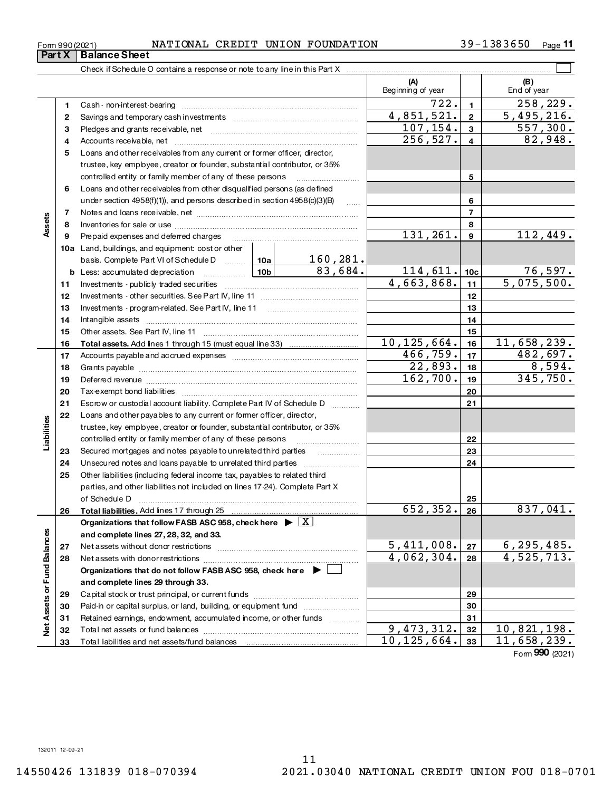14550426 131839 018-070394

|  |  |  | NATIONAL CREDIT UNION FOUNDATION |
|--|--|--|----------------------------------|
|--|--|--|----------------------------------|

39-1383650 Page 11

|                             |    |                                                                                       |                                                                           |                     | (A)<br>Beginning of year |                 | (B)<br>End of year          |  |  |  |  |
|-----------------------------|----|---------------------------------------------------------------------------------------|---------------------------------------------------------------------------|---------------------|--------------------------|-----------------|-----------------------------|--|--|--|--|
|                             | 1. |                                                                                       |                                                                           |                     | 722.                     | $\mathbf{1}$    | 258,229.                    |  |  |  |  |
|                             | 2  |                                                                                       |                                                                           |                     | 4,851,521.               | $\mathbf{2}$    | 5,495,216.                  |  |  |  |  |
|                             | 3  |                                                                                       |                                                                           |                     | 107,154.                 | 3               | 557,300.                    |  |  |  |  |
|                             | 4  |                                                                                       |                                                                           |                     | $\overline{256}$ , 527.  | 4               | 82,948.                     |  |  |  |  |
|                             | 5  |                                                                                       | Loans and other receivables from any current or former officer, director, |                     |                          |                 |                             |  |  |  |  |
|                             |    | trustee, key employee, creator or founder, substantial contributor, or 35%            |                                                                           |                     |                          |                 |                             |  |  |  |  |
|                             |    | controlled entity or family member of any of these persons                            |                                                                           | 5                   |                          |                 |                             |  |  |  |  |
|                             | 6  | Loans and other receivables from other disqualified persons (as defined               |                                                                           |                     |                          |                 |                             |  |  |  |  |
|                             |    | under section 4958(f)(1)), and persons described in section 4958(c)(3)(B)             |                                                                           | $\ldots$            |                          | 6               |                             |  |  |  |  |
|                             | 7  |                                                                                       |                                                                           | $\overline{ }$      |                          |                 |                             |  |  |  |  |
| Assets                      | 8  |                                                                                       |                                                                           |                     |                          | 8               |                             |  |  |  |  |
|                             | 9  | Prepaid expenses and deferred charges                                                 |                                                                           |                     | 131,261.                 | 9               | 112,449.                    |  |  |  |  |
|                             |    | 10a Land, buildings, and equipment cost or other                                      |                                                                           |                     |                          |                 |                             |  |  |  |  |
|                             |    | basis. Complete Part VI of Schedule D  10a                                            |                                                                           | 160, 281.           |                          |                 |                             |  |  |  |  |
|                             | b  |                                                                                       |                                                                           | $\frac{83,684}{.}$  | 114,611.                 | 10 <sub>c</sub> | $76,597$ .                  |  |  |  |  |
|                             | 11 |                                                                                       |                                                                           |                     | 4,663,868.               | 11              | 5,075,500.                  |  |  |  |  |
|                             | 12 |                                                                                       |                                                                           |                     |                          | 12              |                             |  |  |  |  |
|                             | 13 |                                                                                       |                                                                           |                     | 13                       |                 |                             |  |  |  |  |
|                             | 14 |                                                                                       |                                                                           |                     | 14                       |                 |                             |  |  |  |  |
|                             | 15 |                                                                                       |                                                                           |                     |                          | 15              |                             |  |  |  |  |
|                             | 16 |                                                                                       |                                                                           |                     | 10, 125, 664.            | 16              | 11,658,239.                 |  |  |  |  |
|                             | 17 |                                                                                       |                                                                           |                     | 466,759.                 | 17              | 482,697.                    |  |  |  |  |
|                             | 18 |                                                                                       |                                                                           |                     | 22,893.                  | 18              | 8,594.                      |  |  |  |  |
|                             | 19 |                                                                                       | 162,700.                                                                  | 19                  | 345,750.                 |                 |                             |  |  |  |  |
|                             | 20 |                                                                                       |                                                                           | 20                  |                          |                 |                             |  |  |  |  |
|                             | 21 | Escrow or custodial account liability. Complete Part IV of Schedule D                 |                                                                           |                     |                          | 21              |                             |  |  |  |  |
|                             | 22 | Loans and other payables to any current or former officer, director,                  |                                                                           |                     |                          |                 |                             |  |  |  |  |
| abilities                   |    | trustee, key employee, creator or founder, substantial contributor, or 35%            |                                                                           |                     |                          |                 |                             |  |  |  |  |
|                             |    | controlled entity or family member of any of these persons                            |                                                                           |                     |                          | 22              |                             |  |  |  |  |
|                             | 23 | Secured mortgages and notes payable to unrelated third parties                        |                                                                           |                     |                          | 23              |                             |  |  |  |  |
|                             | 24 |                                                                                       |                                                                           |                     |                          | 24              |                             |  |  |  |  |
|                             | 25 | Other liabilities (including federal income tax, payables to related third            |                                                                           |                     |                          |                 |                             |  |  |  |  |
|                             |    | parties, and other liabilities not included on lines 17-24). Complete Part X          |                                                                           |                     |                          |                 |                             |  |  |  |  |
|                             |    | of Schedule D                                                                         |                                                                           |                     |                          | 25              |                             |  |  |  |  |
|                             | 26 | Total liabilities, Add lines 17 through 25                                            |                                                                           |                     | 652,352.                 | 26              | 837,041.                    |  |  |  |  |
|                             |    | Organizations that follow FASB ASC 958, check here $\triangleright \lfloor X \rfloor$ |                                                                           |                     |                          |                 |                             |  |  |  |  |
|                             |    | and complete lines 27, 28, 32, and 33.                                                |                                                                           |                     |                          |                 |                             |  |  |  |  |
|                             | 27 | Net assets without donor restrictions                                                 |                                                                           |                     | 5,411,008.               | 27              | 6, 295, 485.                |  |  |  |  |
|                             | 28 |                                                                                       |                                                                           |                     | 4,062,304.               | 28              | 4,525,713.                  |  |  |  |  |
|                             |    | Organizations that do not follow FASB ASC 958, check here ▶ │                         |                                                                           |                     |                          |                 |                             |  |  |  |  |
|                             |    | and complete lines 29 through 33.                                                     |                                                                           |                     |                          |                 |                             |  |  |  |  |
|                             | 29 |                                                                                       |                                                                           | 29                  |                          |                 |                             |  |  |  |  |
|                             | 30 | Paid-in or capital surplus, or land, building, or equipment fund                      |                                                                           |                     | 30                       |                 |                             |  |  |  |  |
|                             | 31 | Retained earnings, endowment, accumulated income, or other funds                      |                                                                           | 1.1.1.1.1.1.1.1.1.1 |                          | 31              |                             |  |  |  |  |
| Net Assets or Fund Balances | 32 |                                                                                       |                                                                           |                     | 9,473,312.               | 32              | $\overline{10}$ , 821, 198. |  |  |  |  |
|                             | 33 |                                                                                       |                                                                           |                     | 10, 125, 664.            | 33              | $11,658,239$ .              |  |  |  |  |
|                             |    |                                                                                       |                                                                           |                     |                          |                 |                             |  |  |  |  |

Form 990 (2021)

Form 990 (2021)<br>**Part X** Balance Sheet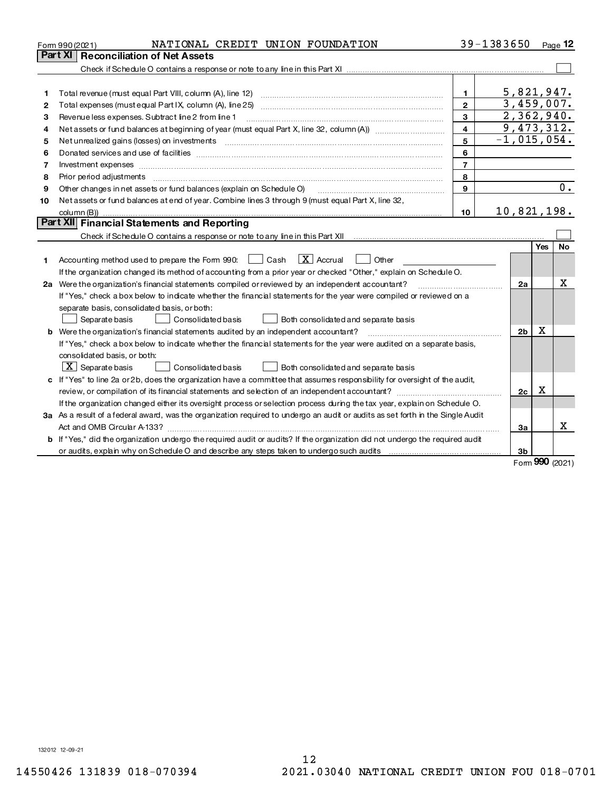|    | NATIONAL CREDIT UNION FOUNDATION<br>Form 990 (2021)                                                                             |                | 39-1383650  |                |                     | Page 12                  |  |
|----|---------------------------------------------------------------------------------------------------------------------------------|----------------|-------------|----------------|---------------------|--------------------------|--|
|    | Part XI Reconciliation of Net Assets                                                                                            |                |             |                |                     |                          |  |
|    |                                                                                                                                 |                |             |                |                     |                          |  |
|    |                                                                                                                                 |                |             |                |                     |                          |  |
| 1  | Total revenue (must equal Part VIII, column (A), line 12) manufactured contracts and contract the contract of                   | $\mathbf{1}$   |             |                |                     | 5,821,947.               |  |
| 2  |                                                                                                                                 | $\overline{2}$ |             |                |                     | 3,459,007.               |  |
| з  | Revenue less expenses. Subtract line 2 from line 1                                                                              | 3              |             |                |                     | 2,362,940.<br>9,473,312. |  |
| 4  | $\overline{\mathbf{4}}$                                                                                                         |                |             |                |                     |                          |  |
| 5  |                                                                                                                                 | 5              |             |                |                     | $-1,015,054.$            |  |
| 6  |                                                                                                                                 | 6              |             |                |                     |                          |  |
| 7  | Investment expenses www.communication.com/www.communication.com/www.communication.com/www.com                                   | $\overline{7}$ |             |                |                     |                          |  |
| 8  | Prior period adjustments                                                                                                        | 8              |             |                |                     |                          |  |
| 9  | Other changes in net assets or fund balances (explain on Schedule O)                                                            | 9              |             |                |                     | $\overline{0}$ .         |  |
| 10 | Net assets or fund balances at end of year. Combine lines 3 through 9 (must equal Part X, line 32,                              |                |             |                |                     |                          |  |
|    |                                                                                                                                 | 10             | 10,821,198. |                |                     |                          |  |
|    | Part XII Financial Statements and Reporting                                                                                     |                |             |                |                     |                          |  |
|    |                                                                                                                                 |                |             |                |                     |                          |  |
|    |                                                                                                                                 |                |             |                | Yes                 | No                       |  |
| 1  | $ X $ Accrual<br>Accounting method used to prepare the Form 990: <u>[</u> Cash<br>  Other                                       |                |             |                |                     |                          |  |
|    | If the organization changed its method of accounting from a prior year or checked "Other," explain on Schedule O.               |                |             |                |                     |                          |  |
|    | 2a Were the organization's financial statements compiled or reviewed by an independent accountant?                              |                |             | 2a             |                     | x                        |  |
|    | If "Yes," check a box below to indicate whether the financial statements for the year were compiled or reviewed on a            |                |             |                |                     |                          |  |
|    | separate basis, consolidated basis, or both:                                                                                    |                |             |                |                     |                          |  |
|    | Separate basis<br><b>Consolidated basis</b><br>Both consolidated and separate basis                                             |                |             |                |                     |                          |  |
|    | b Were the organization's financial statements audited by an independent accountant?                                            |                |             | 2 <sub>b</sub> | x                   |                          |  |
|    | If "Yes," check a box below to indicate whether the financial statements for the year were audited on a separate basis,         |                |             |                |                     |                          |  |
|    | consolidated basis, or both:                                                                                                    |                |             |                |                     |                          |  |
|    | $\vert$ X $\vert$ Separate basis<br>Consolidated basis<br>Both consolidated and separate basis                                  |                |             |                |                     |                          |  |
|    | c If "Yes" to line 2a or 2b, does the organization have a committee that assumes responsibility for oversight of the audit,     |                |             |                |                     |                          |  |
|    |                                                                                                                                 |                |             | 2c             | Χ                   |                          |  |
|    | If the organization changed either its oversight process or selection process during the tax year, explain on Schedule O.       |                |             |                |                     |                          |  |
|    | 3a As a result of a federal award, was the organization required to undergo an audit or audits as set forth in the Single Audit |                |             |                |                     |                          |  |
|    |                                                                                                                                 |                |             | За             |                     | x                        |  |
|    | b If "Yes," did the organization undergo the required audit or audits? If the organization did not undergo the required audit   |                |             |                |                     |                          |  |
|    |                                                                                                                                 |                |             | 3 <sub>b</sub> | $000 \text{ years}$ |                          |  |

Form **990** (2021)

132012 12-09-21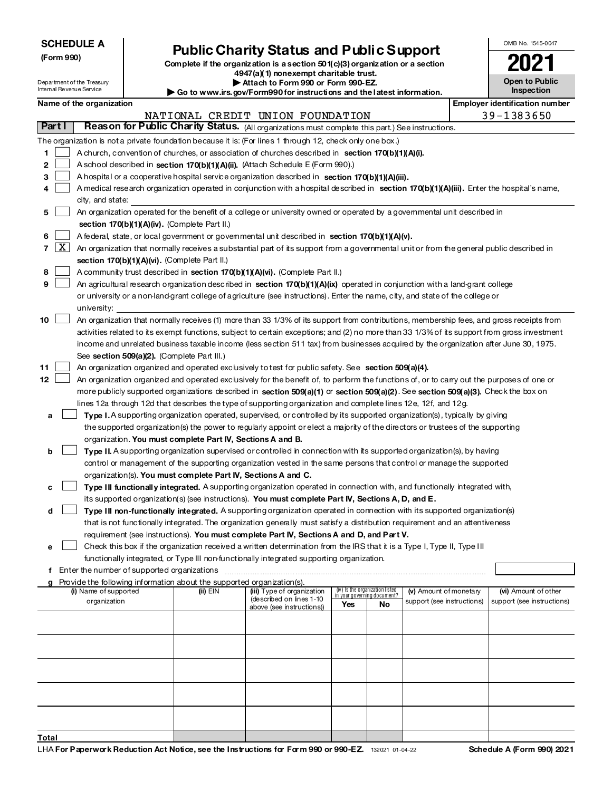|                          | <b>SCHEDULE A</b>                                                                                                                                                                                                                                                                     |  |                                                                        |                                                                                                                                                                                                                                               |                             |                                 |                            |  | OMB No. 1545-0047                     |  |  |
|--------------------------|---------------------------------------------------------------------------------------------------------------------------------------------------------------------------------------------------------------------------------------------------------------------------------------|--|------------------------------------------------------------------------|-----------------------------------------------------------------------------------------------------------------------------------------------------------------------------------------------------------------------------------------------|-----------------------------|---------------------------------|----------------------------|--|---------------------------------------|--|--|
| (Form 990)               |                                                                                                                                                                                                                                                                                       |  |                                                                        | <b>Public Charity Status and Public Support</b>                                                                                                                                                                                               |                             |                                 |                            |  |                                       |  |  |
|                          |                                                                                                                                                                                                                                                                                       |  |                                                                        | Complete if the organization is a section 50 $1(c)(3)$ organization or a section<br>4947(a)(1) nonexempt charitable trust.                                                                                                                    |                             |                                 |                            |  |                                       |  |  |
|                          | Department of the Treasury                                                                                                                                                                                                                                                            |  |                                                                        | Attach to Form 990 or Form 990-EZ.                                                                                                                                                                                                            |                             |                                 |                            |  | Open to Public                        |  |  |
| Internal Revenue Service |                                                                                                                                                                                                                                                                                       |  |                                                                        | Go to www.irs.gov/Form990 for instructions and the latest information.                                                                                                                                                                        |                             |                                 |                            |  | <b>Inspection</b>                     |  |  |
|                          | Name of the organization                                                                                                                                                                                                                                                              |  |                                                                        |                                                                                                                                                                                                                                               |                             |                                 |                            |  | <b>Employer identification number</b> |  |  |
|                          |                                                                                                                                                                                                                                                                                       |  |                                                                        | NATIONAL CREDIT UNION FOUNDATION                                                                                                                                                                                                              |                             |                                 |                            |  | 39-1383650                            |  |  |
| Part I                   |                                                                                                                                                                                                                                                                                       |  |                                                                        | Reason for Public Charity Status. (All organizations must complete this part.) See instructions.                                                                                                                                              |                             |                                 |                            |  |                                       |  |  |
|                          |                                                                                                                                                                                                                                                                                       |  |                                                                        | The organization is not a private foundation because it is: (For lines 1 through 12, check only one box.)                                                                                                                                     |                             |                                 |                            |  |                                       |  |  |
| 1                        |                                                                                                                                                                                                                                                                                       |  |                                                                        | A church, convention of churches, or association of churches described in section 170(b)(1)(A)(i).                                                                                                                                            |                             |                                 |                            |  |                                       |  |  |
| 2                        |                                                                                                                                                                                                                                                                                       |  |                                                                        | A school described in section 170(b)(1)(A)(ii). (Attach Schedule E (Form 990).)                                                                                                                                                               |                             |                                 |                            |  |                                       |  |  |
| 3                        |                                                                                                                                                                                                                                                                                       |  |                                                                        | A hospital or a cooperative hospital service organization described in section $170(b)(1)(A)(iii)$ .                                                                                                                                          |                             |                                 |                            |  |                                       |  |  |
| 4                        |                                                                                                                                                                                                                                                                                       |  |                                                                        | A medical research organization operated in conjunction with a hospital described in section 170(b)(1)(A)(iii). Enter the hospital's name,                                                                                                    |                             |                                 |                            |  |                                       |  |  |
|                          | city, and state:                                                                                                                                                                                                                                                                      |  |                                                                        |                                                                                                                                                                                                                                               |                             |                                 |                            |  |                                       |  |  |
| 5                        |                                                                                                                                                                                                                                                                                       |  |                                                                        | An organization operated for the benefit of a college or university owned or operated by a governmental unit described in                                                                                                                     |                             |                                 |                            |  |                                       |  |  |
|                          |                                                                                                                                                                                                                                                                                       |  | section 170(b)(1)(A)(iv). (Complete Part II.)                          |                                                                                                                                                                                                                                               |                             |                                 |                            |  |                                       |  |  |
| 6                        |                                                                                                                                                                                                                                                                                       |  |                                                                        | A federal, state, or local government or governmental unit described in section $170(b)(1)(A)(v)$ .                                                                                                                                           |                             |                                 |                            |  |                                       |  |  |
| $\vert X \vert$<br>7     |                                                                                                                                                                                                                                                                                       |  |                                                                        | An organization that normally receives a substantial part of its support from a governmental unit or from the general public described in                                                                                                     |                             |                                 |                            |  |                                       |  |  |
|                          |                                                                                                                                                                                                                                                                                       |  | section 170(b)(1)(A)(vi). (Complete Part II.)                          |                                                                                                                                                                                                                                               |                             |                                 |                            |  |                                       |  |  |
| 8                        |                                                                                                                                                                                                                                                                                       |  |                                                                        | A community trust described in section 170(b)(1)(A)(vi). (Complete Part II.)                                                                                                                                                                  |                             |                                 |                            |  |                                       |  |  |
| 9                        |                                                                                                                                                                                                                                                                                       |  |                                                                        | An agricultural research organization described in section $170(b)(1)(A)(ix)$ operated in conjunction with a land grant college                                                                                                               |                             |                                 |                            |  |                                       |  |  |
|                          |                                                                                                                                                                                                                                                                                       |  |                                                                        | or university or a non-land-grant college of agriculture (see instructions). Enter the name, city, and state of the college or                                                                                                                |                             |                                 |                            |  |                                       |  |  |
|                          | university:                                                                                                                                                                                                                                                                           |  |                                                                        |                                                                                                                                                                                                                                               |                             |                                 |                            |  |                                       |  |  |
| 10                       | An organization that normally receives (1) more than 33 1/3% of its support from contributions, membership fees, and gross receipts from                                                                                                                                              |  |                                                                        |                                                                                                                                                                                                                                               |                             |                                 |                            |  |                                       |  |  |
|                          | activities related to its exempt functions, subject to certain exceptions; and (2) no more than 33 1/3% of its support from gross investment<br>income and unrelated business taxable income (less section 511 tax) from businesses acquired by the organization after June 30, 1975. |  |                                                                        |                                                                                                                                                                                                                                               |                             |                                 |                            |  |                                       |  |  |
|                          |                                                                                                                                                                                                                                                                                       |  |                                                                        |                                                                                                                                                                                                                                               |                             |                                 |                            |  |                                       |  |  |
|                          |                                                                                                                                                                                                                                                                                       |  | See section 509(a)(2). (Complete Part III.)                            |                                                                                                                                                                                                                                               |                             |                                 |                            |  |                                       |  |  |
| 11                       |                                                                                                                                                                                                                                                                                       |  |                                                                        | An organization organized and operated exclusively to test for public safety. See section 509(a)(4).                                                                                                                                          |                             |                                 |                            |  |                                       |  |  |
| 12 <sub>2</sub>          |                                                                                                                                                                                                                                                                                       |  |                                                                        | An organization organized and operated exclusively for the benefit of, to perform the functions of, or to carry out the purposes of one or                                                                                                    |                             |                                 |                            |  |                                       |  |  |
|                          |                                                                                                                                                                                                                                                                                       |  |                                                                        | more publicly supported organizations described in section 509(a)(1) or section 509(a)(2). See section 509(a)(3). Check the box on                                                                                                            |                             |                                 |                            |  |                                       |  |  |
|                          |                                                                                                                                                                                                                                                                                       |  |                                                                        | lines 12a through 12d that describes the type of supporting organization and complete lines 12e, 12f, and 12g.<br>Type I. A supporting organization operated, supervised, or controlled by its supported organization(s), typically by giving |                             |                                 |                            |  |                                       |  |  |
| а                        |                                                                                                                                                                                                                                                                                       |  |                                                                        | the supported organization(s) the power to regularly appoint or elect a majority of the directors or trustees of the supporting                                                                                                               |                             |                                 |                            |  |                                       |  |  |
|                          |                                                                                                                                                                                                                                                                                       |  | organization. You must complete Part IV, Sections A and B.             |                                                                                                                                                                                                                                               |                             |                                 |                            |  |                                       |  |  |
| b                        |                                                                                                                                                                                                                                                                                       |  |                                                                        | Type II. A supporting organization supervised or controlled in connection with its supported organization(s), by having                                                                                                                       |                             |                                 |                            |  |                                       |  |  |
|                          |                                                                                                                                                                                                                                                                                       |  |                                                                        | control or management of the supporting organization vested in the same persons that control or manage the supported                                                                                                                          |                             |                                 |                            |  |                                       |  |  |
|                          |                                                                                                                                                                                                                                                                                       |  | organization(s). You must complete Part IV, Sections A and C.          |                                                                                                                                                                                                                                               |                             |                                 |                            |  |                                       |  |  |
| с                        |                                                                                                                                                                                                                                                                                       |  |                                                                        | Type III functionally integrated. A supporting organization operated in connection with, and functionally integrated with,                                                                                                                    |                             |                                 |                            |  |                                       |  |  |
|                          |                                                                                                                                                                                                                                                                                       |  |                                                                        | its supported organization(s) (see instructions). You must complete Part IV, Sections A, D, and E.                                                                                                                                            |                             |                                 |                            |  |                                       |  |  |
| d                        |                                                                                                                                                                                                                                                                                       |  |                                                                        | Type III non-functionally integrated. A supporting organization operated in connection with its supported organization(s)                                                                                                                     |                             |                                 |                            |  |                                       |  |  |
|                          |                                                                                                                                                                                                                                                                                       |  |                                                                        | that is not functionally integrated. The organization generally must satisfy a distribution requirement and an attentiveness                                                                                                                  |                             |                                 |                            |  |                                       |  |  |
|                          |                                                                                                                                                                                                                                                                                       |  |                                                                        | requirement (see instructions). You must complete Part IV, Sections A and D, and Part V.                                                                                                                                                      |                             |                                 |                            |  |                                       |  |  |
| е                        |                                                                                                                                                                                                                                                                                       |  |                                                                        | Check this box if the organization received a written determination from the IRS that it is a Type I, Type II, Type III                                                                                                                       |                             |                                 |                            |  |                                       |  |  |
|                          |                                                                                                                                                                                                                                                                                       |  |                                                                        | functionally integrated, or Type III non-functionally integrated supporting organization.                                                                                                                                                     |                             |                                 |                            |  |                                       |  |  |
|                          | f Enter the number of supported organizations                                                                                                                                                                                                                                         |  |                                                                        |                                                                                                                                                                                                                                               |                             |                                 |                            |  |                                       |  |  |
|                          |                                                                                                                                                                                                                                                                                       |  | Provide the following information about the supported organization(s). |                                                                                                                                                                                                                                               |                             |                                 |                            |  |                                       |  |  |
|                          | (i) Name of supported                                                                                                                                                                                                                                                                 |  | (ii) EIN                                                               | (iii) Type of organization                                                                                                                                                                                                                    | in your governing document? | (iv) Is the organization listed | (v) Amount of monetary     |  | (vi) Amount of other                  |  |  |
|                          | organization                                                                                                                                                                                                                                                                          |  |                                                                        | (described on lines 1-10<br>above (see instructions))                                                                                                                                                                                         | Yes                         | <b>No</b>                       | support (see instructions) |  | support (see instructions)            |  |  |
|                          |                                                                                                                                                                                                                                                                                       |  |                                                                        |                                                                                                                                                                                                                                               |                             |                                 |                            |  |                                       |  |  |
|                          |                                                                                                                                                                                                                                                                                       |  |                                                                        |                                                                                                                                                                                                                                               |                             |                                 |                            |  |                                       |  |  |
|                          |                                                                                                                                                                                                                                                                                       |  |                                                                        |                                                                                                                                                                                                                                               |                             |                                 |                            |  |                                       |  |  |
|                          |                                                                                                                                                                                                                                                                                       |  |                                                                        |                                                                                                                                                                                                                                               |                             |                                 |                            |  |                                       |  |  |
|                          |                                                                                                                                                                                                                                                                                       |  |                                                                        |                                                                                                                                                                                                                                               |                             |                                 |                            |  |                                       |  |  |
|                          |                                                                                                                                                                                                                                                                                       |  |                                                                        |                                                                                                                                                                                                                                               |                             |                                 |                            |  |                                       |  |  |
|                          |                                                                                                                                                                                                                                                                                       |  |                                                                        |                                                                                                                                                                                                                                               |                             |                                 |                            |  |                                       |  |  |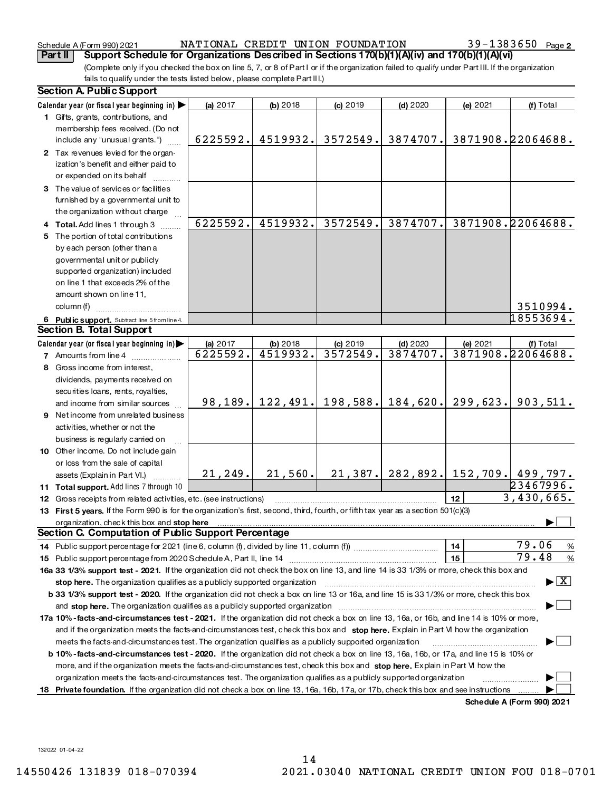# Schedule A (Form 990) 2021 NATIONAL CREDIT UNION FOUNDATION 39-1383650 Page

(Complete only if you checked the box on line 5, 7, or 8 of Part I or if the organization failed to qualify under Part III. If the organization fails to qualify under the tests listed below, please complete Part III.) Part II | Support Schedule for Organizations Described in Sections 170(b)(1)(A)(iv) and 170(b)(1)(A)(vi)

|   | <b>Section A. Public Support</b>                                                                                                                                                                                                                              |            |                      |          |          |          |                                              |
|---|---------------------------------------------------------------------------------------------------------------------------------------------------------------------------------------------------------------------------------------------------------------|------------|----------------------|----------|----------|----------|----------------------------------------------|
|   | Calendar year (or fiscal year beginning in)                                                                                                                                                                                                                   | (a) 2017   | (b) 2018             | (c) 2019 | (d) 2020 | (e) 2021 | (f) Total                                    |
|   | 1 Gifts, grants, contributions, and                                                                                                                                                                                                                           |            |                      |          |          |          |                                              |
|   | membership fees received. (Do not                                                                                                                                                                                                                             |            |                      |          |          |          |                                              |
|   | include any "unusual grants.")                                                                                                                                                                                                                                | 6225592.   | 4519932.             | 3572549. | 3874707. |          | 3871908.22064688.                            |
|   | 2 Tax revenues levied for the organ-                                                                                                                                                                                                                          |            |                      |          |          |          |                                              |
|   | ization's benefit and either paid to                                                                                                                                                                                                                          |            |                      |          |          |          |                                              |
|   | or expended on its behalf                                                                                                                                                                                                                                     |            |                      |          |          |          |                                              |
|   | 3 The value of services or facilities                                                                                                                                                                                                                         |            |                      |          |          |          |                                              |
|   | furnished by a governmental unit to                                                                                                                                                                                                                           |            |                      |          |          |          |                                              |
|   | the organization without charge                                                                                                                                                                                                                               |            |                      |          |          |          |                                              |
|   | 4 Total. Add lines 1 through 3                                                                                                                                                                                                                                | 6225592.   | 4519932.             | 3572549. | 3874707. |          | 3871908.22064688.                            |
|   | 5 The portion of total contributions                                                                                                                                                                                                                          |            |                      |          |          |          |                                              |
|   | by each person (other than a                                                                                                                                                                                                                                  |            |                      |          |          |          |                                              |
|   | governmental unit or publicly                                                                                                                                                                                                                                 |            |                      |          |          |          |                                              |
|   | supported organization) included                                                                                                                                                                                                                              |            |                      |          |          |          |                                              |
|   | on line 1 that exceeds 2% of the                                                                                                                                                                                                                              |            |                      |          |          |          |                                              |
|   | amount shown on line 11,                                                                                                                                                                                                                                      |            |                      |          |          |          |                                              |
|   | column (f)                                                                                                                                                                                                                                                    |            |                      |          |          |          | 3510994.                                     |
|   | 6 Public support. Subtract line 5 from line 4.                                                                                                                                                                                                                |            |                      |          |          |          | 18553694.                                    |
|   | <b>Section B. Total Support</b>                                                                                                                                                                                                                               |            |                      |          |          |          |                                              |
|   | Calendar year (or fiscal year beginning in)                                                                                                                                                                                                                   | (a) $2017$ | (b) 2018             | (c) 2019 | (d) 2020 | (e) 2021 | (f) Total                                    |
|   | 7 Amounts from line 4                                                                                                                                                                                                                                         | 6225592.   | 4519932.             | 3572549. | 3874707. |          | 3871908.22064688.                            |
| 8 | Gross income from interest,                                                                                                                                                                                                                                   |            |                      |          |          |          |                                              |
|   | dividends, payments received on                                                                                                                                                                                                                               |            |                      |          |          |          |                                              |
|   | securities loans, rents, royalties,                                                                                                                                                                                                                           |            |                      |          |          |          |                                              |
|   | and income from similar sources                                                                                                                                                                                                                               |            | $98, 189.$ 122, 491. | 198,588. | 184,620. | 299,623. | 903,511.                                     |
| 9 | Net income from unrelated business                                                                                                                                                                                                                            |            |                      |          |          |          |                                              |
|   | activities, whether or not the                                                                                                                                                                                                                                |            |                      |          |          |          |                                              |
|   | business is regularly carried on                                                                                                                                                                                                                              |            |                      |          |          |          |                                              |
|   | 10 Other income. Do not include gain                                                                                                                                                                                                                          |            |                      |          |          |          |                                              |
|   | or loss from the sale of capital                                                                                                                                                                                                                              |            |                      |          |          |          |                                              |
|   | assets (Explain in Part VI.)                                                                                                                                                                                                                                  | 21, 249.   | 21,560.              |          |          |          | $21, 387$ .   282,892.   152,709.   499,797. |
|   | 11 Total support. Add lines 7 through 10                                                                                                                                                                                                                      |            |                      |          |          |          | 23467996.                                    |
|   | 12 Gross receipts from related activities, etc. (see instructions)                                                                                                                                                                                            |            |                      |          |          | 12       | 3,430,665.                                   |
|   | 13 First 5 years. If the Form 990 is for the organization's first, second, third, fourth, or fifth tax year as a section 501(c)(3)                                                                                                                            |            |                      |          |          |          |                                              |
|   | organization, check this box and stop here                                                                                                                                                                                                                    |            |                      |          |          |          |                                              |
|   | Section C. Computation of Public Support Percentage                                                                                                                                                                                                           |            |                      |          |          |          |                                              |
|   |                                                                                                                                                                                                                                                               |            |                      |          |          | 14       | 79.06<br>%                                   |
|   | 15 Public support percentage from 2020 Schedule A, Part II, line 14 [11] [11] Turning and the support percentage from 2020 Schedule A, Part II, line 14 [11] [11] [11] Turning and the support of the Support of District Alle                                |            |                      |          |          | 15       | 79.48<br>%                                   |
|   | 16a 33 1/3% support test - 2021. If the organization did not check the box on line 13, and line 14 is 33 1/3% or more, check this box and                                                                                                                     |            |                      |          |          |          |                                              |
|   |                                                                                                                                                                                                                                                               |            |                      |          |          |          | $\blacktriangleright$ $\lfloor$ X            |
|   | b 33 1/3% support test - 2020. If the organization did not check a box on line 13 or 16a, and line 15 is 33 1/3% or more, check this box                                                                                                                      |            |                      |          |          |          |                                              |
|   |                                                                                                                                                                                                                                                               |            |                      |          |          |          |                                              |
|   | 17a 10%-facts-and-circumstances test - 2021. If the organization did not check a box on line 13, 16a, or 16b, and line 14 is 10% or more,                                                                                                                     |            |                      |          |          |          |                                              |
|   | and if the organization meets the facts and circumstances test, check this box and stop here. Explain in Part VI how the organization                                                                                                                         |            |                      |          |          |          |                                              |
|   | meets the facts and circumstances test. The organization qualifies as a publicly supported organization                                                                                                                                                       |            |                      |          |          |          |                                              |
|   | b 10%-facts-and-circumstances test - 2020. If the organization did not check a box on line 13, 16a, 16b, or 17a, and line 15 is 10% or                                                                                                                        |            |                      |          |          |          |                                              |
|   | more, and if the organization meets the facts-and-circumstances test, check this box and stop here. Explain in Part VI how the                                                                                                                                |            |                      |          |          |          |                                              |
|   | organization meets the facts and circumstances test. The organization qualifies as a publicly supported organization<br>18 Private foundation. If the organization did not check a box on line 13, 16a, 16b, 17a, or 17b, check this box and see instructions |            |                      |          |          |          |                                              |
|   |                                                                                                                                                                                                                                                               |            |                      |          |          |          | Schedule A (Form 990) 2021                   |
|   |                                                                                                                                                                                                                                                               |            |                      |          |          |          |                                              |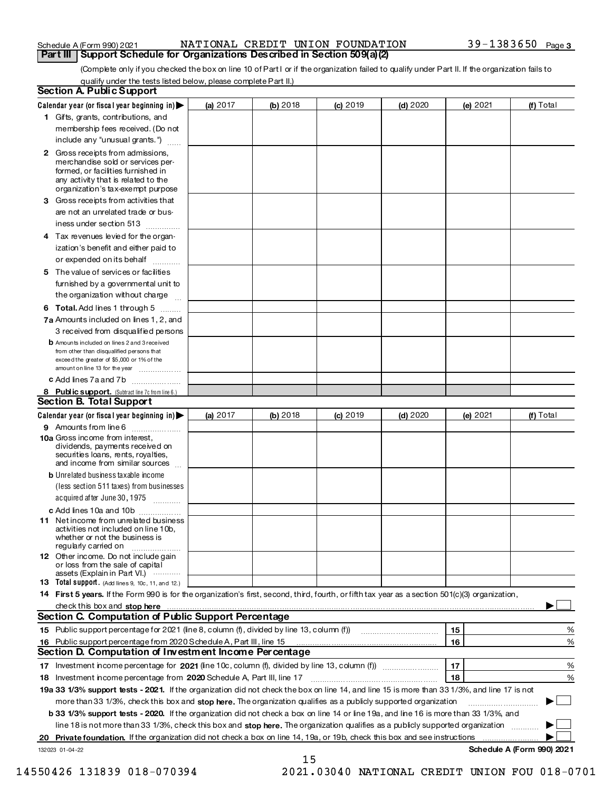$0.11.1$ 

# NATIONAL CREDIT UNION FOUNDATION Part III | Support Schedule for Organizations Described in Section 509(a)(2)

(Complete only if you checked the box on line 10 of Part I or if the organization failed to qualify under Part II. If the organization fails to qualify under the tests listed below, please complete Part II.)<br>A. Public Support

| Section A. Public Support                                                                                                                                                                                                            |            |                 |          |          |          |                            |
|--------------------------------------------------------------------------------------------------------------------------------------------------------------------------------------------------------------------------------------|------------|-----------------|----------|----------|----------|----------------------------|
| Calendar year (or fiscal year beginning in) $\blacktriangleright$                                                                                                                                                                    | (a) 2017   | <b>(b)</b> 2018 | (c) 2019 | (d) 2020 | (e) 2021 | <b>(f)</b> Total           |
| 1 Gifts, grants, contributions, and                                                                                                                                                                                                  |            |                 |          |          |          |                            |
| membership fees received. (Do not                                                                                                                                                                                                    |            |                 |          |          |          |                            |
| include any "unusual grants.")                                                                                                                                                                                                       |            |                 |          |          |          |                            |
| 2 Gross receipts from admissions,<br>merchandise sold or services per-<br>formed, or facilities furnished in<br>any activity that is related to the<br>organization's tax-exempt purpose                                             |            |                 |          |          |          |                            |
| 3 Gross receipts from activities that                                                                                                                                                                                                |            |                 |          |          |          |                            |
| are not an unrelated trade or bus-<br>iness under section 513                                                                                                                                                                        |            |                 |          |          |          |                            |
| 4 Tax revenues levied for the organ-                                                                                                                                                                                                 |            |                 |          |          |          |                            |
| ization's benefit and either paid to<br>or expended on its behalf                                                                                                                                                                    |            |                 |          |          |          |                            |
| 5 The value of services or facilities                                                                                                                                                                                                |            |                 |          |          |          |                            |
| furnished by a governmental unit to                                                                                                                                                                                                  |            |                 |          |          |          |                            |
| the organization without charge                                                                                                                                                                                                      |            |                 |          |          |          |                            |
| 6 Total. Add lines 1 through 5                                                                                                                                                                                                       |            |                 |          |          |          |                            |
| 7a Amounts included on lines 1, 2, and                                                                                                                                                                                               |            |                 |          |          |          |                            |
| 3 received from disqualified persons                                                                                                                                                                                                 |            |                 |          |          |          |                            |
| <b>b</b> Amounts included on lines 2 and 3 received<br>from other than disqualified persons that<br>exceed the greater of \$5,000 or 1% of the<br>amount on line 13 for the year                                                     |            |                 |          |          |          |                            |
| c Add lines 7a and 7b                                                                                                                                                                                                                |            |                 |          |          |          |                            |
| 8 Public support. (Subtract line 7c from line 6.)<br><b>Section B. Total Support</b>                                                                                                                                                 |            |                 |          |          |          |                            |
| Calendar year (or fiscal year beginning in)                                                                                                                                                                                          | (a) $2017$ | (b) 2018        | (c) 2019 | (d) 2020 | (e) 2021 | (f) Total                  |
| <b>9</b> Amounts from line 6                                                                                                                                                                                                         |            |                 |          |          |          |                            |
| 10a Gross income from interest,<br>dividends, payments received on<br>securities loans, rents, royalties,<br>and income from similar sources                                                                                         |            |                 |          |          |          |                            |
| <b>b</b> Unrelated business taxable income                                                                                                                                                                                           |            |                 |          |          |          |                            |
| (less section 511 taxes) from businesses<br>acquired after June 30, 1975                                                                                                                                                             |            |                 |          |          |          |                            |
| c Add lines 10a and 10b                                                                                                                                                                                                              |            |                 |          |          |          |                            |
| 11 Net income from unrelated business<br>activities not included on line 10b,<br>whether or not the business is<br>regularly carried on                                                                                              |            |                 |          |          |          |                            |
| 12 Other income. Do not include gain<br>or loss from the sale of capital<br>assets (Explain in Part VI.)                                                                                                                             |            |                 |          |          |          |                            |
| <b>13 Total support.</b> (Add lines 9, 10c, 11, and 12.)                                                                                                                                                                             |            |                 |          |          |          |                            |
| 14 First 5 years. If the Form 990 is for the organization's first, second, third, fourth, or fifth tax year as a section 501(c)(3) organization,                                                                                     |            |                 |          |          |          |                            |
| <u>check this box and stop here with communication in the control of the control of the change of the change of the change of the change of the change of the change of the change of the change of the change of the change of </u> |            |                 |          |          |          |                            |
| Section C. Computation of Public Support Percentage                                                                                                                                                                                  |            |                 |          |          |          |                            |
| 15 Public support percentage for 2021 (line 8, column (f), divided by line 13, column (f))                                                                                                                                           |            |                 |          |          | 15       | %                          |
| 16 Public support percentage from 2020 Schedule A, Part III, line 15                                                                                                                                                                 |            |                 |          |          | 16       | %                          |
| Section D. Computation of Investment Income Percentage                                                                                                                                                                               |            |                 |          |          |          |                            |
|                                                                                                                                                                                                                                      |            |                 |          |          | 17       | %                          |
|                                                                                                                                                                                                                                      |            |                 |          |          | 18       | %                          |
| 19a 33 1/3% support tests - 2021. If the organization did not check the box on line 14, and line 15 is more than 33 1/3%, and line 17 is not                                                                                         |            |                 |          |          |          |                            |
| more than 33 1/3%, check this box and stop here. The organization qualifies as a publicly supported organization                                                                                                                     |            |                 |          |          |          |                            |
| b 33 1/3% support tests - 2020. If the organization did not check a box on line 14 or line 19a, and line 16 is more than 33 1/3%, and                                                                                                |            |                 |          |          |          |                            |
| line 18 is not more than 33 1/3%, check this box and stop here. The organization qualifies as a publicly supported organization $\ldots$                                                                                             |            |                 |          |          |          |                            |
|                                                                                                                                                                                                                                      |            |                 |          |          |          |                            |
| 132023 01-04-22                                                                                                                                                                                                                      |            |                 |          |          |          | Schedule A (Form 990) 2021 |
|                                                                                                                                                                                                                                      |            | 15              |          |          |          |                            |

2021.03040 NATIONAL CREDIT UNION FOU 018-0701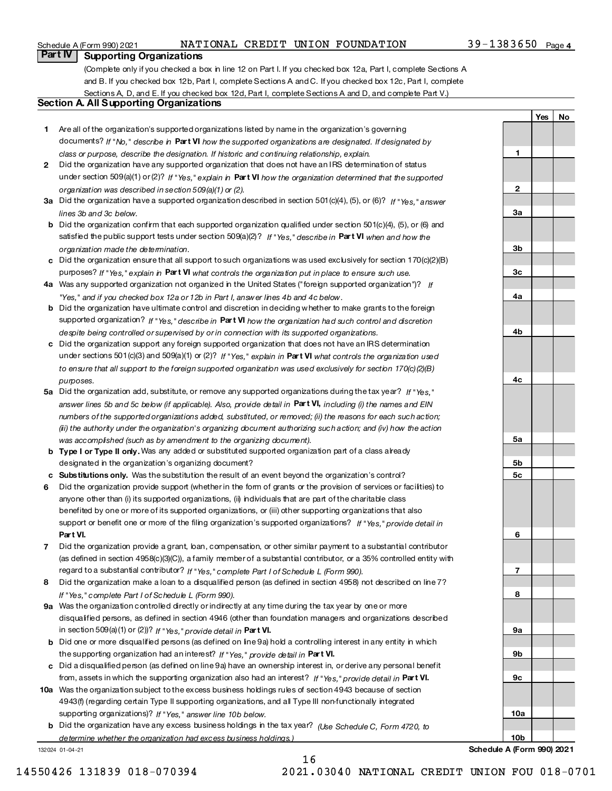# NATIONAL CREDIT UNION FOUNDATION

 $\blacksquare$ 

 $\overline{2}$ 

 $3a$ 

 $3<sub>b</sub>$ 

 $3<sub>c</sub>$ 

 $4a$ 

 $4<sub>b</sub>$ 

4c

 $5a$ 

 $5<sub>b</sub>$ 

 $5<sub>c</sub>$ 

6

 $\overline{7}$ 

 $\mathbf{a}$ 

 $9a$ 

9b

 $9<sub>c</sub>$ 

 $10a$ 

 $10<sub>b</sub>$ 

**No** 

Yes

# Part IV | Supporting Organizations

(Complete only if you checked a box in line 12 on Part I. If you checked box 12a, Part I, complete Sections A and B. If you checked box 12b, Part I, complete Sections A and C. If you checked box 12c, Part I, complete Sections A, D, and E. If you checked box 12d, Part I, complete Sections A and D, and complete Part V.)

# **Section A. All Supporting Organizations**

- 1 Are all of the organization's supported organizations listed by name in the organization's governing documents? If "No," describe in Part VI how the supported organizations are designated. If designated by class or purpose, describe the designation. If historic and continuing relationship, explain.
- 2 Did the organization have any supported organization that does not have an IRS determination of status under section 509(a)(1) or (2)? If "Yes," explain in Part VI how the organization determined that the supported organization was described in section 509(a)(1) or (2).
- 3a Did the organization have a supported organization described in section 501(c)(4), (5), or (6)? If "Yes." answer lines 3b and 3c below
- **b** Did the organization confirm that each supported organization qualified under section 501(c)(4), (5), or (6) and satisfied the public support tests under section 509(a)(2)? If "Yes," describe in Part VI when and how the organization made the determination.
- c Did the organization ensure that all support to such organizations was used exclusively for section  $170(c)(2)(B)$ purposes? If "Yes," explain in Part VI what controls the organization put in place to ensure such use.
- 4a Was any supported organization not organized in the United States ("foreign supported organization")? If "Yes," and if you checked box 12a or 12b in Part I, answer lines 4b and 4c below.
- b Did the organization have ultimate control and discretion in deciding whether to make grants to the foreign supported organization? If "Yes," describe in Part VI how the organization had such control and discretion despite being controlled or supervised by or in connection with its supported organizations.
- c Did the organization support any foreign supported organization that does not have an IRS determination under sections 501(c)(3) and 509(a)(1) or (2)? If "Yes," explain in Part VI what controls the organization used to ensure that all support to the foreign supported organization was used exclusively for section 170(c)(2)(B) pumoses
- 5a Did the organization add, substitute, or remove any supported organizations during the tax year? If "Yes." answer lines 5b and 5c below (if applicable). Also, provide detail in Part VI, including (i) the names and EIN numbers of the supported organizations added, substituted, or removed; (ii) the reasons for each such action; (ii) the authority under the organization's organizing document authorizing such action; and (iv) how the action was accomplished (such as by amendment to the organizing document).
- b Type I or Type II only. Was any added or substituted supported organization part of a class already designated in the organization's organizing document?
- c Substitutions only. Was the substitution the result of an event beyond the organization's control?
- 6 Did the organization provide support (whether in the form of grants or the provision of services or facilities) to anyone other than (i) its supported organizations, (ii) individuals that are part of the charitable class benefited by one or more of its supported organizations, or (iii) other supporting organizations that also support or benefit one or more of the filing organization's supported organizations? If "Yes," provide detail in Part VI.
- 7 Did the organization provide a grant, loan, compensation, or other similar payment to a substantial contributor (as defined in section 4958(c)(3)(C)), a family member of a substantial contributor, or a 35% controlled entity with regard to a substantial contributor? If "Yes," complete Part I of Schedule L (Form 990).
- 8 Did the organization make a loan to a disqualified person (as defined in section 4958) not described on line 7? If "Yes," complete Part I of Schedule L (Form 990).
- 9a Was the organization controlled directly or indirectly at any time during the tax year by one or more disqualified persons, as defined in section 4946 (other than foundation managers and organizations described in section 509(a)(1) or (2))? If "Yes," provide detail in Part VI.
- b Did one or more disqualified persons (as defined on line 9a) hold a controlling interest in any entity in which the supporting organization had an interest? If "Yes," provide detail in Part VI.
- c Did a disqualified person (as defined on line 9a) have an ownership interest in, or derive any personal benefit from, assets in which the supporting organization also had an interest? If "Yes." provide detail in Part VI.
- 10a Was the organization subject to the excess business holdings rules of section 4943 because of section 4943(f) (regarding certain Type II supporting organizations, and all Type III non-functionally integrated supporting organizations)? If "Yes," answer line 10b below.
	- b Did the organization have any excess business holdings in the tax year? (Use Schedule C, Form 4720, to determine whether the organization had excess business holdings.)

 $16$ 

132024 01-04-21

Schedule A (Form 990) 2021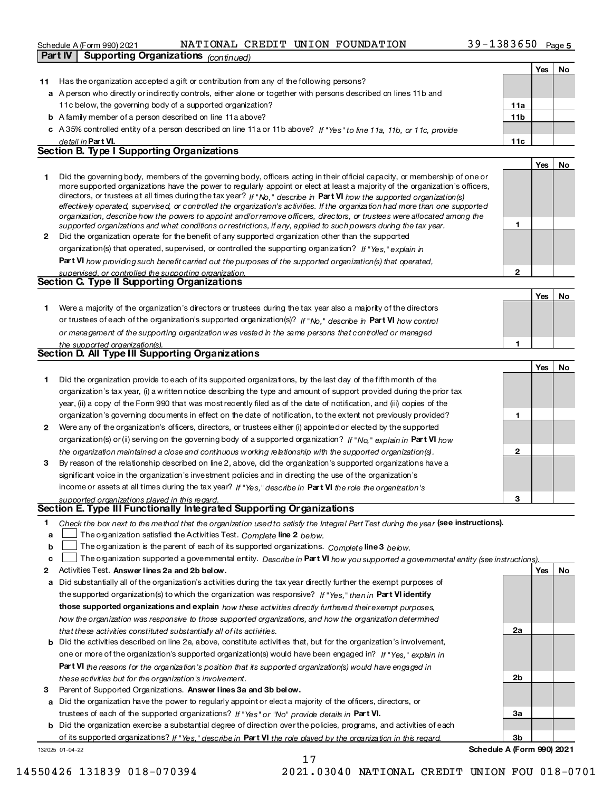# Schedule A (Form 990) 2021 NATIONAL CREDIT UNION FOUNDATION 39-1383650 Page Schedule A (Form 990) 2021 NATIONAL C.<br>Part IV Supporting Organizations (continued)

11 Has the organization accepted a gift or contribution from any of the following persons?

Yes No

|    | a A person who directly or indirectly controls, either alone or together with persons described on lines 11b and                                                                                                                                          |                 |     |    |
|----|-----------------------------------------------------------------------------------------------------------------------------------------------------------------------------------------------------------------------------------------------------------|-----------------|-----|----|
|    | 11c below, the governing body of a supported organization?                                                                                                                                                                                                | 11a             |     |    |
|    | <b>b</b> A family member of a person described on line 11 a above?                                                                                                                                                                                        | 11 <sub>b</sub> |     |    |
|    | c A 35% controlled entity of a person described on line 11 a or 11 b above? If "Yes" to line 11a, 11b, or 11c, provide                                                                                                                                    |                 |     |    |
|    | de tail in <b>Part VI.</b>                                                                                                                                                                                                                                | 11c             |     |    |
|    | Section B. Type I Supporting Organizations                                                                                                                                                                                                                |                 |     |    |
|    |                                                                                                                                                                                                                                                           |                 | Yes | No |
| 1  | Did the governing body, members of the governing body, officers acting in their official capacity, or membership of one or                                                                                                                                |                 |     |    |
|    | more supported organizations have the power to regularly appoint or elect at least a majority of the organization's officers,                                                                                                                             |                 |     |    |
|    | directors, or trustees at all times during the tax year? If "No," describe in Part VI how the supported organization(s)<br>effectively operated, supervised, or controlled the organization's activities. If the organization had more than one supported |                 |     |    |
|    | organization, describe how the powers to appoint and/orremove officers, directors, or trustees were allocated among the                                                                                                                                   |                 |     |    |
|    | supported organizations and what conditions or restrictions, if any, applied to such powers during the tax year.                                                                                                                                          | 1               |     |    |
|    | 2 Did the organization operate for the benefit of any supported organization other than the supported                                                                                                                                                     |                 |     |    |
|    | organization(s) that operated, supervised, or controlled the supporting organization? If "Yes," explain in                                                                                                                                                |                 |     |    |
|    | Part VI how providing such benefit carried out the purposes of the supported organization(s) that operated,                                                                                                                                               |                 |     |    |
|    | supervised, or controlled the supporting organization.                                                                                                                                                                                                    | $\overline{2}$  |     |    |
|    | Section C. Type II Supporting Organizations                                                                                                                                                                                                               |                 |     |    |
|    |                                                                                                                                                                                                                                                           |                 | Yes | No |
| 1. | Were a majority of the organization's directors or trustees during the tax year also a majority of the directors                                                                                                                                          |                 |     |    |
|    | or trustees of each of the organization's supported organization(s)? If "No," describe in Part VI how control                                                                                                                                             |                 |     |    |
|    | or management of the supporting organization was vested in the same persons that controlled or managed                                                                                                                                                    |                 |     |    |
|    | the supported organization(s).                                                                                                                                                                                                                            | 1               |     |    |
|    | Section D. All Type III Supporting Organizations                                                                                                                                                                                                          |                 |     |    |
|    |                                                                                                                                                                                                                                                           |                 | Yes | No |
| 1  | Did the organization provide to each of its supported organizations, by the last day of the fifth month of the                                                                                                                                            |                 |     |    |
|    | organization's tax year, (i) a written notice describing the type and amount of support provided during the prior tax                                                                                                                                     |                 |     |    |
|    | year, (ii) a copy of the Form 990 that was most recently filed as of the date of notification, and (iii) copies of the                                                                                                                                    |                 |     |    |
|    | organization's governing documents in effect on the date of notification, to the extent not previously provided?                                                                                                                                          | 1               |     |    |
| 2  | Were any of the organization's officers, directors, or trustees either (i) appointed or elected by the supported                                                                                                                                          |                 |     |    |
|    | organization(s) or (ii) serving on the governing body of a supported organization? If "No," explain in Part VI how                                                                                                                                        |                 |     |    |
|    | the organization maintained a close and continuous working relationship with the supported organization(s).                                                                                                                                               | 2               |     |    |
| 3  | By reason of the relationship described on line 2, above, did the organization's supported organizations have a                                                                                                                                           |                 |     |    |
|    | significant voice in the organization's investment policies and in directing the use of the organization's                                                                                                                                                |                 |     |    |
|    | income or assets at all times during the tax year? If "Yes," describe in Part VI the role the organization's                                                                                                                                              |                 |     |    |
|    | supported organizations played in this regard.                                                                                                                                                                                                            | 3               |     |    |
|    | Section E. Type III Functionally Integrated Supporting Organizations                                                                                                                                                                                      |                 |     |    |
| 1. | Check the box next to the method that the organization used to satisfy the Integral Part Test during the year (see instructions).                                                                                                                         |                 |     |    |
|    | $\,$ The organization satisfied the Activities Test. $\,$ Complete line 2 $\,$ be low.                                                                                                                                                                    |                 |     |    |
| b  | The organization is the parent of each of its supported organizations. Complete line 3 below.                                                                                                                                                             |                 |     |    |
| c  | The organization supported a govemmental entity. Describe in Part VI how you supported a govemmental entity (see instructions)                                                                                                                            |                 |     |    |
| 2  | Activities Test. Answer lines 2a and 2b below.                                                                                                                                                                                                            |                 | Yes | No |
| a  | Did substantially all of the organization's activities during the tax year directly further the exempt purposes of                                                                                                                                        |                 |     |    |
|    | the supported organization(s) to which the organization was responsive? If "Yes," then in Part VI identify                                                                                                                                                |                 |     |    |
|    | those supported organizations and explain how these activities directly furthered their exempt purposes,                                                                                                                                                  |                 |     |    |
|    | how the organization was responsive to those supported organizations, and how the organization determined                                                                                                                                                 |                 |     |    |
|    | that these activities constituted substantially all of its activities.                                                                                                                                                                                    | 2a              |     |    |
|    | <b>b</b> Did the activities described on line 2a, above, constitute activities that, but for the organization's involvement,                                                                                                                              |                 |     |    |
|    | one or more of the organization's supported organization(s) would have been engaged in? If "Yes," explain in                                                                                                                                              |                 |     |    |
|    | Part VI the reasons for the organization 's position that its supported organization(s) would have engaged in                                                                                                                                             |                 |     |    |
|    | these activities but for the organization's involvement.                                                                                                                                                                                                  | 2 <sub>b</sub>  |     |    |
| 3  | Parent of Supported Organizations. Answer lines 3a and 3b below.                                                                                                                                                                                          |                 |     |    |
|    | a Did the organization have the power to regularly appoint or elect a majority of the officers, directors, or                                                                                                                                             |                 |     |    |
|    | trustees of each of the supported organizations? If "Yes" or "No" provide details in Part VI.                                                                                                                                                             | За              |     |    |
|    | <b>b</b> Did the organization exercise a substantial degree of direction over the policies, programs, and activities of each                                                                                                                              |                 |     |    |
|    | of its supported organizations? If "Yes." describe in Part VI the role played by the organization in this regard.                                                                                                                                         | 3b              |     |    |
|    | Schedule A (Form 990) 2021<br>132025 01-04-22                                                                                                                                                                                                             |                 |     |    |

17 14550426131839018-0703942021.03040NATIONALCREDITUNIONFOU018-0701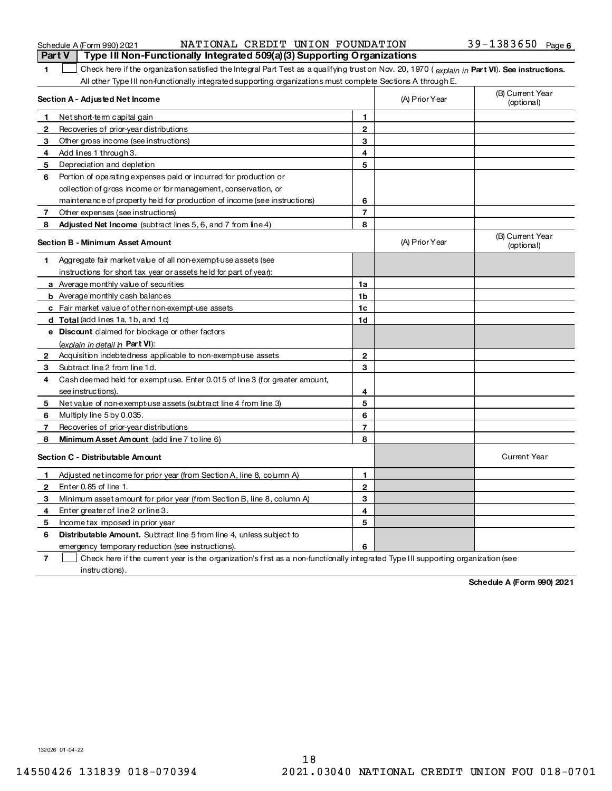| Schedule A (Form 990) 202 |  |  |
|---------------------------|--|--|
|---------------------------|--|--|

# Schedule A (Form 990) 2021 NATIONAL CREDIT UNION FOUNDATION 39-1383650 Page **Part V** Type III Non-Functionally Integrated 509(a)(3) Supporting Organizations

1 Check here if the organization satisfied the Integral Part Test as a qualifying trust on Nov. 20, 1970 (explain in Part VI). See instructions. All other Type III non-functionally integrated supporting organizations must complete Sections A through E.

|              | Section A - Adjusted Net Income                                                                                                   |                | (A) Prior Year | (B) Current Year<br>(optional) |
|--------------|-----------------------------------------------------------------------------------------------------------------------------------|----------------|----------------|--------------------------------|
|              | Net short-term capital gain                                                                                                       | 1              |                |                                |
| 2            | Recoveries of prior-year distributions                                                                                            | $\mathbf{2}$   |                |                                |
| 3            | Other gross income (see instructions)                                                                                             | 3              |                |                                |
| 4            | Add lines 1 through 3.                                                                                                            | 4              |                |                                |
| 5            | Depreciation and depletion                                                                                                        | 5              |                |                                |
| 6            | Portion of operating expenses paid or incurred for production or                                                                  |                |                |                                |
|              | collection of gross income or for management, conservation, or                                                                    |                |                |                                |
|              | maintenance of property held for production of income (see instructions)                                                          | 6              |                |                                |
| 7            | Other expenses (see instructions)                                                                                                 | $\overline{7}$ |                |                                |
| 8            | Adjusted Net Income (subtract lines 5, 6, and 7 from line 4)                                                                      | 8              |                |                                |
|              | Section B - Minimum Asset Amount                                                                                                  |                | (A) Prior Year | (B) Current Year<br>(optional) |
| 1            | Aggregate fair market value of all non-exempt-use assets (see                                                                     |                |                |                                |
|              | instructions for short tax year or assets held for part of year).                                                                 |                |                |                                |
|              | a Average monthly value of securities                                                                                             | 1a             |                |                                |
|              | <b>b</b> Average monthly cash balances                                                                                            | 1b             |                |                                |
|              | c Fair market value of other non-exempt-use assets                                                                                | 1c             |                |                                |
|              | d Total (add lines 1a, 1b, and 1c)                                                                                                | 1d             |                |                                |
|              | e Discount claimed for blockage or other factors                                                                                  |                |                |                                |
|              | (explain in detail in Part VI).                                                                                                   |                |                |                                |
| $\mathbf{2}$ | Acquisition indebtedness applicable to non-exempt-use assets                                                                      | $\mathbf 2$    |                |                                |
| 3            | Subtract line 2 from line 1d.                                                                                                     | 3              |                |                                |
| 4            | Cash deemed held for exempt use. Enter 0.015 of line 3 (for greater amount,                                                       |                |                |                                |
|              | see instructions)                                                                                                                 | 4              |                |                                |
| 5            | Net value of non-exempt-use assets (subtract line 4 from line 3)                                                                  | 5              |                |                                |
| 6            | Multiply line 5 by 0.035.                                                                                                         | 6              |                |                                |
| 7            | Recoveries of prior-year distributions                                                                                            | $\overline{7}$ |                |                                |
| 8            | Minimum Asset Amount (add line 7 to line 6)                                                                                       | 8              |                |                                |
|              | Section C - Distributable Amount                                                                                                  |                |                | <b>Current Year</b>            |
| 1            | Adjusted net income for prior year (from Section A, line 8, column A)                                                             | 1              |                |                                |
| 2            | Enter 0.85 of line 1.                                                                                                             | $\overline{2}$ |                |                                |
| 3            | Minimum asset amount for prior year (from Section B, line 8, column A)                                                            | 3              |                |                                |
| 4            | Enter greater of line 2 or line 3.                                                                                                | 4              |                |                                |
| 5            | Income tax imposed in prior year                                                                                                  | 5              |                |                                |
| 6            | <b>Distributable Amount.</b> Subtract line 5 from line 4, unless subject to                                                       |                |                |                                |
|              | emergency temporary reduction (see instructions).                                                                                 | 6              |                |                                |
| 7            | Check here if the current year is the organization's first as a non-functionally integrated Type III supporting organization (see |                |                |                                |

instructions).

Schedule A (Form 990) 2021

132026 01-04-22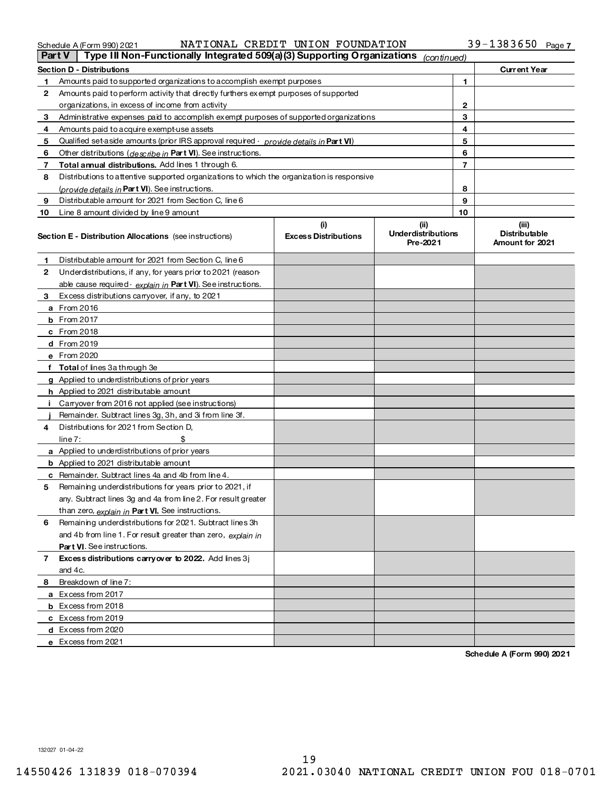| Schedule A (Form 990) 2021 |
|----------------------------|
|----------------------------|

# Schedule A (Form 990) 2021 NATIONAL(CREDIT(UNION)FOUNDATION 3 9 - 1 38 3 6 5 0 Page NATIONALCREDITUNIONFOUNDATION 39-1383650

| Part V | Type III Non-Functionally Integrated 509(a)(3) Supporting Organizations (continued)        |                             |                                       |                                         |
|--------|--------------------------------------------------------------------------------------------|-----------------------------|---------------------------------------|-----------------------------------------|
|        | <b>Section D - Distributions</b>                                                           |                             |                                       | <b>Current Year</b>                     |
| 1      | Amounts paid to supported organizations to accomplish exempt purposes                      |                             | 1                                     |                                         |
| 2      | Amounts paid to perform activity that directly furthers exempt purposes of supported       |                             |                                       |                                         |
|        | organizations, in excess of income from activity                                           |                             | $\mathbf{2}$                          |                                         |
| 3      | Administrative expenses paid to accomplish exempt purposes of supported organizations      |                             | 3                                     |                                         |
| 4      | Amounts paid to acquire exempt-use assets                                                  |                             | 4                                     |                                         |
| 5      | Qualified set aside amounts (prior IRS approval required - provide details in Part VI)     |                             | 5                                     |                                         |
| 6      | Other distributions (describe in Part VI). See instructions.                               |                             | 6                                     |                                         |
| 7      | Total annual distributions. Add lines 1 through 6.                                         |                             | $\overline{7}$                        |                                         |
| 8      | Distributions to attentive supported organizations to which the organization is responsive |                             |                                       |                                         |
|        | (provide details in <b>Part VI</b> ). See instructions.                                    |                             | 8                                     |                                         |
| 9      | Distributable amount for 2021 from Section C, line 6                                       |                             | 9                                     |                                         |
| 10     | Line 8 amount divided by line 9 amount                                                     |                             | 10                                    |                                         |
|        |                                                                                            | (i)                         | (ii)                                  | (iii)                                   |
|        | <b>Section E - Distribution Allocations</b> (see instructions)                             | <b>Excess Distributions</b> | <b>Underdistributions</b><br>Pre-2021 | <b>Distributable</b><br>Amount for 2021 |
| 1.     | Distributable amount for 2021 from Section C, line 6                                       |                             |                                       |                                         |
| 2      | Underdistributions, if any, for years prior to 2021 (reason-                               |                             |                                       |                                         |
|        | able cause required - explain in Part VI). See instructions.                               |                             |                                       |                                         |
| 3      | Excess distributions carryover, if any, to 2021                                            |                             |                                       |                                         |
|        | <b>a</b> From 2016                                                                         |                             |                                       |                                         |
|        | <b>b</b> From 2017                                                                         |                             |                                       |                                         |
|        | $c$ From 2018                                                                              |                             |                                       |                                         |
|        | <b>d</b> From 2019                                                                         |                             |                                       |                                         |
|        | e From 2020                                                                                |                             |                                       |                                         |
|        | f Total of lines 3a through 3e                                                             |                             |                                       |                                         |
|        | g Applied to underdistributions of prior years                                             |                             |                                       |                                         |
|        | h Applied to 2021 distributable amount                                                     |                             |                                       |                                         |
|        | i Carryover from 2016 not applied (see instructions)                                       |                             |                                       |                                         |
|        | Remainder. Subtract lines 3g, 3h, and 3i from line 3f.                                     |                             |                                       |                                         |
| 4      | Distributions for 2021 from Section D.                                                     |                             |                                       |                                         |
|        | \$<br>line 7:                                                                              |                             |                                       |                                         |
|        | a Applied to underdistributions of prior years                                             |                             |                                       |                                         |
|        | <b>b</b> Applied to 2021 distributable amount                                              |                             |                                       |                                         |
|        | c Remainder. Subtract lines 4a and 4b from line 4.                                         |                             |                                       |                                         |
| 5.     | Remaining underdistributions for years prior to 2021, if                                   |                             |                                       |                                         |
|        | any. Subtract lines 3g and 4a from line 2. For result greater                              |                             |                                       |                                         |
|        | than zero, explain in Part VI. See instructions.                                           |                             |                                       |                                         |
| 6      | Remaining underdistributions for 2021. Subtract lines 3h                                   |                             |                                       |                                         |
|        | and 4b from line 1. For result greater than zero, explain in                               |                             |                                       |                                         |
|        | Part VI. See instructions.                                                                 |                             |                                       |                                         |
| 7      | Excess distributions carryover to 2022. Add lines 3j                                       |                             |                                       |                                         |
|        | and 4c.                                                                                    |                             |                                       |                                         |
| 8      | Breakdown of line 7:                                                                       |                             |                                       |                                         |
|        | a Excess from 2017                                                                         |                             |                                       |                                         |
|        | <b>b</b> Excess from 2018                                                                  |                             |                                       |                                         |
|        | c Excess from 2019                                                                         |                             |                                       |                                         |
|        | d Excess from 2020                                                                         |                             |                                       |                                         |
|        | e Excess from 2021                                                                         |                             |                                       |                                         |

Schedule A (Form 990) 2021

13202701-04-22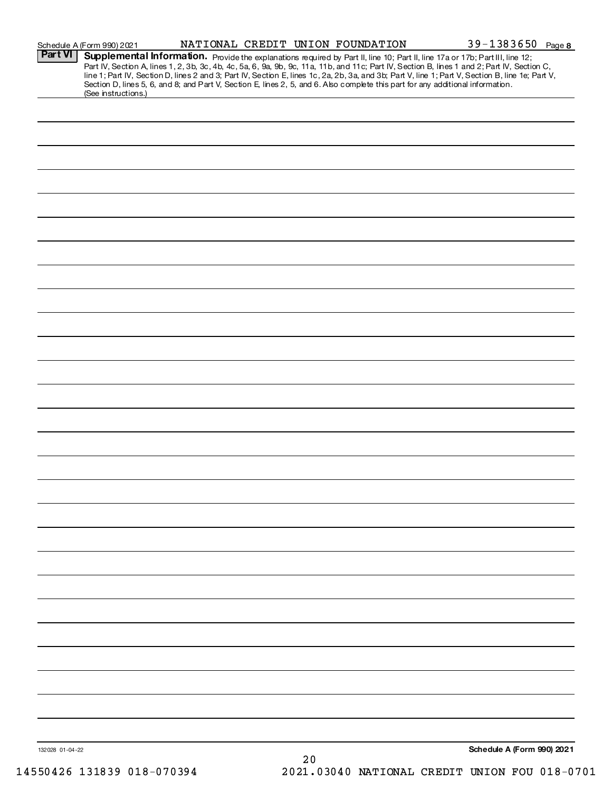| Schedule A (Form 990) 2021 |
|----------------------------|
|----------------------------|

# Schedule A (Form 990) 2021 NATIONAL CREDIT UNION FOUNDATION 39-1383650 Page 8

| Part VI         | Supplemental Information. Provide the explanations required by Part II, line 10; Part II, line 17a or 17b; Part III, line 12;                    |
|-----------------|--------------------------------------------------------------------------------------------------------------------------------------------------|
|                 | Part IV, Section A, lines 1, 2, 3b, 3c, 4b, 4c, 5a, 6, 9a, 9b, 9c, 11a, 11b, and 11c; Part IV, Section B, lines 1 and 2; Part IV, Section C,     |
|                 | line 1; Part IV, Section D, lines 2 and 3; Part IV, Section E, lines 1c, 2a, 2b, 3a, and 3b; Part V, line 1; Part V, Section B, line 1e; Part V, |
|                 | Section D, lines 5, 6, and 8; and Part V, Section E, lines 2, 5, and 6. Also complete this part for any additional information.                  |
|                 | (See instructions.)                                                                                                                              |
|                 |                                                                                                                                                  |
|                 |                                                                                                                                                  |
|                 |                                                                                                                                                  |
|                 |                                                                                                                                                  |
|                 |                                                                                                                                                  |
|                 |                                                                                                                                                  |
|                 |                                                                                                                                                  |
|                 |                                                                                                                                                  |
|                 |                                                                                                                                                  |
|                 |                                                                                                                                                  |
|                 |                                                                                                                                                  |
|                 |                                                                                                                                                  |
|                 |                                                                                                                                                  |
|                 |                                                                                                                                                  |
|                 |                                                                                                                                                  |
|                 |                                                                                                                                                  |
|                 |                                                                                                                                                  |
|                 |                                                                                                                                                  |
|                 |                                                                                                                                                  |
|                 |                                                                                                                                                  |
|                 |                                                                                                                                                  |
|                 |                                                                                                                                                  |
|                 |                                                                                                                                                  |
|                 |                                                                                                                                                  |
|                 |                                                                                                                                                  |
|                 |                                                                                                                                                  |
|                 |                                                                                                                                                  |
|                 |                                                                                                                                                  |
|                 |                                                                                                                                                  |
|                 |                                                                                                                                                  |
|                 |                                                                                                                                                  |
|                 |                                                                                                                                                  |
|                 |                                                                                                                                                  |
|                 |                                                                                                                                                  |
|                 |                                                                                                                                                  |
|                 |                                                                                                                                                  |
|                 |                                                                                                                                                  |
|                 |                                                                                                                                                  |
|                 |                                                                                                                                                  |
|                 |                                                                                                                                                  |
|                 |                                                                                                                                                  |
|                 |                                                                                                                                                  |
|                 |                                                                                                                                                  |
|                 |                                                                                                                                                  |
|                 |                                                                                                                                                  |
|                 |                                                                                                                                                  |
|                 |                                                                                                                                                  |
|                 |                                                                                                                                                  |
|                 |                                                                                                                                                  |
|                 |                                                                                                                                                  |
|                 |                                                                                                                                                  |
|                 |                                                                                                                                                  |
|                 |                                                                                                                                                  |
|                 |                                                                                                                                                  |
|                 |                                                                                                                                                  |
|                 |                                                                                                                                                  |
|                 |                                                                                                                                                  |
|                 |                                                                                                                                                  |
|                 |                                                                                                                                                  |
|                 |                                                                                                                                                  |
|                 |                                                                                                                                                  |
|                 |                                                                                                                                                  |
|                 |                                                                                                                                                  |
|                 |                                                                                                                                                  |
|                 |                                                                                                                                                  |
|                 |                                                                                                                                                  |
|                 |                                                                                                                                                  |
|                 |                                                                                                                                                  |
|                 |                                                                                                                                                  |
| 132028 01-04-22 | Schedule A (Form 990) 2021                                                                                                                       |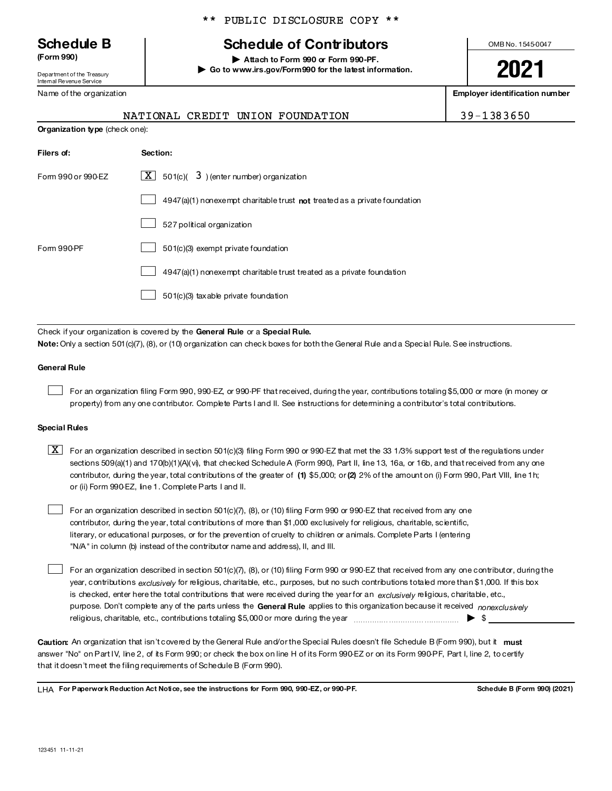# **Schedule B**

(Form 990)

Department of the Treasury Internal Revenue Service

Name of the organization

# **Schedule of Contributors**

Attach to Form 990 or Form 990-PF. Go to www.irs.gov/Form990 for the latest information. OMB No. 1545-0047

2021

**Employer identification number** 

|                                | NATIONAL CREDIT UNION FOUNDATION                                            | 39-1383650 |
|--------------------------------|-----------------------------------------------------------------------------|------------|
| Organization type (check one): |                                                                             |            |
| Filers of:                     | Section:                                                                    |            |
| Form 990 or 990-EZ             | $\overline{\mathbf{X}}$ 501(c)( 3) (enter number) organization              |            |
|                                | $4947(a)(1)$ nonexempt charitable trust not treated as a private foundation |            |
|                                | 527 political organization                                                  |            |
| Form 990-PF                    | 501(c)(3) exempt private foundation                                         |            |
|                                | $4947(a)(1)$ nonexempt charitable trust treated as a private foundation     |            |

 $\vert$  4947(a)(1) nonexempt charitable trust treated as a private foundation

501(c)(3) taxable private foundation

Check if your organization is covered by the General Rule or a Special Rule. Note: Only a section 501 (c)(7), (8), or (10) organization can check boxes for both the General Rule and a Special Rule. See instructions.

# **General Rule**

For an organization filing Form 990, 990-EZ, or 990-PF that received, during the year, contributions totaling \$5,000 or more (in money or property) from any one contributor. Complete Parts I and II. See instructions for determining a contributor's total contributions.

# **Special Rules**

 $X$  For an organization described in section 501(c)(3) filing Form 990 or 990-EZ that met the 33 1/3% support test of the regulations under sections 509(a)(1) and 170(b)(1)(A)(vi), that checked Schedule A (Form 990), Part II, line 13, 16a, or 16b, and that received from any one contributor, during the year, total contributions of the greater of (1) \$5,000; or (2) 2% of the amount on (i) Form 990, Part VIII, line 1h; or (ii) Form 990-EZ, line 1. Complete Parts I and II.

For an organization described in section 501(c)(7), (8), or (10) filing Form 990 or 990-EZ that received from any one contributor, during the year, total contributions of more than \$1,000 exclusively for religious, charitable, scientific, literary, or educational purposes, or for the prevention of cruelty to children or animals. Complete Parts I (entering "N/A" in column (b) instead of the contributor name and address), II, and III.

For an organization described in section 501(c)(7), (8), or (10) filing Form 990 or 990-EZ that received from any one contributor, during the year, contributions exclusively for religious, charitable, etc., purposes, but no such contributions totaled more than \$1,000. If this box is checked, enter here the total contributions that were received during the year for an exclusively religious, charitable, etc., purpose. Don't complete any of the parts unless the General Rule applies to this organization because it received nonexclusively 

Caution: An organization that isn't covered by the General Rule and/or the Special Rules doesn't file Schedule B (Form 990), but it must answer "No" on Part IV, Ine 2, of its Form 990; or check the box on line H of its Form 990-EZ or on its Form 990-PF, Part I, line 2, to certify that it doesn't meet the filing requirements of Schedule B (Form 990).

LHA For Paperwork Reduction Act Notice, see the instructions for Form 990, 990-EZ, or 990-PF.

Schedule B (Form 990) (2021)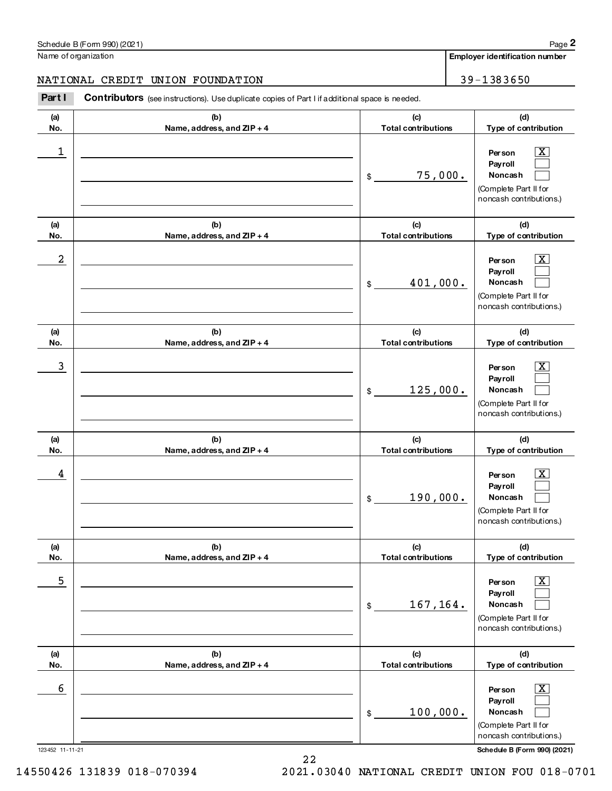(a) No. (b) Name, address, and ZIP + 4 (c) **Total contributions** (d) Type of contribution Per son **Payroll** Noncash (a) No. (b) Name, address, and ZIP + 4 (c) **Total contributions** (d) Type of contribution Per son **Payroll** Noncash (a) No. (b) Name, address, and  $ZIP + 4$ (c) **Total contributions** (d) Type of contribution Per son **Payroll** Noncash (a) No. (b) Name, address, and ZIP + 4 (c) **Total contributions** (d) Type of contribution Per son Pay roll Noncash (a) No. (b) Name, address, and  $ZIP + 4$ (c) **Total contributions** (d) Type of contribution Per son **Payroll** Noncash (a) No. (b) Name, address, and ZIP + 4 (c) **Total contributions** (d) Type of contribution Per son **Payroll** Noncash Part I Contributors (see instructions). Use duplicate copies of Part I if additional space is needed. \$ (Complete Part II for noncash contributions.) \$ (Complete Part II for noncash contributions.) \$ (Complete Part II for noncash contributions.) \$ (Complete Part II for noncash contributions.) \$ (Complete Part II for noncash contributions.) \$ (Complete Part II for noncash contributions.)  $\lfloor x \rfloor$  $\mathcal{L}_{\text{max}}$  $\mathcal{L}_{\text{max}}$  $\lfloor x \rfloor$  $\mathcal{L}_{\text{max}}$  $\mathcal{L}_{\text{max}}$  $\sqrt{X}$  $\mathcal{L}_{\text{max}}$  $\mathcal{L}_{\text{max}}$  $\boxed{\text{X}}$  $\mathcal{L}_{\text{max}}$  $\mathcal{L}_{\text{max}}$  $\vert$  X  $\mathcal{L}_{\text{max}}$  $\mathcal{L}_{\mathcal{A}}$  $\lfloor x \rfloor$  $\mathcal{L}_{\text{max}}$  $\mathcal{L}_{\text{max}}$ 1 X 75,000.  $2$  Person  $\overline{\text{X}}$ 401,000.  $\overline{3}$  Person  $\overline{X}$ 125,000. 4 X 190,000.  $\overline{\phantom{a}}$  5  $\overline{\phantom{a}}$  Person  $\overline{\phantom{a}}$   $\overline{\phantom{a}}$ 167,164. 6 X 100,000.

Name of organization

Employer identification number

NATIONAL CREDIT UNION FOUNDATION **199-1383650** 

Page 2

12345211-11-21 ScheduleB(Form990)(2021)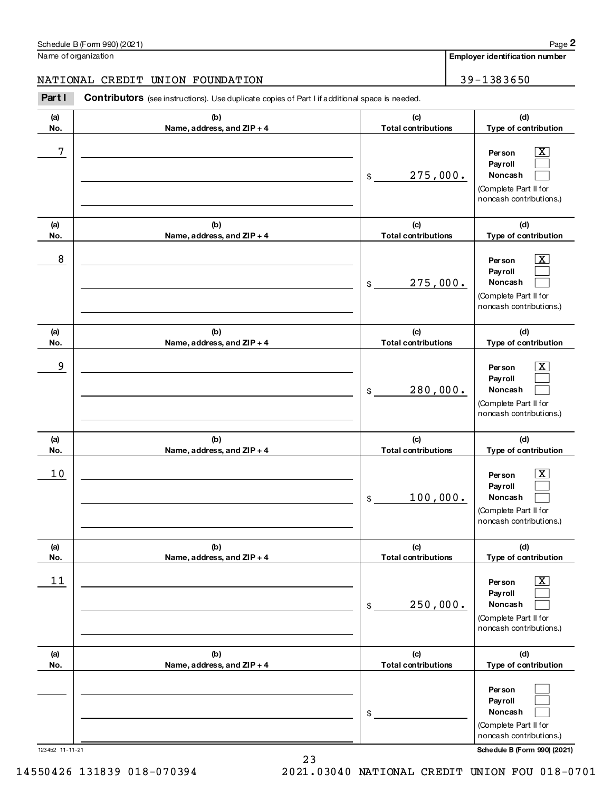(b) (c) (see instructions). Use duplicate copies of Part I if additional space is needed. NATIONAL CREDIT UNION FOUNDATION 39-1383650

# Schedule B (Form 990) (2021) Name of organization

| Part I     | Contributors (see instructions). Use duplicate copies of Part I if additional space is needed. |                                   |                                                                                                            |
|------------|------------------------------------------------------------------------------------------------|-----------------------------------|------------------------------------------------------------------------------------------------------------|
| (a)<br>No. | (b)<br>Name, address, and ZIP + 4                                                              | (c)<br><b>Total contributions</b> | (d)<br>Type of contribution                                                                                |
| 7          |                                                                                                | 275,000.<br>\$                    | $\overline{\text{X}}$<br>Per son<br>Payroll<br>Noncash<br>(Complete Part II for<br>noncash contributions.) |
| (a)<br>No. | (b)<br>Name, address, and ZIP + 4                                                              | (c)<br><b>Total contributions</b> | (d)<br>Type of contribution                                                                                |
| 8          |                                                                                                | 275,000.<br>\$                    | $\overline{\text{X}}$<br>Per son<br>Payroll<br>Noncash<br>(Complete Part II for<br>noncash contributions.) |
| (a)<br>No. | (b)<br>Name, address, and ZIP + 4                                                              | (c)<br><b>Total contributions</b> | (d)<br>Type of contribution                                                                                |
| 9          |                                                                                                | 280,000.<br>\$                    | $\overline{\text{X}}$<br>Per son<br>Payroll<br>Noncash<br>(Complete Part II for<br>noncash contributions.) |
| (a)<br>No. | (b)<br>Name, address, and ZIP + 4                                                              | (c)<br><b>Total contributions</b> | (d)<br>Type of contribution                                                                                |
| 10         |                                                                                                | 100,000.<br>$\frac{1}{2}$         | $\overline{\text{X}}$<br>Per son<br>Payroll<br>Noncash<br>(Complete Part II for<br>noncash contributions.) |
| (a)<br>No. | (b)<br>Name, address, and ZIP + 4                                                              | (c)<br><b>Total contributions</b> | (d)<br>Type of contribution                                                                                |
| 11         |                                                                                                | 250,000.<br>\$                    | $\overline{\text{X}}$<br>Per son<br>Payroll<br>Noncash<br>(Complete Part II for<br>noncash contributions.) |
| (a)<br>No. | (b)<br>Name, address, and ZIP + 4                                                              | (c)<br><b>Total contributions</b> | (d)<br>Type of contribution                                                                                |
|            |                                                                                                | \$                                | Per son<br>Payroll<br>Noncash<br>(Complete Part II for<br>noncash contributions.)                          |

Page 2

Employer identification number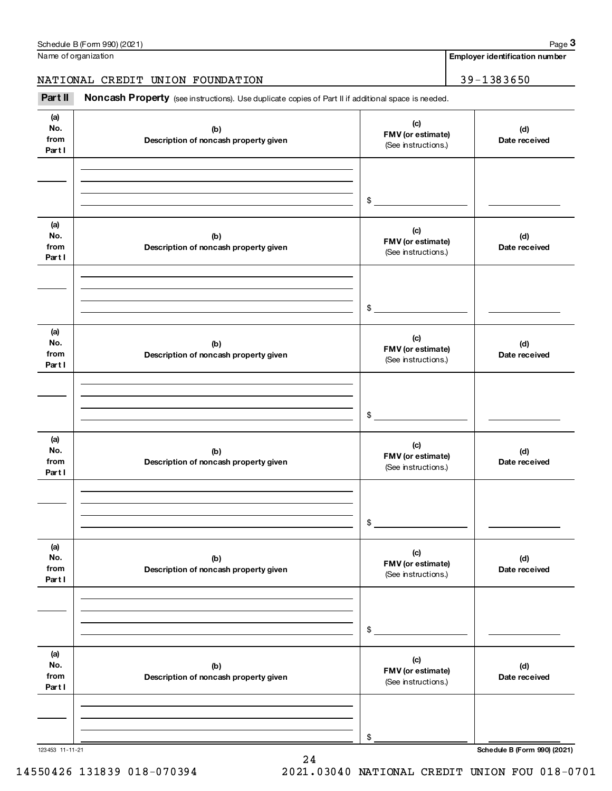| Part II                     | Noncash Property (see instructions). Use duplicate copies of Part II if additional space is needed. |                                                 |                      |  |
|-----------------------------|-----------------------------------------------------------------------------------------------------|-------------------------------------------------|----------------------|--|
| (a)<br>No.<br>from<br>Partl | (b)<br>Description of noncash property given                                                        | (c)<br>FMV (or estimate)<br>(See instructions.) | (d)<br>Date received |  |
|                             |                                                                                                     | \$                                              |                      |  |
| (a)<br>No.<br>from<br>Partl | (b)<br>Description of noncash property given                                                        | (c)<br>FMV (or estimate)<br>(See instructions.) | (d)<br>Date received |  |
|                             |                                                                                                     | \$                                              |                      |  |
| (a)<br>No.<br>from<br>Partl | (b)<br>Description of noncash property given                                                        | (c)<br>FMV (or estimate)<br>(See instructions.) | (d)<br>Date received |  |
|                             |                                                                                                     | \$                                              |                      |  |
| (a)<br>No.<br>from<br>Partl | (b)<br>Description of noncash property given                                                        | (c)<br>FMV (or estimate)<br>(See instructions.) | (d)<br>Date received |  |
|                             |                                                                                                     | \$                                              |                      |  |
| (a)<br>No.<br>from<br>Partl | (b)<br>Description of noncash property given                                                        | (c)<br>FMV (or estimate)<br>(See instructions.) | (d)<br>Date received |  |
|                             |                                                                                                     | \$                                              |                      |  |
| (a)<br>No.<br>from<br>Partl | (b)<br>Description of noncash property given                                                        | (c)<br>FMV (or estimate)<br>(See instructions.) | (d)<br>Date received |  |
|                             |                                                                                                     | \$                                              |                      |  |

NATIONAL CREDIT UNION FOUNDATION 39-1383650

Name of organization

Employer identification number

24

123453 11-11-21 **Schedule B (Form 990) (2021)** 

14550426131839018-0703942021.03040NATIONALCREDITUNIONFOU018-0701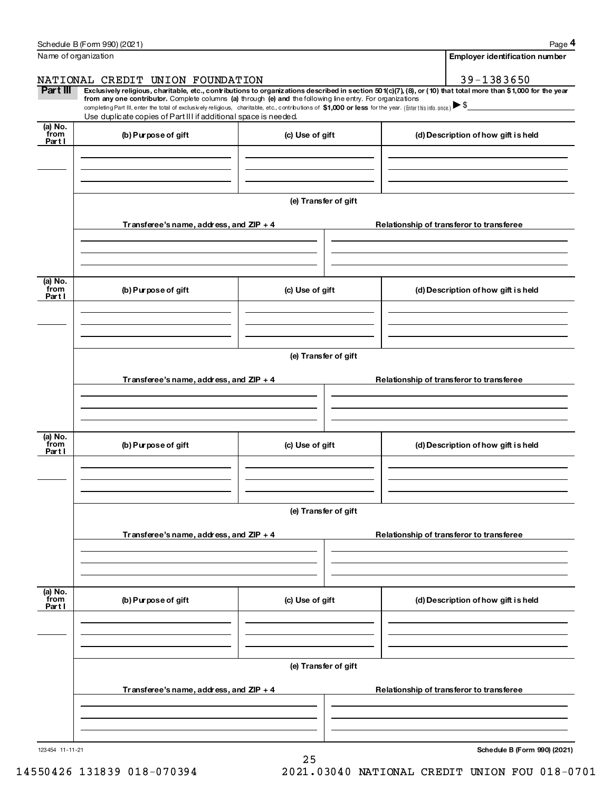|                          | Schedule B (Form 990) (2021)                                                                                                                                                                                                                                                                                                                |                      | Page 4                                                                                                                                                         |  |
|--------------------------|---------------------------------------------------------------------------------------------------------------------------------------------------------------------------------------------------------------------------------------------------------------------------------------------------------------------------------------------|----------------------|----------------------------------------------------------------------------------------------------------------------------------------------------------------|--|
|                          | Name of organization                                                                                                                                                                                                                                                                                                                        |                      | Employer identification number                                                                                                                                 |  |
|                          | NATIONAL CREDIT UNION FOUNDATION                                                                                                                                                                                                                                                                                                            |                      | 39-1383650                                                                                                                                                     |  |
| Part III                 | from any one contributor. Complete columns (a) through (e) and the following line entry. For organizations<br>completing Part III, enter the total of exclusively religious, charitable, etc., contributions of \$1,000 or less for the year. (Enter this info. once.) S<br>Use duplicate copies of Part III if additional space is needed. |                      | Exclusively religious, charitable, etc., contributions to organizations described in section 501(c)(7), (8), or (10) that total more than \$1,000 for the year |  |
| (a) No.                  |                                                                                                                                                                                                                                                                                                                                             |                      |                                                                                                                                                                |  |
| from<br>Partl            | (b) Purpose of gift                                                                                                                                                                                                                                                                                                                         | (c) Use of gift      | (d) Description of how gift is held                                                                                                                            |  |
|                          | Transferee's name, address, and $ZIP + 4$                                                                                                                                                                                                                                                                                                   | (e) Transfer of gift | Relationship of transferor to transferee                                                                                                                       |  |
|                          |                                                                                                                                                                                                                                                                                                                                             |                      |                                                                                                                                                                |  |
| (a) No.<br>from<br>Partl | (b) Purpose of gift                                                                                                                                                                                                                                                                                                                         | (c) Use of gift      | (d) Description of how gift is held                                                                                                                            |  |
|                          | (e) Transfer of gift                                                                                                                                                                                                                                                                                                                        |                      |                                                                                                                                                                |  |
|                          | Transferee's name, address, and $ZIP + 4$                                                                                                                                                                                                                                                                                                   |                      | Relationship of transferor to transferee                                                                                                                       |  |
| (a) No.<br>from<br>Partl | (b) Purpose of gift                                                                                                                                                                                                                                                                                                                         | (c) Use of gift      | (d) Description of how gift is held                                                                                                                            |  |
|                          | (e) Transfer of gift                                                                                                                                                                                                                                                                                                                        |                      |                                                                                                                                                                |  |
|                          | Transferee's name, address, and $ZIP + 4$                                                                                                                                                                                                                                                                                                   |                      | Relationship of transferor to transferee                                                                                                                       |  |
| (a) No.<br>from<br>Partl | (b) Purpose of gift                                                                                                                                                                                                                                                                                                                         | (c) Use of gift      | (d) Description of how gift is held                                                                                                                            |  |
|                          |                                                                                                                                                                                                                                                                                                                                             | (e) Transfer of gift |                                                                                                                                                                |  |
|                          | Transferee's name, address, and $ZIP + 4$                                                                                                                                                                                                                                                                                                   |                      | Relationship of transferor to transferee                                                                                                                       |  |
|                          |                                                                                                                                                                                                                                                                                                                                             |                      |                                                                                                                                                                |  |

12345411-11-21

Schedule B (Form 990) (2021)

25 14550426131839018-0703942021.03040NATIONALCREDITUNIONFOU018-0701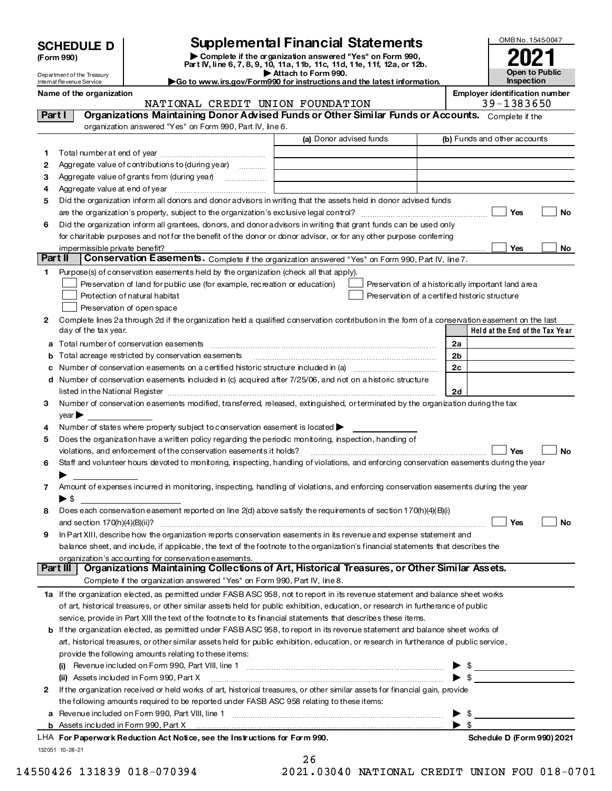| <b>SCHEDULE D</b> |  |
|-------------------|--|
|-------------------|--|

Department of the Treasury Internal Revenue Service

Name of the organization

| (Form 990) |
|------------|
|            |

# **Supplemental Financial Statements**

Complete if the organization answered "Yes" on Form 990, Part IV, line 6, 7, 8, 9, 10, 11a, 11b, 11c, 11d, 11e, 11f, 12a, or 12b. Attach to Form 990.



Go to www.irs.gov/Form990 for instructions and the latest information.

NATIONAL CREDIT UNION FOUNDATION 39-1383650 Part I Organizations Maintaining Donor Advised Funds or Other Similar Funds or Accounts. Complete if the organization answered "Yes" on Form 990, Part IV, line 6. (a) Donor advised funds (b) Funds and other accounts  $\overline{2}$ Aggregate value of contributions to (during year) ............ 3 Aggregate value of grants from (during year) .................. Did the organization inform all donors and donor advisors in writing that the assets held in donor advised funds 5  $N<sub>0</sub>$ Did the organization inform all grantees, donors, and donor advisors in writing that grant funds can be used only 6 for charitable purposes and not for the benefit of the donor or donor advisor, or for any other purpose conferring impermissible private benefit? No Part II **Conservation Easements.** Complete if the organization answered "Yes" on Form 990, Part IV, line 7. Purpose(s) of conservation easements held by the organization (check all that apply). Preservation of land for public use (for example, recreation or education) Preservation of a historically important land area Protection of natural habitat Preservation of a certified historic structure Preservation of open space 2 Complete lines 2a through 2d if the organization held a qualified conservation contribution in the form of a conservation easement on the last Held at the End of the Tax Year day of the tax year. a Total number of conservation easements [111] matter construction construction of the conservation of the conservation easements [11] matter conservation of the conservation of the conservation of the conservation of the  $2a$ **b** Total acreage restricted by conservation easements  $2<sub>b</sub>$  $2c$ d Number of conservation easements included in (c) acquired after 7/25/06, and not on a historic structure listed in the National Register [111] with an international contract of the National Contract of the National Register  $\mathsf{\mathsf{\underline{2d}}}$ 3 Number of conservation easements modified, transferred, released, extinguished, or terminated by the organization during the tax  $vear \blacktriangleright$ 4 Number of states where property subject to conservation easement is located > Does the organization have a written policy regarding the periodic monitoring, inspection, handling of 5 violations, and enforcement of the conservation easements it holds? [100] [100] www.array.com.com.com.com.com.com ∣ No  $\mathsf{Yes}$ 6 Staff and volunteer hours devoted to monitoring, inspecting, handling of violations, and enforcing conservation easements during the year  $\overline{7}$ Amount of expenses incurred in monitoring, inspecting, handling of violations, and enforcing conservation easements during the year  $\blacktriangleright$  \$ Does each conservation easement reported on line 2(d) above satisfy the requirements of section 170(h)(4)(B)(i) 8  $|V_{AC}$  $N<sub>0</sub>$ In Part XIII, describe how the organization reports conservation easements in its revenue and expense statement and 9 balance sheet, and include, if applicable, the text of the footnote to the organization's financial statements that describes the organization's accounting for conservation easements. Part III | Organizations Maintaining Collections of Art, Historical Treasures, or Other Similar Assets. Complete if the organization answered "Yes" on Form 990, Part IV, line 8. 1a If the organization elected, as permitted under FASBASC 958, not to report in its revenue statement and balance sheet works of art, historical treasures, or other similar assets held for public exhibition, education, or research in furtherance of public service, provide in Part XIII the text of the footnote to its financial statements that describes these items. b If the organization elected, as permitted under FASB ASC 958, to report in its revenue statement and balance sheet works of art, historical treasures, or other similar assets held for public exhibition, education, or research in furtherance of public service, provide the following amounts relating to these items:  $\blacktriangleright$  \$ (ii) Assets included in Form 990, Part X [11] manufactured in the contract of the set of the set of the set of  $\blacktriangleright$  \$ 2 If the organization received or held works of art, historical treasures, or other similar assets for financial gain, provide the following amounts required to be reported under FASB ASC 958 relating to these items: a Revenue included on Form 990, Part VIII, line 1 [2010] [2010] [2010] Revenue included on Form 990, Part VIII, line 1 [2010] [2010] [2010] [2010] [2010] [2010] [2010] [2010] [2010] [2010] [2010] [2010] [2010] [2010] [2010  $\rightarrow$ Assets included in Form 990, Part X LHA For Paperwork Reduction Act Notice, see the Instructions for Form 990. Schedule D (Form 990) 2021 132051 10-28-21  $26$ 

2021.03040 NATIONAL CREDIT UNION FOU 018-0701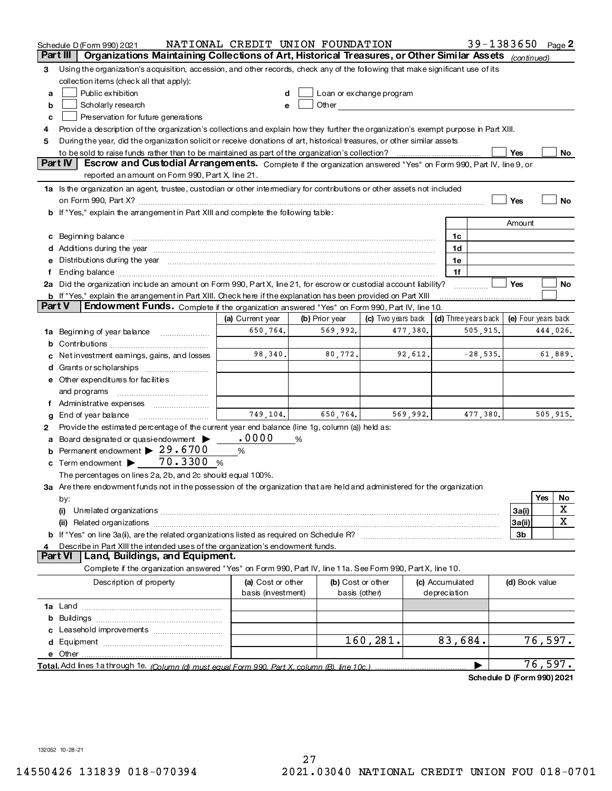|        | Schedule D (Form 990) 2021                                                                                                                                                                                                             | NATIONAL CREDIT UNION FOUNDATION |                |          |                                                                                                                                                                                                                                |          |                 | $39 - 1383650$                                   |                |          | Page 2  |
|--------|----------------------------------------------------------------------------------------------------------------------------------------------------------------------------------------------------------------------------------------|----------------------------------|----------------|----------|--------------------------------------------------------------------------------------------------------------------------------------------------------------------------------------------------------------------------------|----------|-----------------|--------------------------------------------------|----------------|----------|---------|
|        | Organizations Maintaining Collections of Art, Historical Treasures, or Other Similar Assets (continued)<br>Part III                                                                                                                    |                                  |                |          |                                                                                                                                                                                                                                |          |                 |                                                  |                |          |         |
| 3      | Using the organization's acquisition, accession, and other records, check any of the following that make significant use of its                                                                                                        |                                  |                |          |                                                                                                                                                                                                                                |          |                 |                                                  |                |          |         |
|        | collection items (check all that apply):                                                                                                                                                                                               |                                  |                |          |                                                                                                                                                                                                                                |          |                 |                                                  |                |          |         |
| a      | Public exhibition                                                                                                                                                                                                                      | d                                |                |          | Loan or exchange program                                                                                                                                                                                                       |          |                 |                                                  |                |          |         |
| b      | Scholarly research                                                                                                                                                                                                                     | е                                |                |          | Other contracts and contracts are the contracts of the contracts of the contracts of the contracts of the contracts of the contracts of the contracts of the contracts of the contracts of the contracts of the contracts of t |          |                 |                                                  |                |          |         |
| c      | Preservation for future generations                                                                                                                                                                                                    |                                  |                |          |                                                                                                                                                                                                                                |          |                 |                                                  |                |          |         |
| 4      | Provide a description of the organization's collections and explain how they further the organization's exempt purpose in Part XIII.                                                                                                   |                                  |                |          |                                                                                                                                                                                                                                |          |                 |                                                  |                |          |         |
| 5      | During the year, did the organization solicit or receive donations of art, historical treasures, or other similar assets                                                                                                               |                                  |                |          |                                                                                                                                                                                                                                |          |                 |                                                  |                |          |         |
|        |                                                                                                                                                                                                                                        |                                  |                |          |                                                                                                                                                                                                                                |          |                 |                                                  | Yes            |          | No      |
|        | Part IV<br>Escrow and Custodial Arrangements. Complete if the organization answered "Yes" on Form 990, Part IV, line 9, or                                                                                                             |                                  |                |          |                                                                                                                                                                                                                                |          |                 |                                                  |                |          |         |
|        | reported an amount on Form 990, Part X, line 21.                                                                                                                                                                                       |                                  |                |          |                                                                                                                                                                                                                                |          |                 |                                                  |                |          |         |
|        | 1a Is the organization an agent, trustee, custodian or other intermediary for contributions or other assets not included                                                                                                               |                                  |                |          |                                                                                                                                                                                                                                |          |                 |                                                  |                |          |         |
|        |                                                                                                                                                                                                                                        |                                  |                |          |                                                                                                                                                                                                                                |          |                 |                                                  | Yes            |          | No      |
|        | b If "Yes," explain the arrangement in Part XIII and complete the following table:                                                                                                                                                     |                                  |                |          |                                                                                                                                                                                                                                |          |                 |                                                  |                |          |         |
|        |                                                                                                                                                                                                                                        |                                  |                |          |                                                                                                                                                                                                                                |          |                 |                                                  | Amount         |          |         |
|        |                                                                                                                                                                                                                                        |                                  |                |          |                                                                                                                                                                                                                                |          |                 |                                                  |                |          |         |
|        | c Beginning balance measurements and the contract of the contract of the contract of the contract of the contract of the contract of the contract of the contract of the contract of the contract of the contract of the contr         |                                  |                |          |                                                                                                                                                                                                                                |          | 1c              |                                                  |                |          |         |
|        | d Additions during the year manufactured and continuum continuum control of Additions during the year manufactured and continuum control of Additions during the year manufactured and control of the state of Additional Cont         |                                  |                |          |                                                                                                                                                                                                                                |          | 1d              |                                                  |                |          |         |
|        | Distributions during the year manufactured and contained and the year manufactured and the year manufactured and the year manufactured and the year manufactured and the year manufactured and the year manufactured and the y         |                                  |                |          |                                                                                                                                                                                                                                |          | 1e              |                                                  |                |          |         |
| f      |                                                                                                                                                                                                                                        |                                  |                |          |                                                                                                                                                                                                                                |          | 1f              |                                                  |                |          |         |
|        | 2a Did the organization include an amount on Form 990, Part X, line 21, for escrow or custodial account liability?                                                                                                                     |                                  |                |          |                                                                                                                                                                                                                                |          |                 |                                                  | Yes            |          | No      |
| Part V | <b>b</b> If "Yes," explain the arrangement in Part XIII. Check here if the explanation has been provided on Part XIII                                                                                                                  |                                  |                |          |                                                                                                                                                                                                                                |          |                 |                                                  |                |          |         |
|        | Endowment Funds. Complete if the organization answered "Yes" on Form 990, Part IV, line 10.                                                                                                                                            |                                  |                |          |                                                                                                                                                                                                                                |          |                 |                                                  |                |          |         |
|        |                                                                                                                                                                                                                                        | (a) Current year                 | (b) Prior year |          | (c) Two years back                                                                                                                                                                                                             |          |                 | (d) Three years back $\vert$ (e) Four years back |                |          |         |
|        | 1a Beginning of year balance                                                                                                                                                                                                           | 650,764.                         |                | 569,992. |                                                                                                                                                                                                                                | 477,380. |                 | 505,915.                                         |                | 444,026. |         |
| b      |                                                                                                                                                                                                                                        |                                  |                |          |                                                                                                                                                                                                                                |          |                 |                                                  |                |          |         |
|        | Net investment earnings, gains, and losses                                                                                                                                                                                             | 98,340.                          |                | 80, 772. |                                                                                                                                                                                                                                | 92,612.  |                 | $-28,535.$                                       |                |          | 61,889. |
|        |                                                                                                                                                                                                                                        |                                  |                |          |                                                                                                                                                                                                                                |          |                 |                                                  |                |          |         |
|        | e Other expenditures for facilities                                                                                                                                                                                                    |                                  |                |          |                                                                                                                                                                                                                                |          |                 |                                                  |                |          |         |
|        | and programs                                                                                                                                                                                                                           |                                  |                |          |                                                                                                                                                                                                                                |          |                 |                                                  |                |          |         |
|        | f Administrative expenses                                                                                                                                                                                                              |                                  |                |          |                                                                                                                                                                                                                                |          |                 |                                                  |                |          |         |
| g      |                                                                                                                                                                                                                                        | 749,104.                         |                | 650,764. |                                                                                                                                                                                                                                | 569,992. |                 | 477,380.                                         |                | 505,915. |         |
| 2      | Provide the estimated percentage of the current year end balance (line 1g, column (a)) held as:                                                                                                                                        |                                  |                |          |                                                                                                                                                                                                                                |          |                 |                                                  |                |          |         |
| a      | Board designated or quasi-endowment $\blacktriangleright$                                                                                                                                                                              | .0000                            | %              |          |                                                                                                                                                                                                                                |          |                 |                                                  |                |          |         |
| b      | Permanent endowment $\blacktriangleright$ 29.6700                                                                                                                                                                                      | %                                |                |          |                                                                                                                                                                                                                                |          |                 |                                                  |                |          |         |
|        | c Term endowment $\blacktriangleright$ 70.3300 %                                                                                                                                                                                       |                                  |                |          |                                                                                                                                                                                                                                |          |                 |                                                  |                |          |         |
|        | The percentages on lines 2a, 2b, and 2c should equal 100%.                                                                                                                                                                             |                                  |                |          |                                                                                                                                                                                                                                |          |                 |                                                  |                |          |         |
|        | 3a Are there endowment funds not in the possession of the organization that are held and administered for the organization                                                                                                             |                                  |                |          |                                                                                                                                                                                                                                |          |                 |                                                  |                |          |         |
|        | by:                                                                                                                                                                                                                                    |                                  |                |          |                                                                                                                                                                                                                                |          |                 |                                                  |                | Yes      | No      |
|        | (i)                                                                                                                                                                                                                                    |                                  |                |          |                                                                                                                                                                                                                                |          |                 |                                                  | 3a(i)          |          | х       |
|        | Related organizations [11] resonance contract or contract or contract or contract or contract or contract or contract or contract or contract or contract or contract or contract or contract or contract or contract or contr<br>(ii) |                                  |                |          |                                                                                                                                                                                                                                |          |                 |                                                  | 3a(ii)         |          | x       |
|        |                                                                                                                                                                                                                                        |                                  |                |          |                                                                                                                                                                                                                                |          |                 |                                                  | 3b             |          |         |
| 4      | Describe in Part XIII the intended uses of the organization's endowment funds.                                                                                                                                                         |                                  |                |          |                                                                                                                                                                                                                                |          |                 |                                                  |                |          |         |
|        | Part VI<br>Land, Buildings, and Equipment.                                                                                                                                                                                             |                                  |                |          |                                                                                                                                                                                                                                |          |                 |                                                  |                |          |         |
|        | Complete if the organization answered "Yes" on Form 990, Part IV, line 11a. See Form 990, Part X, line 10.                                                                                                                             |                                  |                |          |                                                                                                                                                                                                                                |          |                 |                                                  |                |          |         |
|        | Description of property                                                                                                                                                                                                                | (a) Cost or other                |                |          | (b) Cost or other                                                                                                                                                                                                              |          | (c) Accumulated |                                                  | (d) Book value |          |         |
|        |                                                                                                                                                                                                                                        | basis (investment)               |                |          | basis (other)                                                                                                                                                                                                                  |          | depreciation    |                                                  |                |          |         |
|        |                                                                                                                                                                                                                                        |                                  |                |          |                                                                                                                                                                                                                                |          |                 |                                                  |                |          |         |
|        |                                                                                                                                                                                                                                        |                                  |                |          |                                                                                                                                                                                                                                |          |                 |                                                  |                |          |         |
|        |                                                                                                                                                                                                                                        |                                  |                |          |                                                                                                                                                                                                                                |          |                 |                                                  |                |          |         |
|        |                                                                                                                                                                                                                                        |                                  |                |          | 160, 281.                                                                                                                                                                                                                      |          | 83,684.         |                                                  |                | 76,597.  |         |
|        |                                                                                                                                                                                                                                        |                                  |                |          |                                                                                                                                                                                                                                |          |                 |                                                  |                |          |         |
|        |                                                                                                                                                                                                                                        |                                  |                |          |                                                                                                                                                                                                                                |          |                 |                                                  |                | 76,597.  |         |
|        |                                                                                                                                                                                                                                        |                                  |                |          |                                                                                                                                                                                                                                |          |                 |                                                  |                |          |         |
|        |                                                                                                                                                                                                                                        |                                  |                |          |                                                                                                                                                                                                                                |          |                 | Schedule D (Form 990) 2021                       |                |          |         |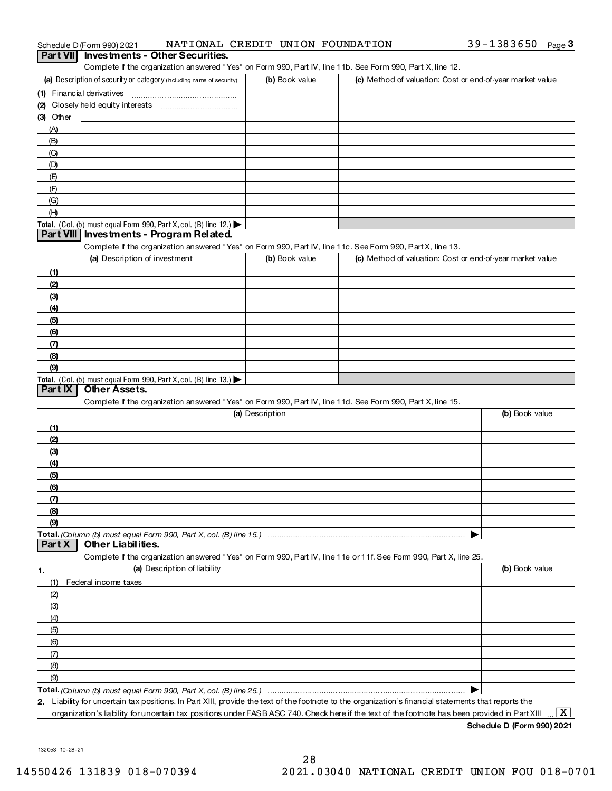|             | Schedule D (Form 990) 2021    | NATIONAL CREDIT UNION FOUNDATION                                    |                 |                                                                                                                                                      | $39 - 1383650$ Page 3                                     |
|-------------|-------------------------------|---------------------------------------------------------------------|-----------------|------------------------------------------------------------------------------------------------------------------------------------------------------|-----------------------------------------------------------|
| Part VIII   |                               | <b>Investments - Other Securities.</b>                              |                 |                                                                                                                                                      |                                                           |
|             |                               |                                                                     |                 | Complete if the organization answered "Yes" on Form 990, Part IV, line 11b. See Form 990, Part X, line 12.                                           |                                                           |
|             |                               | (a) Description of security or category (ncluding name of security) | (b) Book value  |                                                                                                                                                      | (c) Method of valuation: Cost or end-of-year market value |
|             | (1) Financial derivatives     |                                                                     |                 |                                                                                                                                                      |                                                           |
|             |                               |                                                                     |                 |                                                                                                                                                      |                                                           |
| $(3)$ Other |                               |                                                                     |                 |                                                                                                                                                      |                                                           |
| (A)         |                               |                                                                     |                 |                                                                                                                                                      |                                                           |
| (B)         |                               |                                                                     |                 |                                                                                                                                                      |                                                           |
| $\left($ C) |                               |                                                                     |                 |                                                                                                                                                      |                                                           |
| (D)<br>(E)  |                               |                                                                     |                 |                                                                                                                                                      |                                                           |
| (F)         |                               |                                                                     |                 |                                                                                                                                                      |                                                           |
| (G)         |                               |                                                                     |                 |                                                                                                                                                      |                                                           |
| (H)         |                               |                                                                     |                 |                                                                                                                                                      |                                                           |
|             |                               | Total. (Col. (b) must equal Form 990, Part X, col. (B) line 12.)    |                 |                                                                                                                                                      |                                                           |
|             |                               | Part VIII Investments - Program Related.                            |                 |                                                                                                                                                      |                                                           |
|             |                               |                                                                     |                 | Complete if the organization answered "Yes" on Form 990, Part IV, line 11c. See Form 990, Part X, line 13.                                           |                                                           |
|             | (a) Description of investment |                                                                     | (b) Book value  |                                                                                                                                                      | (c) Method of valuation: Cost or end-of-year market value |
| (1)         |                               |                                                                     |                 |                                                                                                                                                      |                                                           |
| (2)         |                               |                                                                     |                 |                                                                                                                                                      |                                                           |
| (3)         |                               |                                                                     |                 |                                                                                                                                                      |                                                           |
| (4)         |                               |                                                                     |                 |                                                                                                                                                      |                                                           |
| (5)         |                               |                                                                     |                 |                                                                                                                                                      |                                                           |
| (6)         |                               |                                                                     |                 |                                                                                                                                                      |                                                           |
| (7)         |                               |                                                                     |                 |                                                                                                                                                      |                                                           |
| (8)<br>(9)  |                               |                                                                     |                 |                                                                                                                                                      |                                                           |
|             |                               | Total. (Col. (b) must equal Form 990, Part X, col. (B) line 13.)    |                 |                                                                                                                                                      |                                                           |
| Part $ X $  | Other Assets.                 |                                                                     |                 |                                                                                                                                                      |                                                           |
|             |                               |                                                                     |                 | Complete if the organization answered "Yes" on Form 990, Part IV, line 11d. See Form 990, Part X, line 15.                                           |                                                           |
|             |                               |                                                                     | (a) Description |                                                                                                                                                      | (b) Book value                                            |
| (1)         |                               |                                                                     |                 |                                                                                                                                                      |                                                           |
| (2)         |                               |                                                                     |                 |                                                                                                                                                      |                                                           |
| (3)         |                               |                                                                     |                 |                                                                                                                                                      |                                                           |
| (4)         |                               |                                                                     |                 |                                                                                                                                                      |                                                           |
| (5)         |                               |                                                                     |                 |                                                                                                                                                      |                                                           |
| (6)         |                               |                                                                     |                 |                                                                                                                                                      |                                                           |
| (7)         |                               |                                                                     |                 |                                                                                                                                                      |                                                           |
| (8)         |                               |                                                                     |                 |                                                                                                                                                      |                                                           |
| (9)         |                               |                                                                     |                 |                                                                                                                                                      |                                                           |
| Part X      | <b>Other Liabilities.</b>     |                                                                     |                 |                                                                                                                                                      |                                                           |
|             |                               |                                                                     |                 | Complete if the organization answered "Yes" on Form 990, Part IV, line 11e or 11f. See Form 990, Part X, line 25.                                    |                                                           |
| 1.          |                               | (a) Description of liability                                        |                 |                                                                                                                                                      | (b) Book value                                            |
| (1)         | Federal income taxes          |                                                                     |                 |                                                                                                                                                      |                                                           |
| (2)         |                               |                                                                     |                 |                                                                                                                                                      |                                                           |
| (3)         |                               |                                                                     |                 |                                                                                                                                                      |                                                           |
| (4)         |                               |                                                                     |                 |                                                                                                                                                      |                                                           |
| (5)         |                               |                                                                     |                 |                                                                                                                                                      |                                                           |
| (6)         |                               |                                                                     |                 |                                                                                                                                                      |                                                           |
| (7)         |                               |                                                                     |                 |                                                                                                                                                      |                                                           |
| (8)         |                               |                                                                     |                 |                                                                                                                                                      |                                                           |
| (9)         |                               |                                                                     |                 |                                                                                                                                                      |                                                           |
|             |                               |                                                                     |                 |                                                                                                                                                      |                                                           |
|             |                               |                                                                     |                 | 2. Liability for uncertain tax positions. In Part XIII, provide the text of the footnote to the organization's financial statements that reports the |                                                           |

organization's liability foruncertain tax positions under FASBASC 740. Check here if the text of the footnote has been provided in Part XIII  $\,\ldots\,$   $\overline{\rm X}$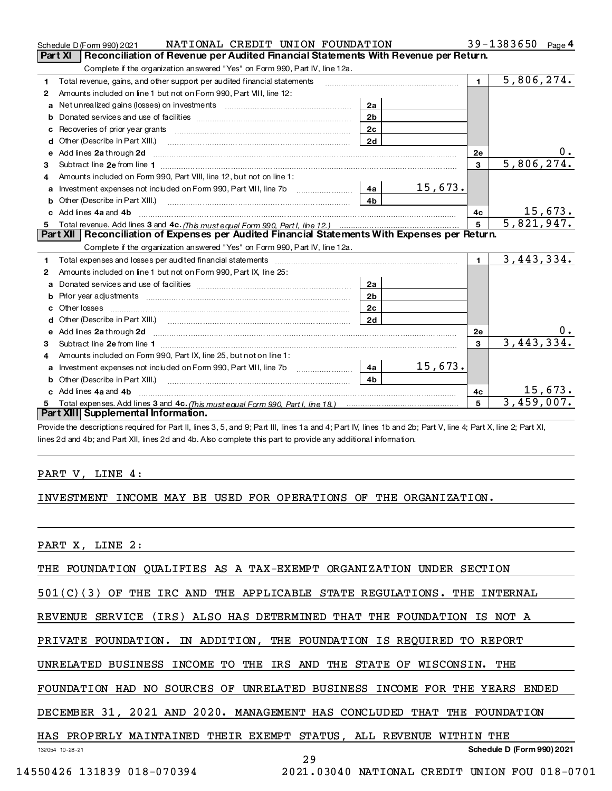|    | NATIONAL CREDIT UNION FOUNDATION<br>Schedule D (Form 990) 2021                                                                                                                                                                      |                |                                                                                                                |                | $39 - 1383650$           | Page 4 |
|----|-------------------------------------------------------------------------------------------------------------------------------------------------------------------------------------------------------------------------------------|----------------|----------------------------------------------------------------------------------------------------------------|----------------|--------------------------|--------|
|    | Reconciliation of Revenue per Audited Financial Statements With Revenue per Return.<br>Part XI                                                                                                                                      |                |                                                                                                                |                |                          |        |
|    | Complete if the organization answered "Yes" on Form 990, Part IV, line 12a.                                                                                                                                                         |                |                                                                                                                |                |                          |        |
| 1  | Total revenue, gains, and other support per audited financial statements                                                                                                                                                            |                | and a complete the contract of the complete the complete the complete the complete the complete the complete t | $\mathbf{t}$   | 5,806,274.               |        |
| 2  | Amounts included on line 1 but not on Form 990, Part VIII, line 12:                                                                                                                                                                 |                |                                                                                                                |                |                          |        |
| a  |                                                                                                                                                                                                                                     | 2a             |                                                                                                                |                |                          |        |
|    |                                                                                                                                                                                                                                     | 2 <sub>b</sub> |                                                                                                                |                |                          |        |
|    |                                                                                                                                                                                                                                     | 2 <sub>c</sub> |                                                                                                                |                |                          |        |
| d  |                                                                                                                                                                                                                                     | 2d             |                                                                                                                |                |                          |        |
| e  |                                                                                                                                                                                                                                     |                |                                                                                                                | 2e             |                          |        |
| 3  |                                                                                                                                                                                                                                     |                |                                                                                                                | $\mathbf{3}$   | 5,806,274.               |        |
| 4  | Amounts included on Form 990. Part VIII, line 12, but not on line 1:                                                                                                                                                                |                |                                                                                                                |                |                          |        |
|    | Investment expenses not included on Form 990, Part VIII, line 7b [100] [100] [100] [4a [100]                                                                                                                                        |                | <u>15,673.</u>                                                                                                 |                |                          |        |
| b  |                                                                                                                                                                                                                                     | 4 <sub>b</sub> |                                                                                                                |                |                          |        |
|    | c Add lines 4a and 4b <b>manual contract and an</b> and the manual contract of the manual contract of the manual contract of the manual contract of the manual contract of the manual contract of the manual contract of the manual |                |                                                                                                                | 4с             | 15,673.                  |        |
|    |                                                                                                                                                                                                                                     |                |                                                                                                                |                |                          |        |
| 5. |                                                                                                                                                                                                                                     |                |                                                                                                                | 5 <sup>1</sup> | $\overline{5,821,947}$ . |        |
|    | Part XII   Reconciliation of Expenses per Audited Financial Statements With Expenses per Return.                                                                                                                                    |                |                                                                                                                |                |                          |        |
|    | Complete if the organization answered "Yes" on Form 990, Part IV, line 12a.                                                                                                                                                         |                |                                                                                                                |                |                          |        |
| 1  | Total expenses and losses per audited financial statements [11] [12] contain the control of the statements [11] [12] contained the statements [12] [12] contained the statement of the statement of the statement of the state      |                |                                                                                                                | $\blacksquare$ | 3,443,334.               |        |
| 2  | Amounts included on line 1 but not on Form 990, Part IX, line 25:                                                                                                                                                                   |                |                                                                                                                |                |                          |        |
| a  |                                                                                                                                                                                                                                     | 2a             |                                                                                                                |                |                          |        |
| b  | Prior year adjustments material contracts and the contracts of the contracts and the Prior year adjustments                                                                                                                         | 2 <sub>b</sub> |                                                                                                                |                |                          |        |
| c  |                                                                                                                                                                                                                                     | 2 <sub>c</sub> |                                                                                                                |                |                          |        |
|    |                                                                                                                                                                                                                                     | 2d             |                                                                                                                |                |                          |        |
|    |                                                                                                                                                                                                                                     |                |                                                                                                                | <b>2e</b>      |                          | $0$ .  |
| 3  |                                                                                                                                                                                                                                     |                |                                                                                                                | $\mathbf{R}$   | 3, 443, 334.             |        |
| 4  | Amounts included on Form 990, Part IX, line 25, but not on line 1:                                                                                                                                                                  |                |                                                                                                                |                |                          |        |
| a  | Investment expenses not included on Form 990, Part VIII, line 7b [100] [100] [100] [100] [100] [100] [100] [10                                                                                                                      | 4a l           | 15,673.                                                                                                        |                |                          |        |
| b  |                                                                                                                                                                                                                                     | 4 <sub>b</sub> |                                                                                                                |                |                          |        |
|    | Add lines 4a and 4b                                                                                                                                                                                                                 |                |                                                                                                                | 4c             | 15,673.                  |        |
|    | Part XIII Supplemental Information.                                                                                                                                                                                                 |                |                                                                                                                | 5              | 3,459,007.               |        |

Provide the descriptions required for Part II, lines 3, 5, and 9; Part III, lines 1a and 4; Part IV, lines 1b and 2b; Part V, line 4; Part X, line 2; Part XI, lines 2d and 4b; and Part XII, lines 2d and 4b. Also complete this part to provide any additional information.

# PART V, LINE 4:

# INVESTMENT INCOME MAY BE USED FOR OPERATIONS OF THE ORGANIZATION.

PART X, LINE 2:

THE FOUNDATION QUALIFIES AS A TAX-EXEMPT ORGANIZATION UNDER SECTION

501(C)(3) OF THE IRC AND THE APPLICABLE STATE REGULATIONS. THE INTERNAL

REVENUE SERVICE (IRS) ALSO HAS DETERMINED THAT THE FOUNDATION IS NOT A

PRIVATE FOUNDATION. IN ADDITION, THE FOUNDATION IS REQUIRED TO REPORT

UNRELATED BUSINESS INCOME TO THE IRS AND THE STATE OF WISCONSIN. THE

FOUNDATION HAD NO SOURCES OF UNRELATED BUSINESS INCOME FOR THE YEARS ENDED

DECEMBER 31, 2021 AND 2020. MANAGEMENT HAS CONCLUDED THAT THE FOUNDATION

# HAS PROPERLY MAINTAINED THEIR EXEMPT STATUS, ALL REVENUE WITHIN THE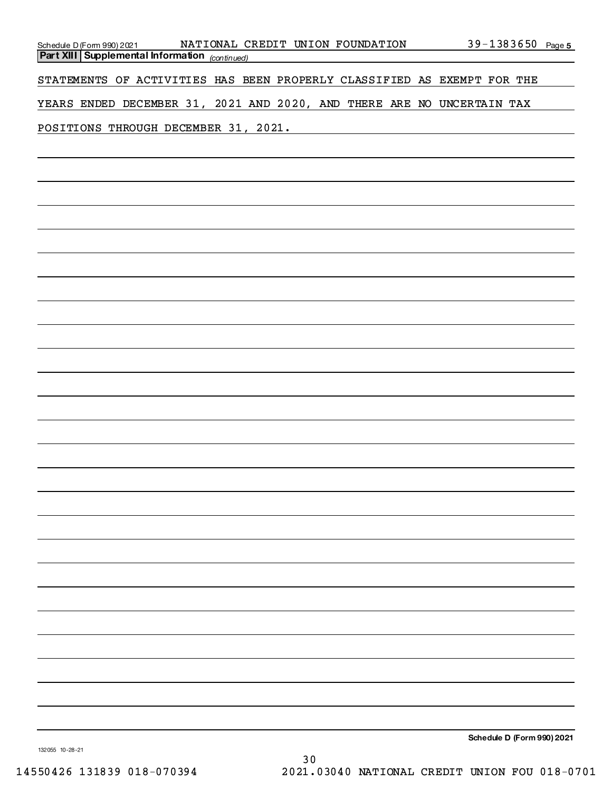| Schedule D (Form 990) 2021 NATIONAL CREDIT UNION FOUNDATION<br><b>Part XIII Supplemental Information</b> (continued) | $39 - 1383650$ Page 5 |
|----------------------------------------------------------------------------------------------------------------------|-----------------------|
|                                                                                                                      |                       |
| STATEMENTS OF ACTIVITIES HAS BEEN PROPERLY CLASSIFIED AS EXEMPT FOR THE                                              |                       |
| YEARS ENDED DECEMBER 31, 2021 AND 2020, AND THERE ARE NO UNCERTAIN TAX                                               |                       |
| POSITIONS THROUGH DECEMBER 31, 2021.                                                                                 |                       |
|                                                                                                                      |                       |
|                                                                                                                      |                       |
|                                                                                                                      |                       |
|                                                                                                                      |                       |
|                                                                                                                      |                       |
|                                                                                                                      |                       |
|                                                                                                                      |                       |
|                                                                                                                      |                       |
|                                                                                                                      |                       |
|                                                                                                                      |                       |
|                                                                                                                      |                       |
|                                                                                                                      |                       |
|                                                                                                                      |                       |
|                                                                                                                      |                       |
|                                                                                                                      |                       |
|                                                                                                                      |                       |
|                                                                                                                      |                       |
|                                                                                                                      |                       |
|                                                                                                                      |                       |
|                                                                                                                      |                       |
|                                                                                                                      |                       |
|                                                                                                                      |                       |
|                                                                                                                      |                       |
|                                                                                                                      |                       |
|                                                                                                                      |                       |
|                                                                                                                      |                       |
|                                                                                                                      |                       |
|                                                                                                                      |                       |

Schedule D (Form 990) 2021

13205510-28-21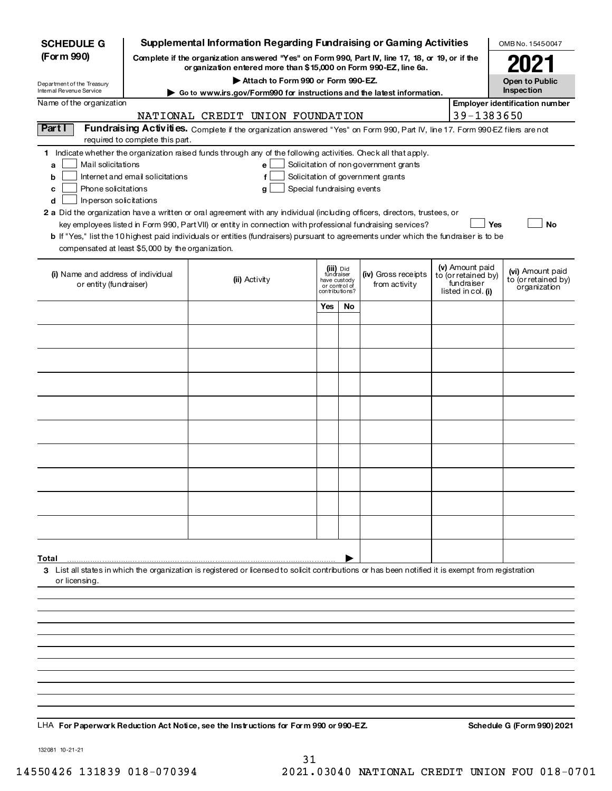| <b>SCHEDULE G</b>                                                                                                                             |                                  | <b>Supplemental Information Regarding Fundraising or Gaming Activities</b>                                                                                                                                                                                                                                                                                                                                                                                                                                                                         |                                                                            |    |                                                                            |                                                                            | OMB No. 1545-0047                                       |
|-----------------------------------------------------------------------------------------------------------------------------------------------|----------------------------------|----------------------------------------------------------------------------------------------------------------------------------------------------------------------------------------------------------------------------------------------------------------------------------------------------------------------------------------------------------------------------------------------------------------------------------------------------------------------------------------------------------------------------------------------------|----------------------------------------------------------------------------|----|----------------------------------------------------------------------------|----------------------------------------------------------------------------|---------------------------------------------------------|
| (Form 990)                                                                                                                                    |                                  | Complete if the organization answered "Yes" on Form 990, Part IV, line 17, 18, or 19, or if the<br>or ganization entered more than \$15,000 on Form 990-EZ, line 6a.                                                                                                                                                                                                                                                                                                                                                                               |                                                                            |    |                                                                            |                                                                            |                                                         |
| Department of the Treasury                                                                                                                    |                                  | Attach to Form 990 or Form 990-EZ.                                                                                                                                                                                                                                                                                                                                                                                                                                                                                                                 |                                                                            |    |                                                                            |                                                                            | <b>Open to Public</b>                                   |
| Internal Revenue Service                                                                                                                      |                                  | ▶ Go to www.irs.gov/Form990 for instructions and the latest information.                                                                                                                                                                                                                                                                                                                                                                                                                                                                           |                                                                            |    |                                                                            |                                                                            | Inspection                                              |
| Name of the organization                                                                                                                      |                                  | NATIONAL CREDIT UNION FOUNDATION                                                                                                                                                                                                                                                                                                                                                                                                                                                                                                                   |                                                                            |    |                                                                            | 39-1383650                                                                 | Employer identification number                          |
| Part I                                                                                                                                        | required to complete this part.  | Fundraising Activities. Complete if the organization answered "Yes" on Form 990, Part IV, line 17. Form 990 EZ filers are not                                                                                                                                                                                                                                                                                                                                                                                                                      |                                                                            |    |                                                                            |                                                                            |                                                         |
| Mail solicitations<br>a<br>b<br>Phone solicitations<br>c<br>In-person solicitations<br>d<br>compensated at least \$5,000 by the organization. | Internet and email solicitations | 1 Indicate whether the organization raised funds through any of the following activities. Check all that apply.<br>e<br>f<br>Special fundraising events<br>g<br>2 a Did the organization have a written or oral agreement with any individual (including officers, directors, trustees, or<br>key employees listed in Form 990, Part VII) or entity in connection with professional fundraising services?<br>b If "Yes," list the 10 highest paid individuals or entities (fundraisers) pursuant to agreements under which the fundraiser is to be |                                                                            |    | Solicitation of non government grants<br>Solicitation of government grants | <b>Yes</b>                                                                 | No                                                      |
| (i) Name and address of individual<br>or entity (fundraiser)                                                                                  |                                  | (ii) Activity                                                                                                                                                                                                                                                                                                                                                                                                                                                                                                                                      | (iii) Did<br>fundraiser<br>have custody<br>or control of<br>contributions? |    | (iv) Gross receipts<br>from activity                                       | (v) Amount paid<br>to (or retained by)<br>fundraiser<br>listed in col. (i) | (vi) Amount paid<br>to (or retained by)<br>organization |
|                                                                                                                                               |                                  |                                                                                                                                                                                                                                                                                                                                                                                                                                                                                                                                                    | Yes                                                                        | No |                                                                            |                                                                            |                                                         |
|                                                                                                                                               |                                  |                                                                                                                                                                                                                                                                                                                                                                                                                                                                                                                                                    |                                                                            |    |                                                                            |                                                                            |                                                         |
|                                                                                                                                               |                                  |                                                                                                                                                                                                                                                                                                                                                                                                                                                                                                                                                    |                                                                            |    |                                                                            |                                                                            |                                                         |
|                                                                                                                                               |                                  |                                                                                                                                                                                                                                                                                                                                                                                                                                                                                                                                                    |                                                                            |    |                                                                            |                                                                            |                                                         |
|                                                                                                                                               |                                  |                                                                                                                                                                                                                                                                                                                                                                                                                                                                                                                                                    |                                                                            |    |                                                                            |                                                                            |                                                         |
|                                                                                                                                               |                                  |                                                                                                                                                                                                                                                                                                                                                                                                                                                                                                                                                    |                                                                            |    |                                                                            |                                                                            |                                                         |
|                                                                                                                                               |                                  |                                                                                                                                                                                                                                                                                                                                                                                                                                                                                                                                                    |                                                                            |    |                                                                            |                                                                            |                                                         |
|                                                                                                                                               |                                  |                                                                                                                                                                                                                                                                                                                                                                                                                                                                                                                                                    |                                                                            |    |                                                                            |                                                                            |                                                         |
|                                                                                                                                               |                                  |                                                                                                                                                                                                                                                                                                                                                                                                                                                                                                                                                    |                                                                            |    |                                                                            |                                                                            |                                                         |
|                                                                                                                                               |                                  |                                                                                                                                                                                                                                                                                                                                                                                                                                                                                                                                                    |                                                                            |    |                                                                            |                                                                            |                                                         |
|                                                                                                                                               |                                  |                                                                                                                                                                                                                                                                                                                                                                                                                                                                                                                                                    |                                                                            |    |                                                                            |                                                                            |                                                         |
|                                                                                                                                               |                                  |                                                                                                                                                                                                                                                                                                                                                                                                                                                                                                                                                    |                                                                            |    |                                                                            |                                                                            |                                                         |
|                                                                                                                                               |                                  |                                                                                                                                                                                                                                                                                                                                                                                                                                                                                                                                                    |                                                                            |    |                                                                            |                                                                            |                                                         |
| Total                                                                                                                                         |                                  |                                                                                                                                                                                                                                                                                                                                                                                                                                                                                                                                                    |                                                                            |    |                                                                            |                                                                            |                                                         |
| or licensing.                                                                                                                                 |                                  | 3 List all states in which the organization is registered or licensed to solicit contributions or has been notified it is exempt from registration                                                                                                                                                                                                                                                                                                                                                                                                 |                                                                            |    |                                                                            |                                                                            |                                                         |
|                                                                                                                                               |                                  |                                                                                                                                                                                                                                                                                                                                                                                                                                                                                                                                                    |                                                                            |    |                                                                            |                                                                            |                                                         |
|                                                                                                                                               |                                  |                                                                                                                                                                                                                                                                                                                                                                                                                                                                                                                                                    |                                                                            |    |                                                                            |                                                                            |                                                         |
|                                                                                                                                               |                                  |                                                                                                                                                                                                                                                                                                                                                                                                                                                                                                                                                    |                                                                            |    |                                                                            |                                                                            |                                                         |
|                                                                                                                                               |                                  |                                                                                                                                                                                                                                                                                                                                                                                                                                                                                                                                                    |                                                                            |    |                                                                            |                                                                            |                                                         |
|                                                                                                                                               |                                  |                                                                                                                                                                                                                                                                                                                                                                                                                                                                                                                                                    |                                                                            |    |                                                                            |                                                                            |                                                         |
|                                                                                                                                               |                                  |                                                                                                                                                                                                                                                                                                                                                                                                                                                                                                                                                    |                                                                            |    |                                                                            |                                                                            |                                                         |
|                                                                                                                                               |                                  | LHA For Paperwork Reduction Act Notice, see the Instructions for Form 990 or 990-EZ.                                                                                                                                                                                                                                                                                                                                                                                                                                                               |                                                                            |    |                                                                            |                                                                            | Schedule G (Form 990) 2021                              |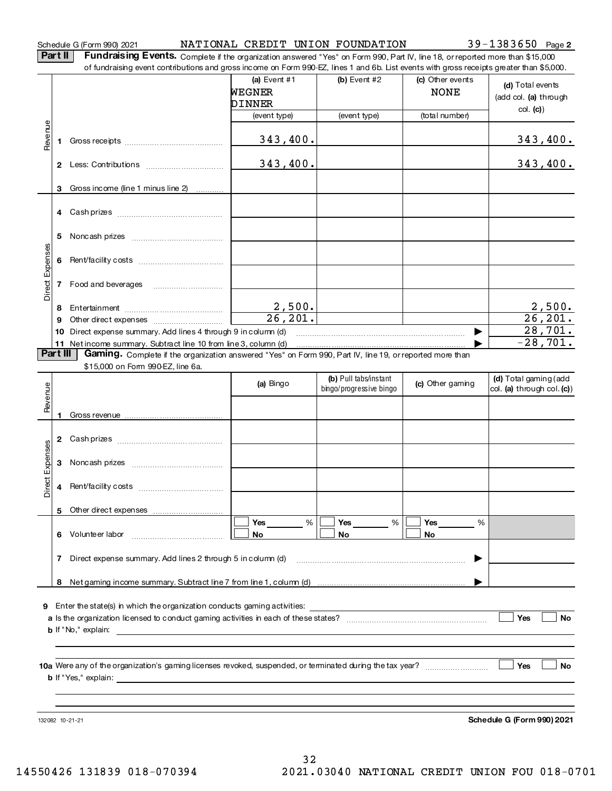# ScheduleG(Form990)2021 Page NATIONALCREDITUNIONFOUNDATION 39-1383650

Part II | Fundraising Events. Complete if the organization answered "Yes" on Form 990, Part IV, line 18, orreported more than \$15,000 offundraisingeventcontributionsandgrossincomeonForm990-EZ,lines1and6b.Listeventswithgrossreceiptsgreaterthan\$5,000.

|                 |    | .000 of fundraising event contributions and gross income on Form 990-EZ, lines 1 and 6b. List events with gross receipts greater than \$5,000. |                          |                                                  |                                 |                                                     |
|-----------------|----|------------------------------------------------------------------------------------------------------------------------------------------------|--------------------------|--------------------------------------------------|---------------------------------|-----------------------------------------------------|
|                 |    |                                                                                                                                                | (a) Event $#1$<br>WEGNER | $(b)$ Event #2                                   | (c) Other events<br><b>NONE</b> | (d) Total events                                    |
|                 |    |                                                                                                                                                | DINNER                   |                                                  |                                 | (add col. (a) through                               |
|                 |    |                                                                                                                                                | (event type)             | (event type)                                     | (total number)                  | col. (c)                                            |
| Revenue         | 1. |                                                                                                                                                | 343,400.                 |                                                  |                                 | 343,400.                                            |
|                 |    |                                                                                                                                                | 343,400.                 |                                                  |                                 | 343,400.                                            |
|                 | 3  | Gross income (line 1 minus line 2)                                                                                                             |                          |                                                  |                                 |                                                     |
|                 |    |                                                                                                                                                |                          |                                                  |                                 |                                                     |
|                 |    |                                                                                                                                                |                          |                                                  |                                 |                                                     |
| Direct Expenses |    |                                                                                                                                                |                          |                                                  |                                 |                                                     |
|                 |    | 7 Food and beverages                                                                                                                           |                          |                                                  |                                 |                                                     |
|                 | 8  |                                                                                                                                                |                          |                                                  |                                 | 2,500.                                              |
|                 | 9  |                                                                                                                                                | $\frac{2,500}{26,201}.$  |                                                  |                                 | $\overline{26, 201.}$                               |
|                 |    | 10 Direct expense summary. Add lines 4 through 9 in column (d)                                                                                 |                          |                                                  | ▶                               | 28,701.                                             |
|                 |    | 11 Net income summary. Subtract line 10 from line 3, column (d)                                                                                |                          |                                                  |                                 | $-28,701.$                                          |
| Part III        |    | Gaming. Complete if the organization answered "Yes" on Form 990, Part IV, line 19, or reported more than                                       |                          |                                                  |                                 |                                                     |
|                 |    | \$15,000 on Form 990-EZ, line 6a.                                                                                                              |                          |                                                  |                                 |                                                     |
| Revenue         |    |                                                                                                                                                | (a) Bingo                | (b) Pull tabs/instant<br>bingo/progressive bingo | (c) Other gaming                | (d) Total gaming (add<br>col. (a) through col. (c)) |
|                 | 1  |                                                                                                                                                |                          |                                                  |                                 |                                                     |
|                 |    |                                                                                                                                                |                          |                                                  |                                 |                                                     |
|                 |    |                                                                                                                                                |                          |                                                  |                                 |                                                     |
|                 | 3  |                                                                                                                                                |                          |                                                  |                                 |                                                     |
| Direct Expenses | 4  |                                                                                                                                                |                          |                                                  |                                 |                                                     |
|                 |    |                                                                                                                                                |                          |                                                  |                                 |                                                     |
|                 |    |                                                                                                                                                | Yes<br>%                 | Yes<br>%                                         | Yes<br>%                        |                                                     |
|                 | 6. | Volunteer labor                                                                                                                                | No                       | No                                               | No                              |                                                     |
|                 | 7  | Direct expense summary. Add lines 2 through 5 in column (d)                                                                                    |                          |                                                  |                                 |                                                     |
|                 | 8  |                                                                                                                                                |                          |                                                  |                                 |                                                     |
|                 |    |                                                                                                                                                |                          |                                                  |                                 |                                                     |
|                 |    | 9 Enter the state(s) in which the organization conducts gaming activities:                                                                     |                          |                                                  |                                 |                                                     |
|                 |    |                                                                                                                                                |                          |                                                  |                                 | Yes<br><b>No</b>                                    |
|                 |    | <b>b</b> If "No," explain:                                                                                                                     |                          |                                                  |                                 |                                                     |
|                 |    |                                                                                                                                                |                          |                                                  |                                 |                                                     |
|                 |    |                                                                                                                                                |                          |                                                  |                                 | Yes<br>No.                                          |
|                 |    | <b>b</b> If "Yes," explain:                                                                                                                    |                          |                                                  |                                 |                                                     |
|                 |    |                                                                                                                                                |                          |                                                  |                                 |                                                     |
|                 |    | 132082 10-21-21                                                                                                                                |                          |                                                  |                                 | <b>Schedule G (Form 990) 2021</b>                   |

32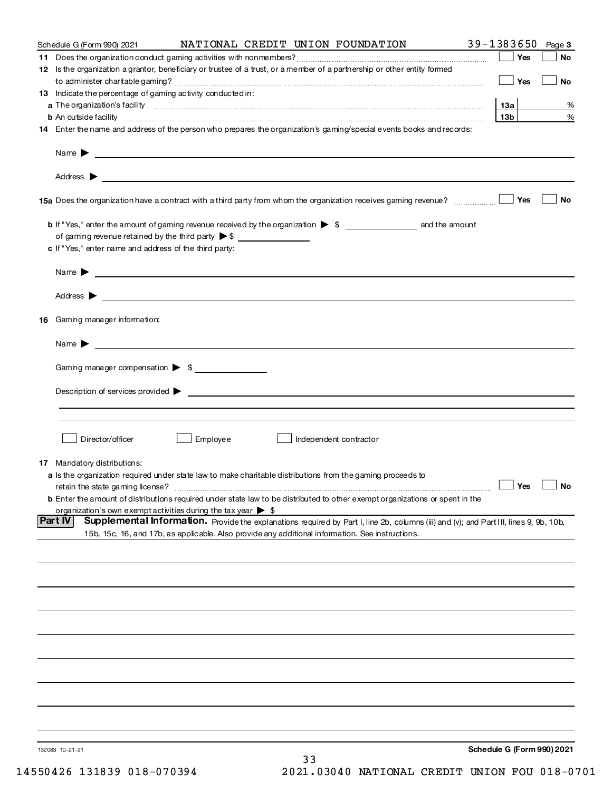| Schedule G (Form 990) 2021                                                                                  |          |    | NATIONAL CREDIT UNION FOUNDATION                                                                                                                                                                                                          | $39 - 1383650$ Page 3      |           |
|-------------------------------------------------------------------------------------------------------------|----------|----|-------------------------------------------------------------------------------------------------------------------------------------------------------------------------------------------------------------------------------------------|----------------------------|-----------|
|                                                                                                             |          |    | 12 Is the organization a grantor, beneficiary or trustee of a trust, or a member of a partnership or other entity formed                                                                                                                  | Yes                        | <b>No</b> |
| 13 Indicate the percentage of gaming activity conducted in:                                                 |          |    |                                                                                                                                                                                                                                           | $\Box$ Yes                 | <b>No</b> |
|                                                                                                             |          |    |                                                                                                                                                                                                                                           | 13a                        | %         |
|                                                                                                             |          |    | <b>b</b> An outside facility <b>contained to the contract of the contract of the contract of the contract of the contract of the contract of the contract of the contract of the contract of the contract of the contract of the cont</b> | 13 <sub>b</sub>            | %         |
|                                                                                                             |          |    | 14 Enter the name and address of the person who prepares the organization's gaming/special events books and records:                                                                                                                      |                            |           |
|                                                                                                             |          |    |                                                                                                                                                                                                                                           |                            |           |
|                                                                                                             |          |    |                                                                                                                                                                                                                                           |                            |           |
|                                                                                                             |          |    |                                                                                                                                                                                                                                           |                            | No        |
|                                                                                                             |          |    |                                                                                                                                                                                                                                           |                            |           |
| of gaming revenue retained by the third party >\$ _______________________________                           |          |    |                                                                                                                                                                                                                                           |                            |           |
| c If "Yes," enter name and address of the third party:                                                      |          |    |                                                                                                                                                                                                                                           |                            |           |
| Name $\blacktriangleright$ $\lrcorner$                                                                      |          |    |                                                                                                                                                                                                                                           |                            |           |
|                                                                                                             |          |    |                                                                                                                                                                                                                                           |                            |           |
| 16 Gaming manager information:                                                                              |          |    |                                                                                                                                                                                                                                           |                            |           |
| Name $\triangleright$ $\square$                                                                             |          |    |                                                                                                                                                                                                                                           |                            |           |
| Gaming manager compensation > \$                                                                            |          |    |                                                                                                                                                                                                                                           |                            |           |
|                                                                                                             |          |    |                                                                                                                                                                                                                                           |                            |           |
|                                                                                                             |          |    | Description of services provided $\blacktriangleright$                                                                                                                                                                                    |                            |           |
|                                                                                                             |          |    |                                                                                                                                                                                                                                           |                            |           |
| Director/officer                                                                                            | Employee |    | Independent contractor                                                                                                                                                                                                                    |                            |           |
| 17 Mandatory distributions:                                                                                 |          |    |                                                                                                                                                                                                                                           |                            |           |
| a Is the organization required under state law to make charitable distributions from the gaming proceeds to |          |    |                                                                                                                                                                                                                                           |                            |           |
| retain the state gaming license?                                                                            |          |    |                                                                                                                                                                                                                                           | $\Box$ Yes $\Box$ No       |           |
|                                                                                                             |          |    | <b>b</b> Enter the amount of distributions required under state law to be distributed to other exempt organizations or spent in the                                                                                                       |                            |           |
| organization's own exempt activities during the tax year $\triangleright$ \$<br><b>Part IV</b>              |          |    | Supplemental Information. Provide the explanations required by Part I, line 2b, columns (ii) and (v); and Part III, lines 9, 9b, 10b,                                                                                                     |                            |           |
| 15b, 15c, 16, and 17b, as applicable. Also provide any additional information. See instructions.            |          |    |                                                                                                                                                                                                                                           |                            |           |
|                                                                                                             |          |    |                                                                                                                                                                                                                                           |                            |           |
|                                                                                                             |          |    |                                                                                                                                                                                                                                           |                            |           |
|                                                                                                             |          |    |                                                                                                                                                                                                                                           |                            |           |
|                                                                                                             |          |    |                                                                                                                                                                                                                                           |                            |           |
|                                                                                                             |          |    |                                                                                                                                                                                                                                           |                            |           |
|                                                                                                             |          |    |                                                                                                                                                                                                                                           |                            |           |
|                                                                                                             |          |    |                                                                                                                                                                                                                                           |                            |           |
|                                                                                                             |          |    |                                                                                                                                                                                                                                           |                            |           |
|                                                                                                             |          |    |                                                                                                                                                                                                                                           |                            |           |
| 132083 10-21-21                                                                                             |          |    |                                                                                                                                                                                                                                           | Schedule G (Form 990) 2021 |           |
|                                                                                                             |          | 33 |                                                                                                                                                                                                                                           |                            |           |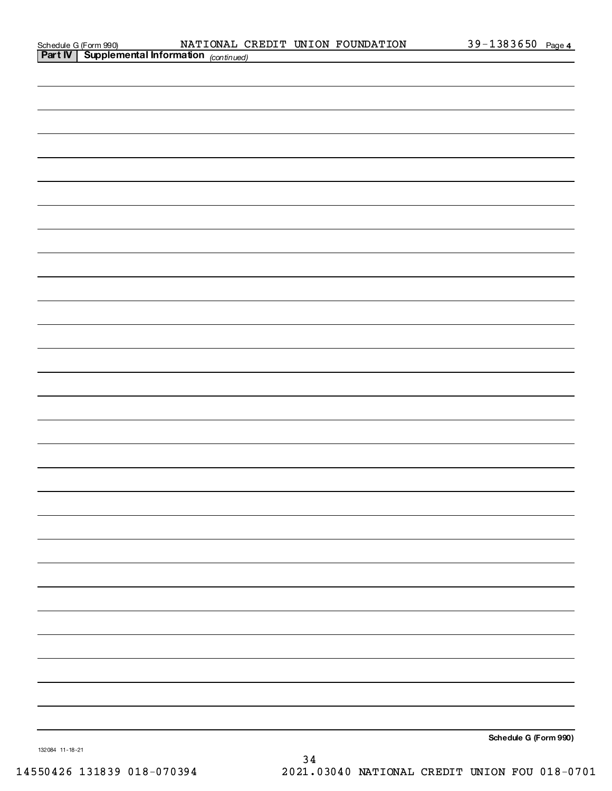| Schedule G (Form 990)  |
|------------------------|
| <b>Part IV Suppley</b> |

|                                                                                                                      | - |
|----------------------------------------------------------------------------------------------------------------------|---|
|                                                                                                                      |   |
|                                                                                                                      |   |
|                                                                                                                      |   |
|                                                                                                                      |   |
|                                                                                                                      |   |
|                                                                                                                      |   |
|                                                                                                                      |   |
|                                                                                                                      |   |
| <u> 1989 - Andrea Santa Andrea Santa Andrea Santa Andrea Santa Andrea Santa Andrea Santa Andrea Santa Andrea San</u> |   |

Schedule G (Form 990)

13208411-18-21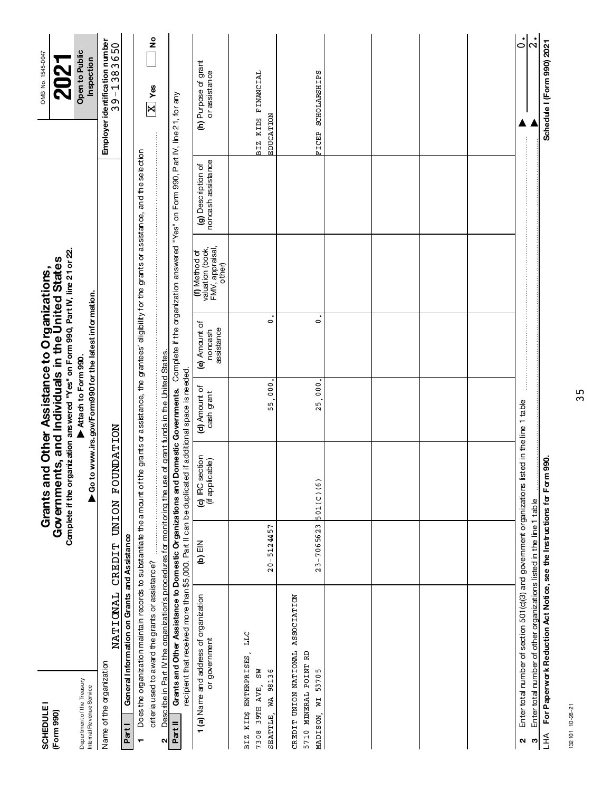| <b>SCHEDULE</b><br>(Form 990)                                                |                                                                                                                                                                          |                               | Grants and Other Assistance to Organizations,<br>Governments, and Individuals in the United States |                                                         |                                        |                                                                |                                                                                    | OMB No. 1545-0047                            |               |
|------------------------------------------------------------------------------|--------------------------------------------------------------------------------------------------------------------------------------------------------------------------|-------------------------------|----------------------------------------------------------------------------------------------------|---------------------------------------------------------|----------------------------------------|----------------------------------------------------------------|------------------------------------------------------------------------------------|----------------------------------------------|---------------|
|                                                                              |                                                                                                                                                                          |                               | Complete if the organization answered "Yes" on Form 990, Part IV, line 21 or 22                    |                                                         |                                        |                                                                |                                                                                    | <b>20</b>                                    |               |
| Department of the Treasury<br>Internal Revenue Service                       |                                                                                                                                                                          |                               |                                                                                                    | Attach to Form 990.                                     |                                        |                                                                |                                                                                    | Open to Public                               |               |
|                                                                              |                                                                                                                                                                          |                               |                                                                                                    | ► Go to www.irs.gov/Form990 for the latest information. |                                        |                                                                |                                                                                    | Inspection                                   |               |
| Name of the organization                                                     | NATIONAL                                                                                                                                                                 | <b>NOIND</b><br><b>CREDIT</b> | <b>NOTTATION</b><br><b>LOA</b>                                                                     |                                                         |                                        |                                                                |                                                                                    | Employer identification number<br>39-1383650 |               |
| Part I                                                                       | General Information on Grants and Assistance                                                                                                                             |                               |                                                                                                    |                                                         |                                        |                                                                |                                                                                    |                                              |               |
|                                                                              | Does the organization maintain records to substantiate the amount of the grants or assistance, the grantees' eligibility for the grants or assistance, and the selection |                               |                                                                                                    |                                                         |                                        |                                                                |                                                                                    |                                              |               |
|                                                                              | criteria used to award the grants or assistance?                                                                                                                         |                               |                                                                                                    |                                                         |                                        |                                                                |                                                                                    | $\overline{\mathbb{X}}$ Yes                  | ş             |
| 2                                                                            | Describe in Part IV the organization's procedures for monitoring the use                                                                                                 |                               |                                                                                                    | of grant funds in the United States                     |                                        |                                                                |                                                                                    |                                              |               |
| Partll                                                                       | Grants and Other Assistance to Domestic Organizations and Domestic Governments.<br>recipient that received more than \$5,000. Part II can be duplicated                  |                               |                                                                                                    | lifadditional space is needed                           |                                        |                                                                | Complete if the organization answered "Yes" on Form 990, Part IV, line 21, for any |                                              |               |
| 1 (a) Name and address of organization<br>or government                      |                                                                                                                                                                          | $(b)$ EIN                     | (c) IRC section<br>(if applicable)                                                                 | (d) Amount of<br>cash grant                             | (e) Amount of<br>assistance<br>noncash | (f) Method of<br>valuation (book,<br>FMV, appraisal,<br>other) | noncash assistance<br>(g) Description of                                           | (h) Purpose of grant<br>or assistance        |               |
| BIZ KID\$ ENTERPRISES,<br>ξÑ<br>98136<br>39TH AVE,<br>WA<br>SEATTLE,<br>7308 | DTT                                                                                                                                                                      | $20 - 5124457$                |                                                                                                    | 000<br>55                                               | $\circ$                                |                                                                |                                                                                    | BIZ KID\$ FINANCIAL<br><b>EDUCATION</b>      |               |
| CREDIT UNION NATIONAL<br>5710 MINERAL POINT RD<br>53705<br>ΣM<br>MADISON,    | <b>ASSOCIATION</b>                                                                                                                                                       | $23 - 7065623$                | 501(C)(6)                                                                                          | 000<br>25                                               | $\circ$                                |                                                                |                                                                                    | FICEP SCHOLARSHIPS                           |               |
|                                                                              |                                                                                                                                                                          |                               |                                                                                                    |                                                         |                                        |                                                                |                                                                                    |                                              |               |
|                                                                              |                                                                                                                                                                          |                               |                                                                                                    |                                                         |                                        |                                                                |                                                                                    |                                              |               |
|                                                                              |                                                                                                                                                                          |                               |                                                                                                    |                                                         |                                        |                                                                |                                                                                    |                                              |               |
|                                                                              |                                                                                                                                                                          |                               |                                                                                                    |                                                         |                                        |                                                                |                                                                                    |                                              |               |
| ົ                                                                            | Enter total number of section 501 (c)(3) and government organizations listed in the line 1 table                                                                         |                               |                                                                                                    |                                                         |                                        |                                                                |                                                                                    |                                              | $\dot{\circ}$ |
| $\mathfrak{S}$                                                               | Enter total number of other organizations listed in the line 1 table                                                                                                     |                               |                                                                                                    |                                                         |                                        |                                                                |                                                                                    | $\mathbf{\Omega}$                            |               |
| $H_{H}$                                                                      | For Paperwork Reduction Act Notice, see the Instructions for Form                                                                                                        |                               | 990.                                                                                               |                                                         |                                        |                                                                |                                                                                    | Schedule I (Form 990) 2021                   |               |

35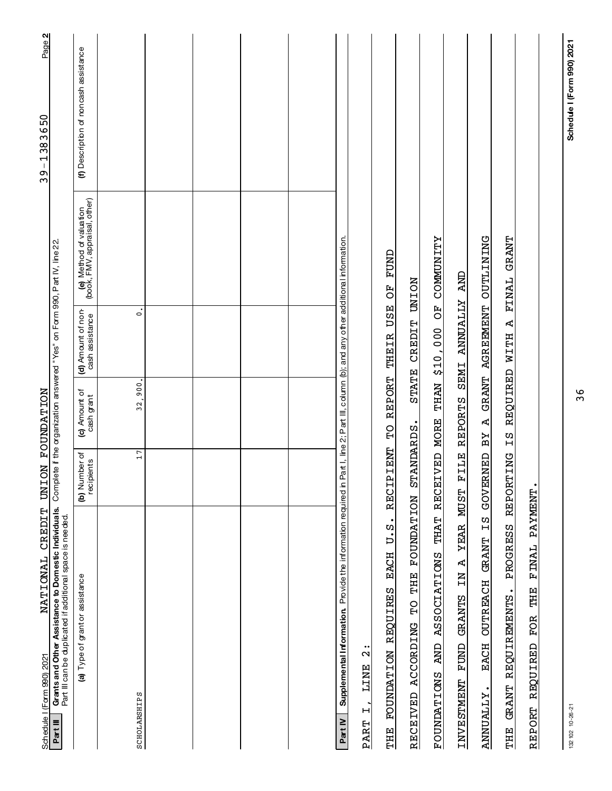| NATIONAL CREDIT<br>Schedule   (Form 990) 2021                                                                                                       | UNI                         | <b>NOITACHION</b>           |                                                                            |                                                          | Page 2<br>39-1383650                  |
|-----------------------------------------------------------------------------------------------------------------------------------------------------|-----------------------------|-----------------------------|----------------------------------------------------------------------------|----------------------------------------------------------|---------------------------------------|
| Grants and Other Assistance to Domestic Individuals.<br>Part III can be duplicated if additional space is needed.<br>Part III                       |                             |                             | Complete if the organization answered "Yes" on Form 990, Part IV, line 22. |                                                          |                                       |
| (a) Type of grant or assistance                                                                                                                     | (b) Number of<br>recipients | (c) Amount of<br>cash grant | (d) Amount of non-<br>cash assistance                                      | (e) Method of valuation<br>(book, FMV, appraisal, other) | (f) Description of noncash assistance |
| SCHOLARSHIPS                                                                                                                                        | 17                          | 32,900.                     | $\dot{\circ}$                                                              |                                                          |                                       |
|                                                                                                                                                     |                             |                             |                                                                            |                                                          |                                       |
|                                                                                                                                                     |                             |                             |                                                                            |                                                          |                                       |
|                                                                                                                                                     |                             |                             |                                                                            |                                                          |                                       |
|                                                                                                                                                     |                             |                             |                                                                            |                                                          |                                       |
| Supplemental Information. Provide the information required in Part I, line 2; Part III, column (b); and any other additional information.<br>PartIV |                             |                             |                                                                            |                                                          |                                       |
| $\ddot{\phantom{0}}$<br>$\mathbf{\Omega}$<br><b>TINE</b><br>$\mathsf{H}$<br>PART                                                                    |                             |                             |                                                                            |                                                          |                                       |
| $U \cdot S$<br><b>EACH</b><br><b>REQUIRES</b><br><b>FOUNDATION</b><br>THE                                                                           | RECIPIENT                   | <b>REPORT</b><br><b>CH</b>  | <b>USE</b><br>THEIR                                                        | FUND<br>FO                                               |                                       |
| <b>FOUNDATION</b><br>THE<br>ACCORDING TO<br><b>RECEIVED</b>                                                                                         | STANDARDS.                  |                             | STATE CREDIT UNION                                                         |                                                          |                                       |
| <b>ASSOCIATIONS</b><br><b>CINE</b><br><b>FOUNDATIONS</b>                                                                                            | THAT RECEIVED MORE          |                             | THAN \$10,000 OF COMMUNITY                                                 |                                                          |                                       |
| <b>YEAR</b><br>$\mathbf{r}$<br>$\overline{H}$<br><b>GRANTS</b><br>FUND<br>INVESTMENT                                                                | FILE<br><b>MUST</b>         | <b>REPORTS</b>              | ANNUALLY AND<br><b>SEMI</b>                                                |                                                          |                                       |
| ΣZ<br><b>GRANT</b><br><b>OUTREACH</b><br>EACH<br><b>ANNUALLY</b>                                                                                    | <b>GOVERNED</b>             | ፈ<br>BY                     | GRANT AGREEMENT OUTLINING                                                  |                                                          |                                       |
| PROGRESS<br>REQUIREMENTS.<br><b>GRANT</b><br>THE                                                                                                    | REPORTING                   | Ω<br>Η                      | REQUIRED WITH A                                                            | FINAL GRANT                                              |                                       |
| FINAL PAYMENT<br><b>THE</b><br><b>FOR</b><br>REQUIRED<br>REPORT                                                                                     |                             |                             |                                                                            |                                                          |                                       |
|                                                                                                                                                     |                             |                             |                                                                            |                                                          |                                       |

36

Schedule I (Form 990) 2021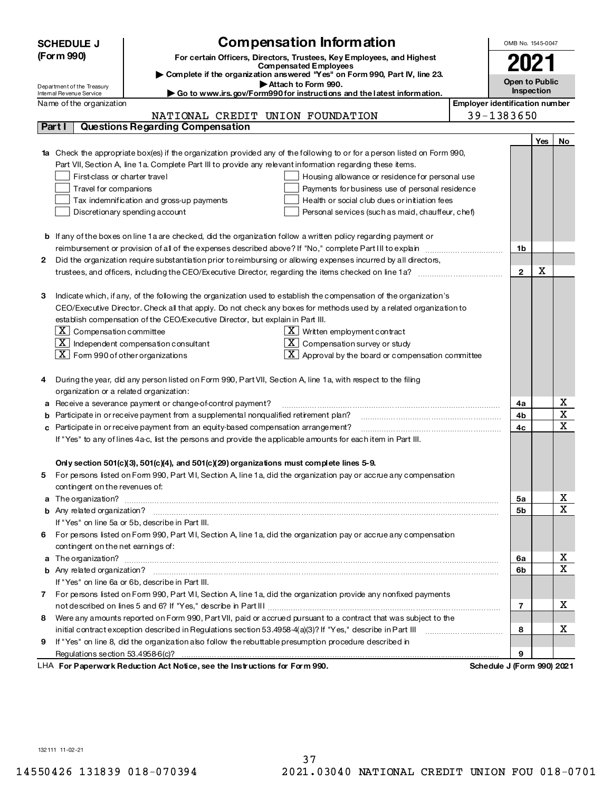|   | Compensation Information<br><b>SCHEDULE J</b>                                                                                                          |                                                                                                                         |  | OMB No. 1545-0047              |     |                         |
|---|--------------------------------------------------------------------------------------------------------------------------------------------------------|-------------------------------------------------------------------------------------------------------------------------|--|--------------------------------|-----|-------------------------|
|   | (Form 990)<br>For certain Officers, Directors, Trustees, Key Employees, and Highest                                                                    |                                                                                                                         |  |                                |     |                         |
|   | <b>Compensated Employees</b>                                                                                                                           |                                                                                                                         |  | 2021                           |     |                         |
|   | Complete if the organization answered "Yes" on Form 990, Part IV, line 23.<br>Attach to Form 990.                                                      |                                                                                                                         |  | Open to Public                 |     |                         |
|   | Department of the Treasury<br>$\blacktriangleright$ Go to www.irs.gov/Form990 for instructions and the latest information.<br>Internal Revenue Service |                                                                                                                         |  | <b>Inspection</b>              |     |                         |
|   | Name of the organization                                                                                                                               |                                                                                                                         |  | Employer identification number |     |                         |
|   |                                                                                                                                                        | NATIONAL CREDIT UNION FOUNDATION                                                                                        |  | 39-1383650                     |     |                         |
|   | Part I                                                                                                                                                 | <b>Questions Regarding Compensation</b>                                                                                 |  |                                |     |                         |
|   |                                                                                                                                                        |                                                                                                                         |  |                                | Yes | No                      |
|   |                                                                                                                                                        | Check the appropriate box(es) if the organization provided any of the following to or for a person listed on Form 990,  |  |                                |     |                         |
|   |                                                                                                                                                        | Part VII, Section A, line 1a. Complete Part III to provide any relevant information regarding these items.              |  |                                |     |                         |
|   | First-class or charter travel                                                                                                                          | Housing allowance or residence for personal use                                                                         |  |                                |     |                         |
|   | Travel for companions                                                                                                                                  | Payments for business use of personal residence                                                                         |  |                                |     |                         |
|   | Tax indemnification and gross-up payments<br>Health or social club dues or initiation fees                                                             |                                                                                                                         |  |                                |     |                         |
|   | Discretionary spending account<br>Personal services (such as maid, chauffeur, chef)                                                                    |                                                                                                                         |  |                                |     |                         |
|   |                                                                                                                                                        |                                                                                                                         |  |                                |     |                         |
|   |                                                                                                                                                        | <b>b</b> If any of the boxes on line 1 a are checked, did the organization follow a written policy regarding payment or |  |                                |     |                         |
|   |                                                                                                                                                        |                                                                                                                         |  |                                |     |                         |
| 2 | Did the organization require substantiation prior to reimbursing or allowing expenses incurred by all directors,                                       |                                                                                                                         |  |                                |     |                         |
|   |                                                                                                                                                        | trustees, and officers, including the CEO/Executive Director, regarding the items checked on line 1a?                   |  | $\mathbf{2}$                   | X   |                         |
|   |                                                                                                                                                        |                                                                                                                         |  |                                |     |                         |
| З |                                                                                                                                                        | Indicate which, if any, of the following the organization used to establish the compensation of the organization's      |  |                                |     |                         |
|   |                                                                                                                                                        | CEO/Executive Director. Check all that apply. Do not check any boxes for methods used by a related organization to      |  |                                |     |                         |
|   | establish compensation of the CEO/Executive Director, but explain in Part III.                                                                         |                                                                                                                         |  |                                |     |                         |
|   | $\lfloor x \rfloor$ Compensation committee                                                                                                             | $X$ Written employment contract                                                                                         |  |                                |     |                         |
|   |                                                                                                                                                        | $\lfloor x \rfloor$ Independent compensation consultant<br>$X$ Compensation survey or study                             |  |                                |     |                         |
|   | $\lfloor x \rfloor$ Form 990 of other organizations                                                                                                    | $\boxed{\text{X}}$ Approval by the board or compensation committee                                                      |  |                                |     |                         |
|   |                                                                                                                                                        |                                                                                                                         |  |                                |     |                         |
| 4 | During the year, did any person listed on Form 990, Part VII, Section A, line 1a, with respect to the filing                                           |                                                                                                                         |  |                                |     |                         |
|   | organization or a related organization:                                                                                                                |                                                                                                                         |  |                                |     |                         |
| a | Receive a severance payment or change-of-control payment?                                                                                              |                                                                                                                         |  | 4a                             |     | х                       |
| b | Participate in or receive payment from a supplemental nonqualified retirement plan?                                                                    |                                                                                                                         |  | 4b                             |     | X                       |
| с | Participate in or receive payment from an equity-based compensation arrangement?                                                                       |                                                                                                                         |  | 4c                             |     | $\mathbf X$             |
|   |                                                                                                                                                        | If "Yes" to any of lines 4a-c, list the persons and provide the applicable amounts for each item in Part III.           |  |                                |     |                         |
|   |                                                                                                                                                        |                                                                                                                         |  |                                |     |                         |
|   |                                                                                                                                                        | Only section $501(c)(3)$ , $501(c)(4)$ , and $501(c)(29)$ organizations must complete lines 5-9.                        |  |                                |     |                         |
|   |                                                                                                                                                        | For persons listed on Form 990, Part VII, Section A, line 1a, did the organization pay or accrue any compensation       |  |                                |     |                         |
|   | contingent on the revenues of:                                                                                                                         |                                                                                                                         |  |                                |     |                         |
|   |                                                                                                                                                        | a The organization? <b>Entitled Strategies and Strategies and Strategies</b> and The organization?                      |  | 5a                             |     | х                       |
|   |                                                                                                                                                        |                                                                                                                         |  | 5b                             |     | X                       |
|   |                                                                                                                                                        | If "Yes" on line 5a or 5b, describe in Part III.                                                                        |  |                                |     |                         |
|   |                                                                                                                                                        | 6 For persons listed on Form 990, Part VII, Section A, line 1a, did the organization pay or accrue any compensation     |  |                                |     |                         |
|   | contingent on the net earnings of:                                                                                                                     |                                                                                                                         |  |                                |     |                         |
|   |                                                                                                                                                        | a The organization? <b>Entitled Strategies and Strategies and Strategies</b> and The organization?                      |  | 6a                             |     | $\overline{\mathbf{x}}$ |
|   |                                                                                                                                                        |                                                                                                                         |  | 6b                             |     | $\overline{\texttt{x}}$ |
|   |                                                                                                                                                        | If "Yes" on line 6a or 6b, describe in Part III.                                                                        |  |                                |     |                         |
|   |                                                                                                                                                        | 7 For persons listed on Form 990, Part VII, Section A, line 1a, did the organization provide any nonfixed payments      |  |                                |     |                         |
|   |                                                                                                                                                        |                                                                                                                         |  | 7                              |     | х                       |
| 8 |                                                                                                                                                        | Were any amounts reported on Form 990, Part VII, paid or accrued pursuant to a contract that was subject to the         |  |                                |     |                         |
|   |                                                                                                                                                        | initial contract exception described in Regulations section 53.4958-4(a)(3)? If "Yes," describe in Part III             |  | 8                              |     | x                       |
| 9 |                                                                                                                                                        | If "Yes" on line 8, did the organization also follow the rebuttable presumption procedure described in                  |  |                                |     |                         |
|   |                                                                                                                                                        |                                                                                                                         |  | 9                              |     |                         |
|   |                                                                                                                                                        | LHA For Paperwork Reduction Act Notice, see the Instructions for Form 990.                                              |  | Schedule J (Form 990) 2021     |     |                         |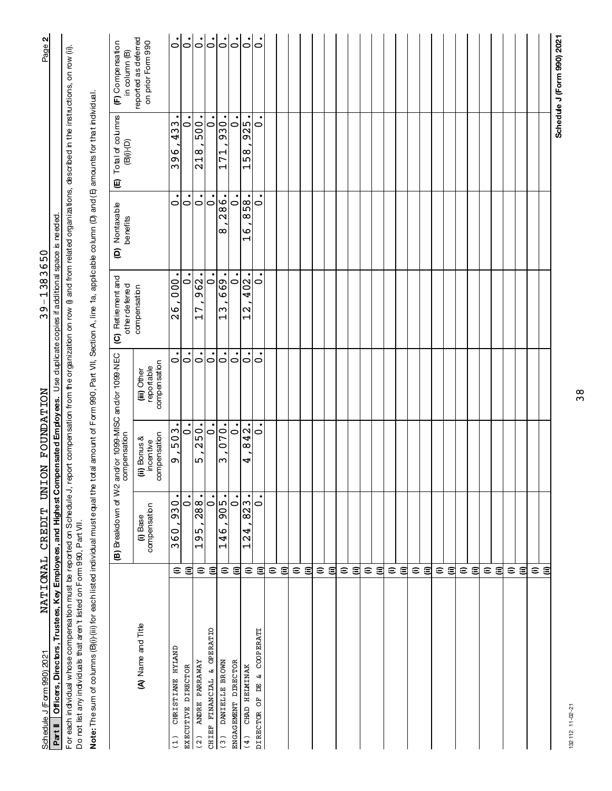| Schedule J (Form 990) 2021                                                                                                                                                                             |                | NATIONAL CREDIT UNION FOUNDATION         |                                           |                                                  | $39 - 1383650$                                     |                                      |                                                                                    | $\sim$<br>Page:                           |
|--------------------------------------------------------------------------------------------------------------------------------------------------------------------------------------------------------|----------------|------------------------------------------|-------------------------------------------|--------------------------------------------------|----------------------------------------------------|--------------------------------------|------------------------------------------------------------------------------------|-------------------------------------------|
| Part II   Officers, Directors, Trustees, Key Employees, and Highest Compensated Employees. Use duplicate copies if additional space is needed                                                          |                |                                          |                                           |                                                  |                                                    |                                      |                                                                                    |                                           |
| For each induidual whose compensation must be reported on Schedule J, report compensation from the organization on row (i) and from related organizations, described in the instructions, on row (ii). |                |                                          |                                           |                                                  |                                                    |                                      |                                                                                    |                                           |
| Do not list any individuals that aren't listed on Form 990, Part VII.                                                                                                                                  |                |                                          |                                           |                                                  |                                                    |                                      |                                                                                    |                                           |
| Note: The sum of columns (B)(i) for each listed individual must equal the total amount of Form 990, Part VII, Section A, line 1a, applicable column (D) and (E) amounts for that individual.           |                |                                          |                                           |                                                  |                                                    |                                      |                                                                                    |                                           |
|                                                                                                                                                                                                        |                | (B) Breakdown of W-2                     |                                           | and/or 1099-MISC and/or 1099-NEC<br>compensation | (C) Retirement and<br>other deferred               | D) Nortaxable<br>benefits            | Total of columns<br>$\textcolor{blue}{\textbf{(B)(i)}\textbf{-}\textbf{(D)}}$<br>⊕ | (F) Compensation<br>in column (B)         |
| (A) Name and Title                                                                                                                                                                                     |                | compensation<br>$\ddot{\mathbf{0}}$ Base | compensation<br>(ii) Bonus &<br>incentive | compensation<br>reportable<br>(iii) Other        | compensation                                       |                                      |                                                                                    | reported as deferred<br>on prior Form 990 |
| CHRISTIANE HYLAND<br>$\frac{1}{1}$                                                                                                                                                                     | ε              | 930<br>360                               | 503<br>Ō                                  | 0                                                | 000<br>$\frac{6}{2}$                               | 0                                    | 433<br>396                                                                         | $\overline{5}$                            |
| EXECUTIVE DIRECTOR                                                                                                                                                                                     | ⊜              | $\circ$                                  | 0                                         | $\circ$                                          | 0                                                  | $\circ$                              | $\overline{\phantom{0}}$                                                           | $\frac{1}{\circ}$                         |
| ANDRE PARRAWAY<br>(2)                                                                                                                                                                                  |                | 288.<br>95<br>$\overline{\phantom{0}}$   | 250.<br>ഥ                                 | $\dot{\circ}$                                    | 962.<br>17                                         | $\dot{\circ}$                        | 500<br>218                                                                         | $\ddot{\circ}$                            |
| CHIEF FINANCIAL & OPERATIO                                                                                                                                                                             | εs             | $\dot{\circ}$                            | $\dot{\circ}$                             | $\dot{\circ}$                                    | $\dot{\circ}$                                      | $\dot{\circ}$                        | $\dot{\circ}$                                                                      |                                           |
| DANIELLE BROWN<br>(3)                                                                                                                                                                                  |                | 905.<br>146                              | 070.<br>ω                                 | $\circ$                                          | 669.<br>$\frac{1}{3}$                              | 286.<br>∞                            | 930-<br>171                                                                        |                                           |
| ENGAGEMENT DIRECTOR                                                                                                                                                                                    | εg             | $\dot{\circ}$                            | $\dot{\circ}$                             | $\circ$                                          | $\circ$                                            | $\circ$                              | $\circ$                                                                            |                                           |
| CHAD HELMINAK<br>(4)                                                                                                                                                                                   |                | 823.<br>4<br>$\mathbf{\Omega}$<br>H      | $\overline{42}$ .<br>$\infty$<br>4        | 0 0                                              | 402.<br>$\mathbf{\Omega}$<br>$\mathord{\text{--}}$ | 858<br>O<br>$\overline{\phantom{0}}$ | 925<br>158                                                                         | <u>         </u>                          |
| & COOPERATI<br>DIRECTOR OF DE                                                                                                                                                                          | εg             | $\circ$                                  | $\dot{\circ}$                             | $\bullet$                                        | $\circ$                                            | $\circ$                              | $\bullet$<br>$\circ$                                                               | $\dot{\circ}$                             |
|                                                                                                                                                                                                        |                |                                          |                                           |                                                  |                                                    |                                      |                                                                                    |                                           |
|                                                                                                                                                                                                        | εg             |                                          |                                           |                                                  |                                                    |                                      |                                                                                    |                                           |
|                                                                                                                                                                                                        |                |                                          |                                           |                                                  |                                                    |                                      |                                                                                    |                                           |
|                                                                                                                                                                                                        | ຣ ⊜            |                                          |                                           |                                                  |                                                    |                                      |                                                                                    |                                           |
|                                                                                                                                                                                                        |                |                                          |                                           |                                                  |                                                    |                                      |                                                                                    |                                           |
|                                                                                                                                                                                                        | € ⊜            |                                          |                                           |                                                  |                                                    |                                      |                                                                                    |                                           |
|                                                                                                                                                                                                        |                |                                          |                                           |                                                  |                                                    |                                      |                                                                                    |                                           |
|                                                                                                                                                                                                        | $\epsilon$ a   |                                          |                                           |                                                  |                                                    |                                      |                                                                                    |                                           |
|                                                                                                                                                                                                        |                |                                          |                                           |                                                  |                                                    |                                      |                                                                                    |                                           |
|                                                                                                                                                                                                        | $\epsilon$ and |                                          |                                           |                                                  |                                                    |                                      |                                                                                    |                                           |
|                                                                                                                                                                                                        |                |                                          |                                           |                                                  |                                                    |                                      |                                                                                    |                                           |
|                                                                                                                                                                                                        | $\epsilon$ a   |                                          |                                           |                                                  |                                                    |                                      |                                                                                    |                                           |
|                                                                                                                                                                                                        |                |                                          |                                           |                                                  |                                                    |                                      |                                                                                    |                                           |
|                                                                                                                                                                                                        | ຣ ⊜            |                                          |                                           |                                                  |                                                    |                                      |                                                                                    |                                           |
|                                                                                                                                                                                                        |                |                                          |                                           |                                                  |                                                    |                                      |                                                                                    |                                           |
|                                                                                                                                                                                                        | ε ⊜            |                                          |                                           |                                                  |                                                    |                                      |                                                                                    |                                           |
|                                                                                                                                                                                                        |                |                                          |                                           |                                                  |                                                    |                                      |                                                                                    |                                           |
|                                                                                                                                                                                                        | $\epsilon$ a   |                                          |                                           |                                                  |                                                    |                                      |                                                                                    |                                           |
|                                                                                                                                                                                                        |                |                                          |                                           |                                                  |                                                    |                                      |                                                                                    |                                           |
|                                                                                                                                                                                                        | εg             |                                          |                                           |                                                  |                                                    |                                      |                                                                                    |                                           |
|                                                                                                                                                                                                        |                |                                          |                                           |                                                  |                                                    |                                      |                                                                                    |                                           |
|                                                                                                                                                                                                        | ε ⊜            |                                          |                                           |                                                  |                                                    |                                      |                                                                                    |                                           |
|                                                                                                                                                                                                        | εg             |                                          |                                           |                                                  |                                                    |                                      |                                                                                    |                                           |
|                                                                                                                                                                                                        |                |                                          |                                           |                                                  |                                                    |                                      |                                                                                    |                                           |
|                                                                                                                                                                                                        |                |                                          |                                           |                                                  |                                                    |                                      |                                                                                    | Schedule J (Form 990) 2021                |

38

# 132112 11-02-21 13211211-02-21

# ଧା Schedule J (Form 990) 2021 NATLI UNALI C.K.ELIJLI UN LON FOUNDATLION Page

NATIONAL CREDIT UNION FOUNDATION

 $39 - 1383650$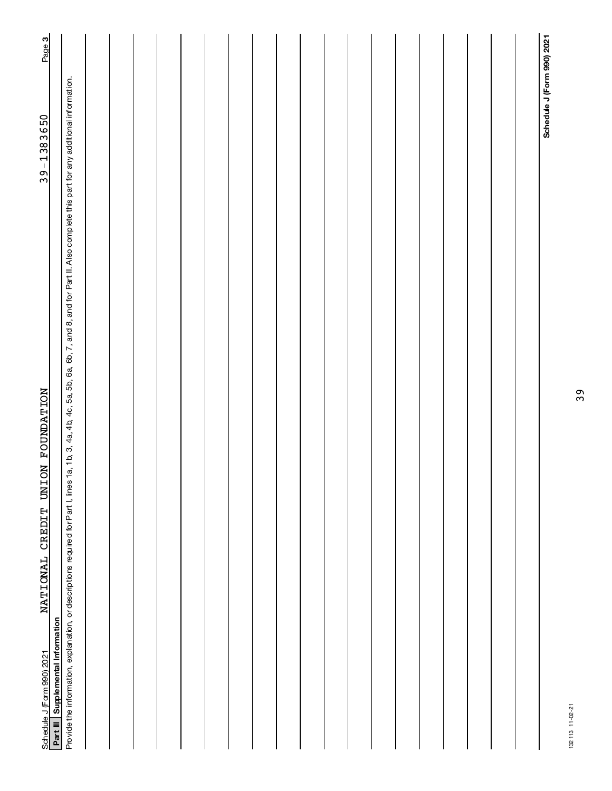| NATIONAL CREDIT UNION FOUNDATION<br>Part III   Supplemental Information                                                                                                                                        | $39 - 1383650$             | Page 3 |
|----------------------------------------------------------------------------------------------------------------------------------------------------------------------------------------------------------------|----------------------------|--------|
| Provide the information, explanation, or descriptions required for Part I, lines 1a, 1b, 3, 4b, 4c, 5a, 5b, 6a, 5b, 6a, 6b, 7, and 8, and for Part II. Also complete this part for any additional information. |                            |        |
|                                                                                                                                                                                                                |                            |        |
|                                                                                                                                                                                                                |                            |        |
|                                                                                                                                                                                                                |                            |        |
|                                                                                                                                                                                                                |                            |        |
|                                                                                                                                                                                                                |                            |        |
|                                                                                                                                                                                                                |                            |        |
|                                                                                                                                                                                                                |                            |        |
|                                                                                                                                                                                                                |                            |        |
|                                                                                                                                                                                                                |                            |        |
|                                                                                                                                                                                                                |                            |        |
|                                                                                                                                                                                                                |                            |        |
|                                                                                                                                                                                                                |                            |        |
|                                                                                                                                                                                                                |                            |        |
|                                                                                                                                                                                                                |                            |        |
|                                                                                                                                                                                                                |                            |        |
|                                                                                                                                                                                                                |                            |        |
|                                                                                                                                                                                                                |                            |        |
|                                                                                                                                                                                                                |                            |        |
|                                                                                                                                                                                                                |                            |        |
|                                                                                                                                                                                                                | Schedule J (Form 990) 2021 |        |

39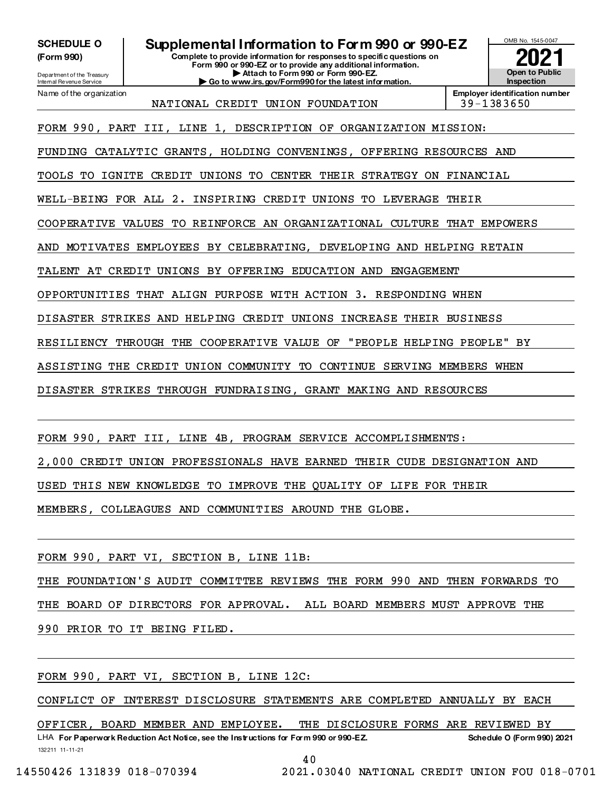**SCHEDULE O** (Form 990)

Department of the Treasury Internal Revenue Service

Name of the organization

# Supplemental Information to Form 990 or 990-EZ

-<br>Complete to provide information for responses to specific questions on Form 990 or 990-EZ or to provide any additional information. Attach to Form 990 or Form 990-EZ. Go to www.irs.gov/Form990 for the latest information.



NATIONAL CREDIT UNION FOUNDATION

Employer identification number 39-1383650

FORM 990, PART III, LINE 1, DESCRIPTION OF ORGANIZATION MISSION:

FUNDING CATALYTIC GRANTS, HOLDING CONVENINGS, OFFERING RESOURCES AND

TOOLS TO IGNITE CREDIT UNIONS TO CENTER THEIR STRATEGY ON FINANCIAL

WELL-BEING FOR ALL 2. INSPIRING CREDIT UNIONS TO LEVERAGE THEIR

COOPERATIVE VALUES TO REINFORCE AN ORGANIZATIONAL CULTURE THAT EMPOWERS

AND MOTIVATES EMPLOYEES BY CELEBRATING, DEVELOPING AND HELPING RETAIN

TALENT AT CREDIT UNIONS BY OFFERING EDUCATION AND ENGAGEMENT

OPPORTUNITIES THAT ALIGN PURPOSE WITH ACTION 3. RESPONDING WHEN

DISASTER STRIKES AND HELPING CREDIT UNIONS INCREASE THEIR BUSINESS

RESILIENCY THROUGH THE COOPERATIVE VALUE OF "PEOPLE HELPING PEOPLE" BY

ASSISTING THE CREDIT UNION COMMUNITY TO CONTINUE SERVING MEMBERS WHEN

DISASTER STRIKES THROUGH FUNDRAISING, GRANT MAKING AND RESOURCES

FORM 990, PART III, LINE 4B, PROGRAM SERVICE ACCOMPLISHMENTS:

2,000 CREDIT UNION PROFESSIONALS HAVE EARNED THEIR CUDE DESIGNATION AND

USED THIS NEW KNOWLEDGE TO IMPROVE THE QUALITY OF LIFE FOR THEIR

MEMBERS, COLLEAGUES AND COMMUNITIES AROUND THE GLOBE.

FORM 990, PART VI, SECTION B, LINE 11B:

THE FOUNDATION'S AUDIT COMMITTEE REVIEWS THE FORM 990 AND THEN FORWARDS TO

THE BOARD OF DIRECTORS FOR APPROVAL. ALL BOARD MEMBERS MUST APPROVE THE

990 PRIOR TO IT BEING FILED.

FORM 990, PART VI, SECTION B, LINE 12C:

CONFLICT OF INTEREST DISCLOSURE STATEMENTS ARE COMPLETED ANNUALLY BY EACH

BOARD MEMBER AND EMPLOYEE. THE DISCLOSURE FORMS ARE REVIEWED BY OFFICER.

LHA For Paperwork Reduction Act Notice, see the Instructions for Form 990 or 990-EZ. **Schedule O (Form 990) 2021** 132211 11-11-21

14550426 131839 018-070394

2021.03040 NATIONAL CREDIT UNION FOU 018-0701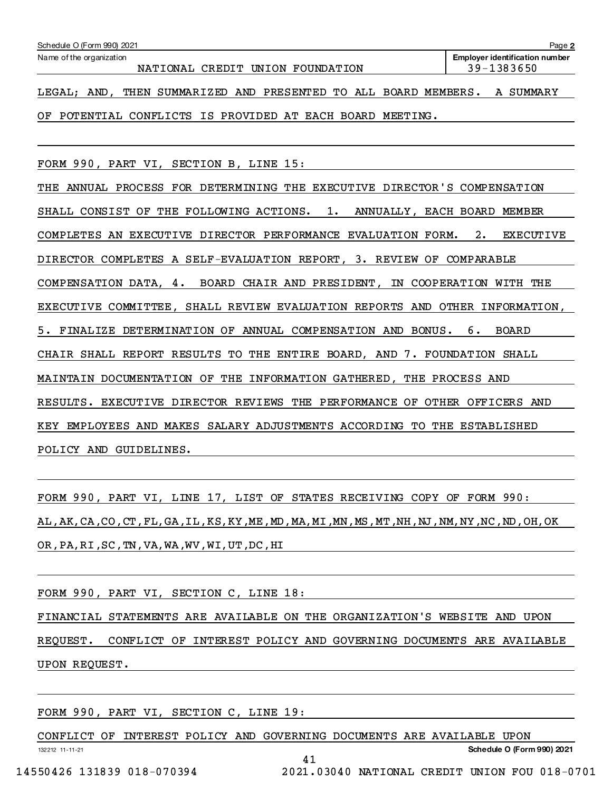| Schedule O (Form 990) 2021                                                  | Page 2         |  |  |  |  |  |
|-----------------------------------------------------------------------------|----------------|--|--|--|--|--|
| Name of the organization<br><b>Employer identification number</b>           |                |  |  |  |  |  |
| NATIONAL CREDIT UNION FOUNDATION                                            | $39 - 1383650$ |  |  |  |  |  |
| SUMMARIZED AND PRESENTED TO ALL BOARD MEMBERS.<br>THEN<br>AND.<br>LEGAL;    | SUMMARY<br>A   |  |  |  |  |  |
|                                                                             |                |  |  |  |  |  |
| POTENTIAL CONFLICTS IS PROVIDED AT EACH BOARD<br>ΟF<br>MEETING.             |                |  |  |  |  |  |
|                                                                             |                |  |  |  |  |  |
|                                                                             |                |  |  |  |  |  |
| FORM 990, PART VI, SECTION B, LINE 15:                                      |                |  |  |  |  |  |
|                                                                             |                |  |  |  |  |  |
| ANNUAL PROCESS FOR DETERMINING THE EXECUTIVE DIRECTOR'S COMPENSATION<br>THE |                |  |  |  |  |  |

SHALL CONSIST OF THE FOLLOWING ACTIONS. 1. ANNUALLY, EACH BOARD MEMBER COMPLETES AN EXECUTIVE DIRECTOR PERFORMANCE EVALUATION FORM. 2. EXECUTIVE DIRECTOR COMPLETES A SELF-EVALUATION REPORT, 3. REVIEW OF COMPARABLE COMPENSATION DATA, 4. BOARD CHAIR AND PRESIDENT, IN COOPERATION WITH THE EXECUTIVE COMMITTEE, SHALL REVIEW EVALUATION REPORTS AND OTHER INFORMATION, 5. FINALIZE DETERMINATION OF ANNUAL COMPENSATION AND BONUS. 6. BOARD CHAIR SHALL REPORT RESULTS TO THE ENTIRE BOARD, AND 7. FOUNDATION SHALL MAINTAIN DOCUMENTATION OF THE INFORMATION GATHERED, THE PROCESS AND RESULTS. EXECUTIVE DIRECTOR REVIEWS THE PERFORMANCE OF OTHER OFFICERS AND KEY EMPLOYEES AND MAKES SALARY ADJUSTMENTS ACCORDING TO THE ESTABLISHED POLICY AND GUIDELINES.

FORM 990, PART VI, LINE 17, LIST OF STATES RECEIVING COPY OF FORM 990: AL,AK,CA,CO,CT,FL,GA,IL,KS,KY,ME,MD,MA,MI,MN,MS,MT,NH,NJ,NM,NY,NC,ND,OH,OK OR,PA,RI,SC,TN,VA,WA,WV,WI,UT,DC,HI

FORM 990, PART VI, SECTION C, LINE 18:

FINANCIAL STATEMENTS ARE AVAILABLE ON THE ORGANIZATION'S WEBSITE AND UPON

REQUEST. CONFLICT OF INTEREST POLICY AND GOVERNING DOCUMENTS ARE AVAILABLE UPON REQUEST.

FORM 990, PART VI, SECTION C, LINE 19:

13221211-11-21 Schedule O (Form 990) 2021 CONFLICT OF INTEREST POLICY AND GOVERNING DOCUMENTS ARE AVAILABLE UPON 41